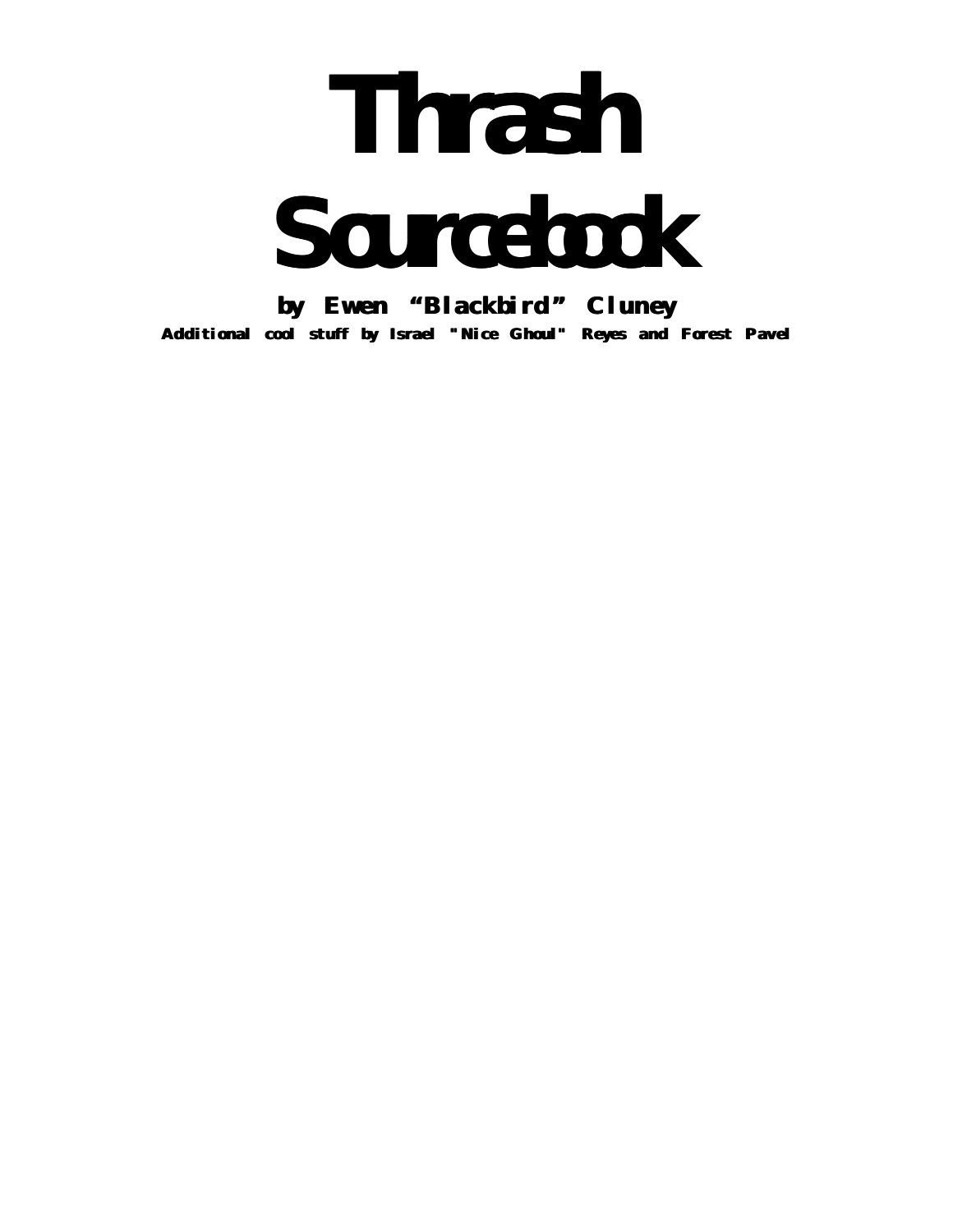# **Thrash Sourcebook**

**by Ewen "Blackbird " Cluney Additional cool stuff by Israel "Nice Ghoul" Reyes and Forest Pavel**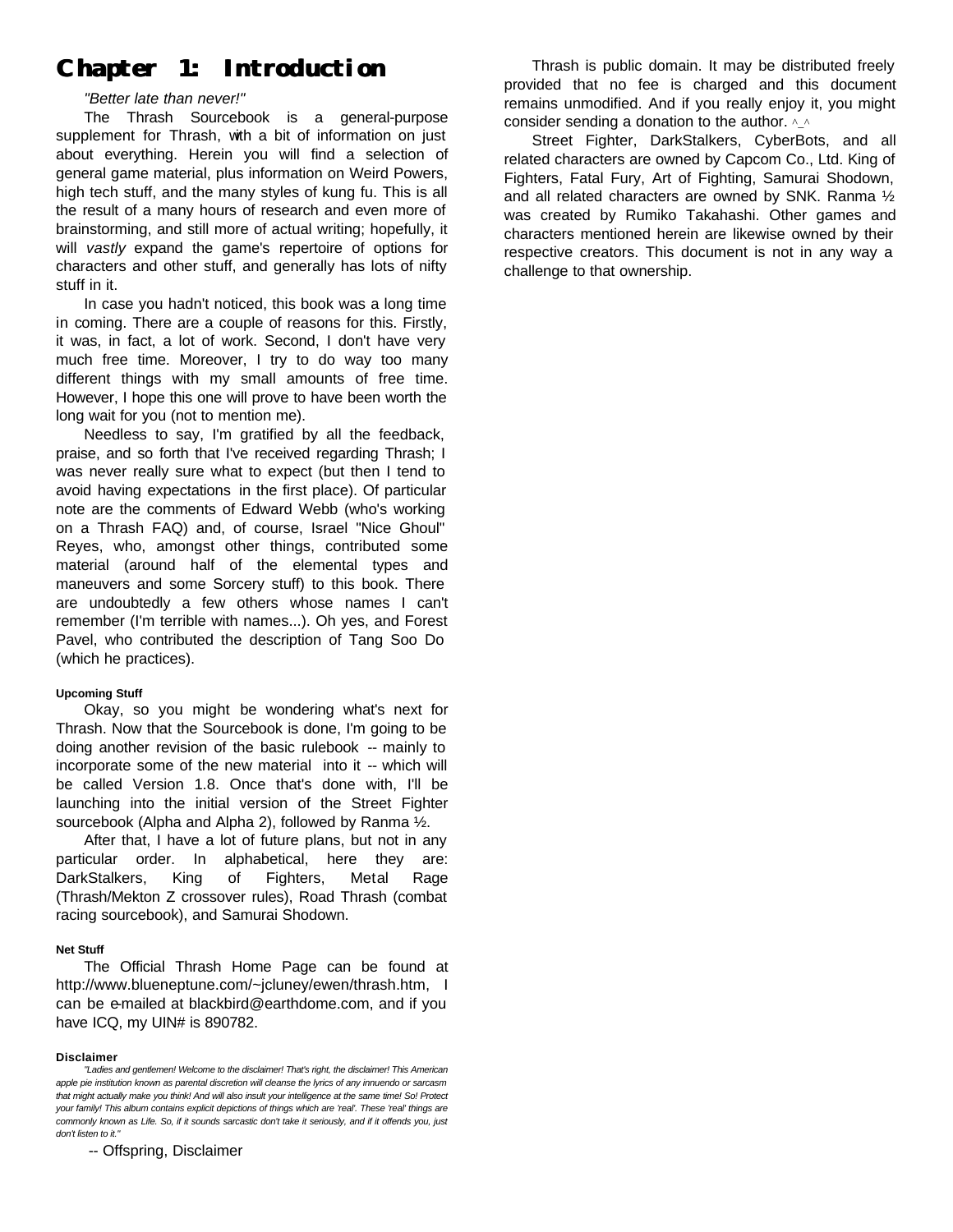# **Chapter 1: Introduction**

# *"Better late than never!"*

The Thrash Sourcebook is a general-purpose supplement for Thrash, with a bit of information on just about everything. Herein you will find a selection of general game material, plus information on Weird Powers, high tech stuff, and the many styles of kung fu. This is all the result of a many hours of research and even more of brainstorming, and still more of actual writing; hopefully, it will *vastly* expand the game's repertoire of options for characters and other stuff, and generally has lots of nifty stuff in it.

In case you hadn't noticed, this book was a long time in coming. There are a couple of reasons for this. Firstly, it was, in fact, a lot of work. Second, I don't have very much free time. Moreover, I try to do way too many different things with my small amounts of free time. However, I hope this one will prove to have been worth the long wait for you (not to mention me).

Needless to say, I'm gratified by all the feedback, praise, and so forth that I've received regarding Thrash; I was never really sure what to expect (but then I tend to avoid having expectations in the first place). Of particular note are the comments of Edward Webb (who's working on a Thrash FAQ) and, of course, Israel "Nice Ghoul" Reyes, who, amongst other things, contributed some material (around half of the elemental types and maneuvers and some Sorcery stuff) to this book. There are undoubtedly a few others whose names I can't remember (I'm terrible with names...). Oh yes, and Forest Pavel, who contributed the description of Tang Soo Do (which he practices).

# **Upcoming Stuff**

Okay, so you might be wondering what's next for Thrash. Now that the Sourcebook is done, I'm going to be doing another revision of the basic rulebook -- mainly to incorporate some of the new material into it -- which will be called Version 1.8. Once that's done with, I'll be launching into the initial version of the Street Fighter sourcebook (Alpha and Alpha 2), followed by Ranma ½.

After that, I have a lot of future plans, but not in any particular order. In alphabetical, here they are: DarkStalkers, King of Fighters, Metal Rage (Thrash/Mekton Z crossover rules), Road Thrash (combat racing sourcebook), and Samurai Shodown.

# **Net Stuff**

The Official Thrash Home Page can be found at http://www.blueneptune.com/~jcluney/ewen/thrash.htm, I can be e-mailed at blackbird@earthdome.com, and if you have ICQ, my UIN# is 890782.

#### **Disclaimer**

-- Offspring, Disclaimer

Thrash is public domain. It may be distributed freely provided that no fee is charged and this document remains unmodified. And if you really enjoy it, you might consider sending a donation to the author.  $\wedge$ 

Street Fighter, DarkStalkers, CyberBots, and all related characters are owned by Capcom Co., Ltd. King of Fighters, Fatal Fury, Art of Fighting, Samurai Shodown, and all related characters are owned by SNK. Ranma ½ was created by Rumiko Takahashi. Other games and characters mentioned herein are likewise owned by their respective creators. This document is not in any way a challenge to that ownership.

*<sup>&</sup>quot;Ladies and gentlemen! Welcome to the disclaimer! That's right, the disclaimer! This American apple pie institution known as parental discretion will cleanse the lyrics of any innuendo or sarcasm that might actually make you think! And will also insult your intelligence at the same time! So! Protect your family! This album contains explicit depictions of things which are 'real'. These 'real' things are commonly known as Life. So, if it sounds sarcastic don't take it seriously, and if it offends you, just don't listen to it."*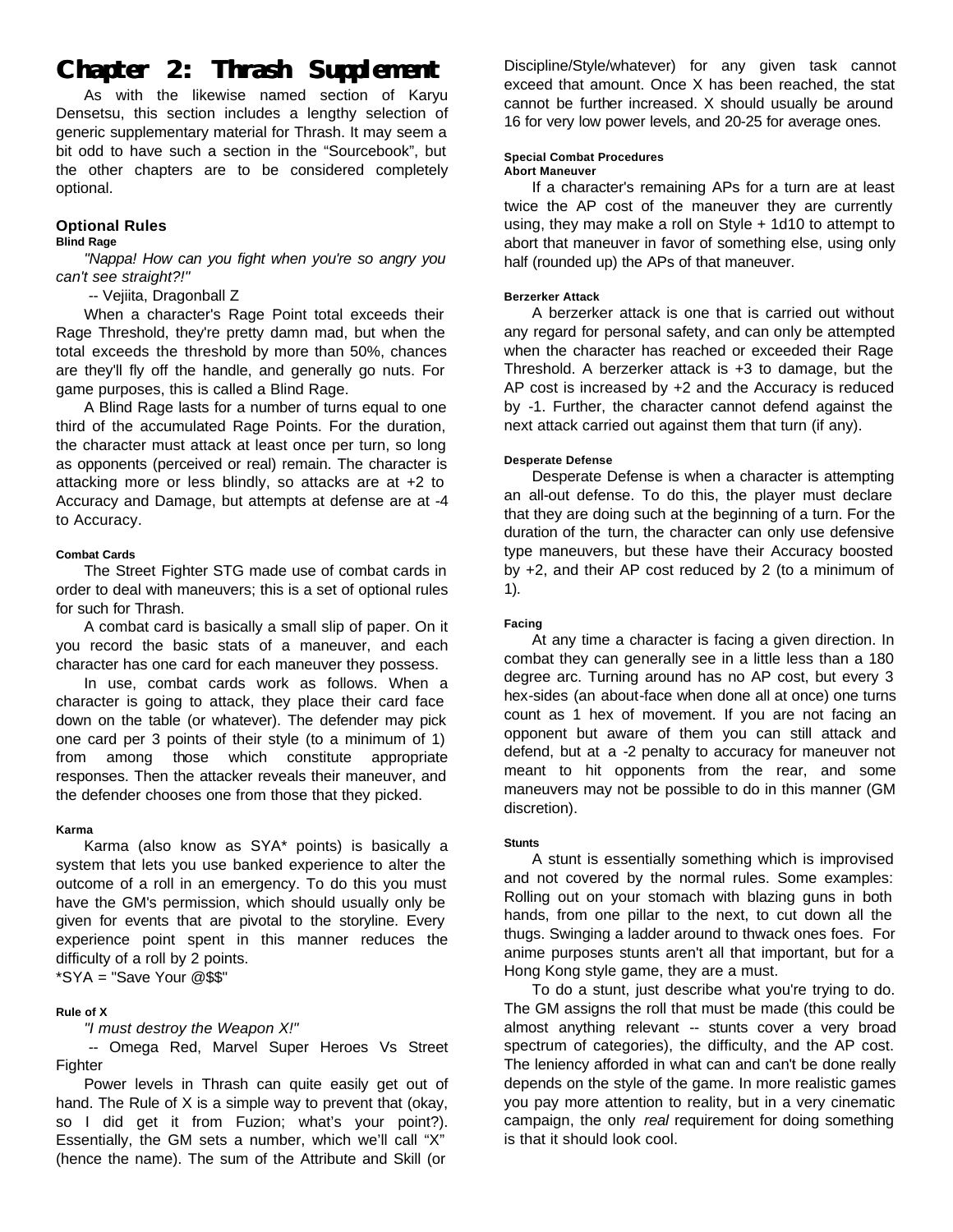# **Chapter 2: Thrash Supplement**

As with the likewise named section of Karyu Densetsu, this section includes a lengthy selection of generic supplementary material for Thrash. It may seem a bit odd to have such a section in the "Sourcebook", but the other chapters are to be considered completely optional.

# **Optional Rules**

# **Blind Rage**

*"Nappa! How can you fight when you're so angry you can't see straight?!"*

-- Vejiita, Dragonball Z

When a character's Rage Point total exceeds their Rage Threshold, they're pretty damn mad, but when the total exceeds the threshold by more than 50%, chances are they'll fly off the handle, and generally go nuts. For game purposes, this is called a Blind Rage.

A Blind Rage lasts for a number of turns equal to one third of the accumulated Rage Points. For the duration, the character must attack at least once per turn, so long as opponents (perceived or real) remain. The character is attacking more or less blindly, so attacks are at +2 to Accuracy and Damage, but attempts at defense are at -4 to Accuracy.

# **Combat Cards**

The Street Fighter STG made use of combat cards in order to deal with maneuvers; this is a set of optional rules for such for Thrash.

A combat card is basically a small slip of paper. On it you record the basic stats of a maneuver, and each character has one card for each maneuver they possess.

In use, combat cards work as follows. When a character is going to attack, they place their card face down on the table (or whatever). The defender may pick one card per 3 points of their style (to a minimum of 1) from among those which constitute appropriate responses. Then the attacker reveals their maneuver, and the defender chooses one from those that they picked.

# **Karma**

Karma (also know as SYA\* points) is basically a system that lets you use banked experience to alter the outcome of a roll in an emergency. To do this you must have the GM's permission, which should usually only be given for events that are pivotal to the storyline. Every experience point spent in this manner reduces the difficulty of a roll by 2 points.

 $*SYA = "Save Your @$ \$\$"

# **Rule of X**

# *"I must destroy the Weapon X!"*

-- Omega Red, Marvel Super Heroes Vs Street **Fighter** 

Power levels in Thrash can quite easily get out of hand. The Rule of X is a simple way to prevent that (okay, so I did get it from Fuzion; what's your point?). Essentially, the GM sets a number, which we'll call "X" (hence the name). The sum of the Attribute and Skill (or

Discipline/Style/whatever) for any given task cannot exceed that amount. Once X has been reached, the stat cannot be further increased. X should usually be around 16 for very low power levels, and 20-25 for average ones.

# **Special Combat Procedures**

**Abort Maneuver**

If a character's remaining APs for a turn are at least twice the AP cost of the maneuver they are currently using, they may make a roll on Style + 1d10 to attempt to abort that maneuver in favor of something else, using only half (rounded up) the APs of that maneuver.

# **Berzerker Attack**

A berzerker attack is one that is carried out without any regard for personal safety, and can only be attempted when the character has reached or exceeded their Rage Threshold. A berzerker attack is +3 to damage, but the AP cost is increased by +2 and the Accuracy is reduced by -1. Further, the character cannot defend against the next attack carried out against them that turn (if any).

# **Desperate Defense**

Desperate Defense is when a character is attempting an all-out defense. To do this, the player must declare that they are doing such at the beginning of a turn. For the duration of the turn, the character can only use defensive type maneuvers, but these have their Accuracy boosted by +2, and their AP cost reduced by 2 (to a minimum of 1).

# **Facing**

At any time a character is facing a given direction. In combat they can generally see in a little less than a 180 degree arc. Turning around has no AP cost, but every 3 hex-sides (an about-face when done all at once) one turns count as 1 hex of movement. If you are not facing an opponent but aware of them you can still attack and defend, but at a -2 penalty to accuracy for maneuver not meant to hit opponents from the rear, and some maneuvers may not be possible to do in this manner (GM discretion).

# **Stunts**

A stunt is essentially something which is improvised and not covered by the normal rules. Some examples: Rolling out on your stomach with blazing guns in both hands, from one pillar to the next, to cut down all the thugs. Swinging a ladder around to thwack ones foes. For anime purposes stunts aren't all that important, but for a Hong Kong style game, they are a must.

To do a stunt, just describe what you're trying to do. The GM assigns the roll that must be made (this could be almost anything relevant -- stunts cover a very broad spectrum of categories), the difficulty, and the AP cost. The leniency afforded in what can and can't be done really depends on the style of the game. In more realistic games you pay more attention to reality, but in a very cinematic campaign, the only *real* requirement for doing something is that it should look cool.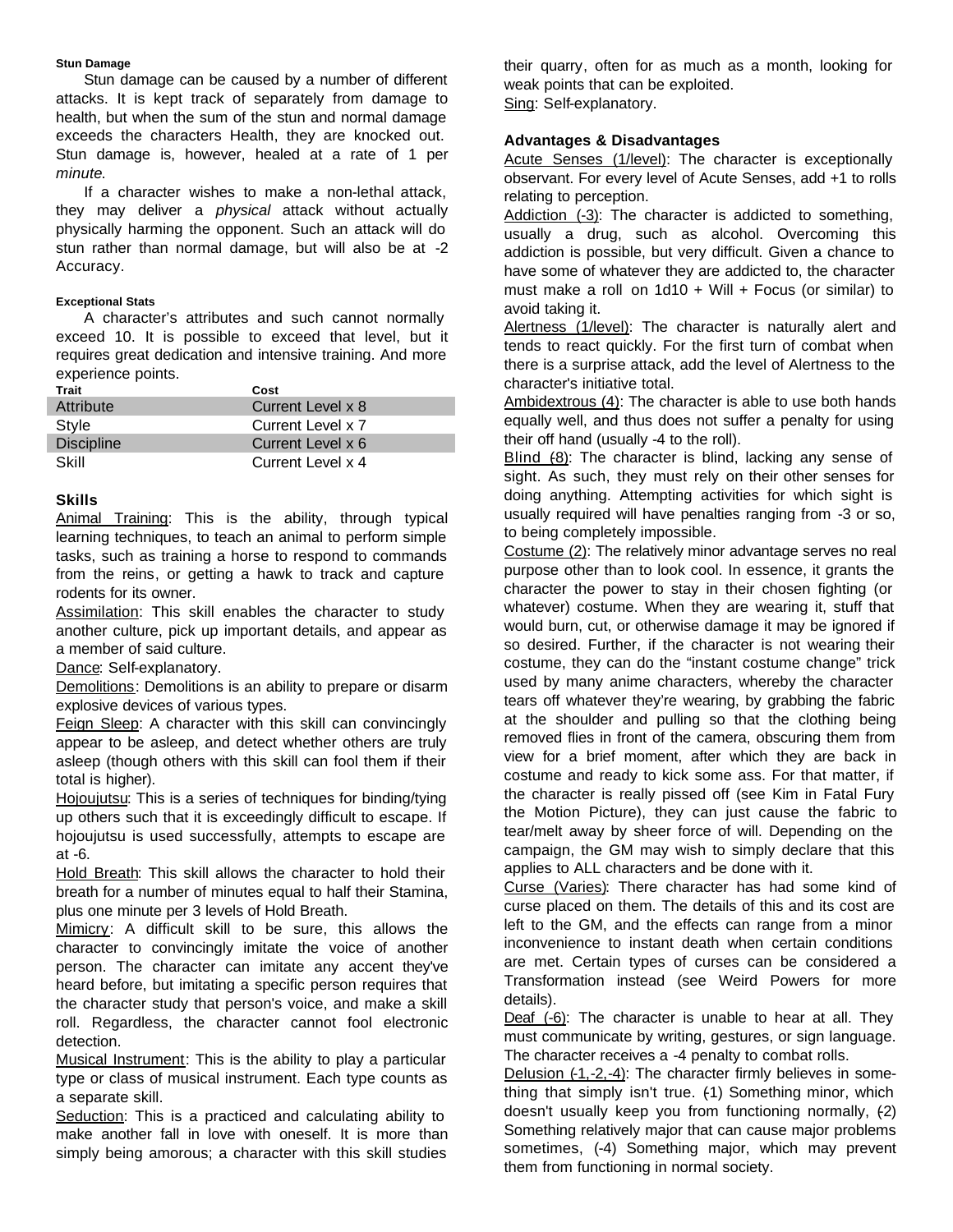# **Stun Damage**

Stun damage can be caused by a number of different attacks. It is kept track of separately from damage to health, but when the sum of the stun and normal damage exceeds the characters Health, they are knocked out. Stun damage is, however, healed at a rate of 1 per *minute*.

If a character wishes to make a non-lethal attack, they may deliver a *physical* attack without actually physically harming the opponent. Such an attack will do stun rather than normal damage, but will also be at -2 Accuracy.

# **Exceptional Stats**

A character's attributes and such cannot normally exceed 10. It is possible to exceed that level, but it requires great dedication and intensive training. And more experience points.

| Trait             | Cost              |
|-------------------|-------------------|
| Attribute         | Current Level x 8 |
| Style             | Current Level x 7 |
| <b>Discipline</b> | Current Level x 6 |
| Skill             | Current Level x 4 |

# **Skills**

Animal Training: This is the ability, through typical learning techniques, to teach an animal to perform simple tasks, such as training a horse to respond to commands from the reins, or getting a hawk to track and capture rodents for its owner.

Assimilation: This skill enables the character to study another culture, pick up important details, and appear as a member of said culture.

Dance: Self-explanatory.

Demolitions: Demolitions is an ability to prepare or disarm explosive devices of various types.

Feign Sleep: A character with this skill can convincingly appear to be asleep, and detect whether others are truly asleep (though others with this skill can fool them if their total is higher).

Hojoujutsu: This is a series of techniques for binding/tying up others such that it is exceedingly difficult to escape. If hojoujutsu is used successfully, attempts to escape are at -6.

Hold Breath: This skill allows the character to hold their breath for a number of minutes equal to half their Stamina, plus one minute per 3 levels of Hold Breath.

Mimicry: A difficult skill to be sure, this allows the character to convincingly imitate the voice of another person. The character can imitate any accent they've heard before, but imitating a specific person requires that the character study that person's voice, and make a skill roll. Regardless, the character cannot fool electronic detection.

Musical Instrument: This is the ability to play a particular type or class of musical instrument. Each type counts as a separate skill.

Seduction: This is a practiced and calculating ability to make another fall in love with oneself. It is more than simply being amorous; a character with this skill studies

their quarry, often for as much as a month, looking for weak points that can be exploited. Sing: Self-explanatory.

# **Advantages & Disadvantages**

Acute Senses (1/level): The character is exceptionally observant. For every level of Acute Senses, add +1 to rolls relating to perception.

Addiction (-3): The character is addicted to something, usually a drug, such as alcohol. Overcoming this addiction is possible, but very difficult. Given a chance to have some of whatever they are addicted to, the character must make a roll on  $1d10 + Will + Focus$  (or similar) to avoid taking it.

Alertness (1/level): The character is naturally alert and tends to react quickly. For the first turn of combat when there is a surprise attack, add the level of Alertness to the character's initiative total.

Ambidextrous (4): The character is able to use both hands equally well, and thus does not suffer a penalty for using their off hand (usually -4 to the roll).

Blind (8): The character is blind, lacking any sense of sight. As such, they must rely on their other senses for doing anything. Attempting activities for which sight is usually required will have penalties ranging from -3 or so, to being completely impossible.

Costume (2): The relatively minor advantage serves no real purpose other than to look cool. In essence, it grants the character the power to stay in their chosen fighting (or whatever) costume. When they are wearing it, stuff that would burn, cut, or otherwise damage it may be ignored if so desired. Further, if the character is not wearing their costume, they can do the "instant costume change" trick used by many anime characters, whereby the character tears off whatever they're wearing, by grabbing the fabric at the shoulder and pulling so that the clothing being removed flies in front of the camera, obscuring them from view for a brief moment, after which they are back in costume and ready to kick some ass. For that matter, if the character is really pissed off (see Kim in Fatal Fury the Motion Picture), they can just cause the fabric to tear/melt away by sheer force of will. Depending on the campaign, the GM may wish to simply declare that this applies to ALL characters and be done with it.

Curse (Varies): There character has had some kind of curse placed on them. The details of this and its cost are left to the GM, and the effects can range from a minor inconvenience to instant death when certain conditions are met. Certain types of curses can be considered a Transformation instead (see Weird Powers for more details).

Deaf (-6): The character is unable to hear at all. They must communicate by writing, gestures, or sign language. The character receives a -4 penalty to combat rolls.

Delusion (-1,-2,-4): The character firmly believes in something that simply isn't true. (1) Something minor, which doesn't usually keep you from functioning normally, (2) Something relatively major that can cause major problems sometimes, (-4) Something major, which may prevent them from functioning in normal society.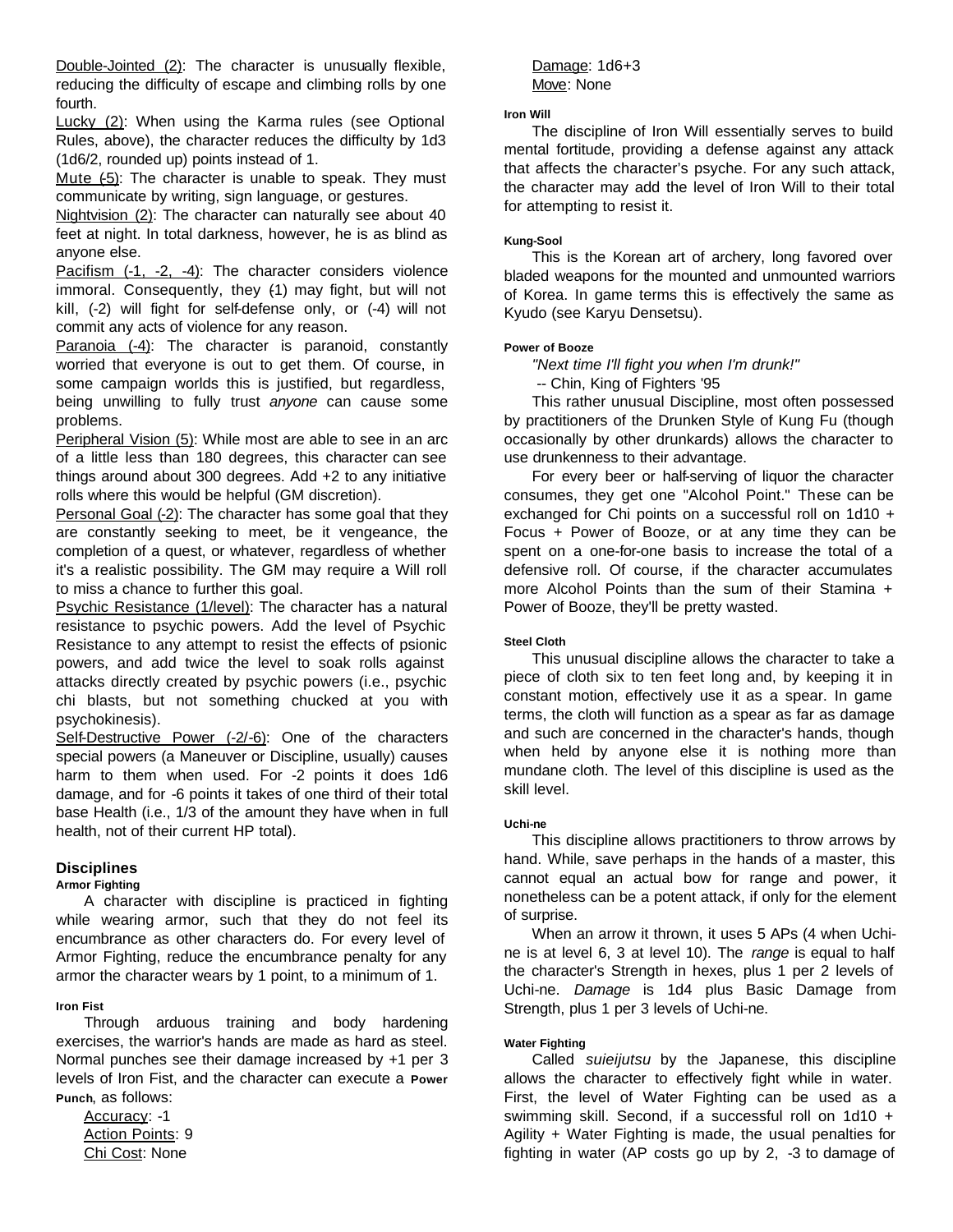Double-Jointed (2): The character is unusually flexible, reducing the difficulty of escape and climbing rolls by one fourth.

Lucky (2): When using the Karma rules (see Optional Rules, above), the character reduces the difficulty by 1d3 (1d6/2, rounded up) points instead of 1.

Mute (-5): The character is unable to speak. They must communicate by writing, sign language, or gestures.

Nightvision (2): The character can naturally see about 40 feet at night. In total darkness, however, he is as blind as anyone else.

Pacifism (-1, -2, -4): The character considers violence immoral. Consequently, they (1) may fight, but will not kill, (-2) will fight for self-defense only, or (-4) will not commit any acts of violence for any reason.

Paranoia (-4): The character is paranoid, constantly worried that everyone is out to get them. Of course, in some campaign worlds this is justified, but regardless, being unwilling to fully trust *anyone* can cause some problems.

Peripheral Vision (5): While most are able to see in an arc of a little less than 180 degrees, this character can see things around about 300 degrees. Add +2 to any initiative rolls where this would be helpful (GM discretion).

Personal Goal (-2): The character has some goal that they are constantly seeking to meet, be it vengeance, the completion of a quest, or whatever, regardless of whether it's a realistic possibility. The GM may require a Will roll to miss a chance to further this goal.

Psychic Resistance (1/level): The character has a natural resistance to psychic powers. Add the level of Psychic Resistance to any attempt to resist the effects of psionic powers, and add twice the level to soak rolls against attacks directly created by psychic powers (i.e., psychic chi blasts, but not something chucked at you with psychokinesis).

Self-Destructive Power (-2/-6): One of the characters special powers (a Maneuver or Discipline, usually) causes harm to them when used. For -2 points it does 1d6 damage, and for -6 points it takes of one third of their total base Health (i.e., 1/3 of the amount they have when in full health, not of their current HP total).

# **Disciplines**

# **Armor Fighting**

A character with discipline is practiced in fighting while wearing armor, such that they do not feel its encumbrance as other characters do. For every level of Armor Fighting, reduce the encumbrance penalty for any armor the character wears by 1 point, to a minimum of 1.

# **Iron Fist**

Through arduous training and body hardening exercises, the warrior's hands are made as hard as steel. Normal punches see their damage increased by +1 per 3 levels of Iron Fist, and the character can execute a **Power Punch**, as follows:

Accuracy: -1 Action Points: 9 Chi Cost: None

Damage: 1d6+3 Move: None

# **Iron Will**

The discipline of Iron Will essentially serves to build mental fortitude, providing a defense against any attack that affects the character's psyche. For any such attack, the character may add the level of Iron Will to their total for attempting to resist it.

# **Kung-Sool**

This is the Korean art of archery, long favored over bladed weapons for the mounted and unmounted warriors of Korea. In game terms this is effectively the same as Kyudo (see Karyu Densetsu).

# **Power of Booze**

*"Next time I'll fight you when I'm drunk!"* -- Chin, King of Fighters '95

This rather unusual Discipline, most often possessed by practitioners of the Drunken Style of Kung Fu (though occasionally by other drunkards) allows the character to use drunkenness to their advantage.

For every beer or half-serving of liquor the character consumes, they get one "Alcohol Point." These can be exchanged for Chi points on a successful roll on 1d10 + Focus + Power of Booze, or at any time they can be spent on a one-for-one basis to increase the total of a defensive roll. Of course, if the character accumulates more Alcohol Points than the sum of their Stamina + Power of Booze, they'll be pretty wasted.

# **Steel Cloth**

This unusual discipline allows the character to take a piece of cloth six to ten feet long and, by keeping it in constant motion, effectively use it as a spear. In game terms, the cloth will function as a spear as far as damage and such are concerned in the character's hands, though when held by anyone else it is nothing more than mundane cloth. The level of this discipline is used as the skill level.

# **Uchi-ne**

This discipline allows practitioners to throw arrows by hand. While, save perhaps in the hands of a master, this cannot equal an actual bow for range and power, it nonetheless can be a potent attack, if only for the element of surprise.

When an arrow it thrown, it uses 5 APs (4 when Uchine is at level 6, 3 at level 10). The *range* is equal to half the character's Strength in hexes, plus 1 per 2 levels of Uchi-ne. *Damage* is 1d4 plus Basic Damage from Strength, plus 1 per 3 levels of Uchi-ne.

# **Water Fighting**

Called *suieijutsu* by the Japanese, this discipline allows the character to effectively fight while in water. First, the level of Water Fighting can be used as a swimming skill. Second, if a successful roll on 1d10 + Agility + Water Fighting is made, the usual penalties for fighting in water (AP costs go up by 2, -3 to damage of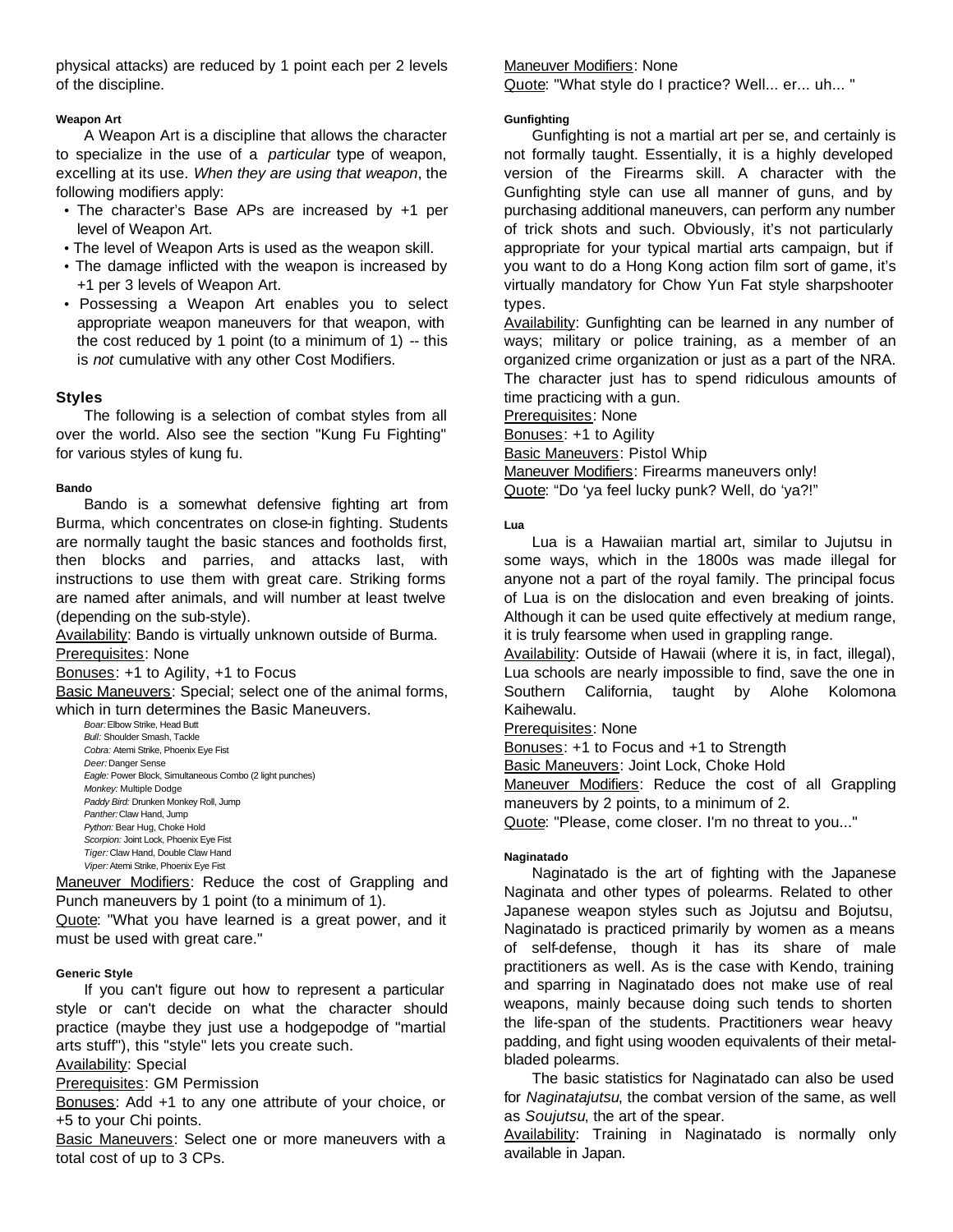physical attacks) are reduced by 1 point each per 2 levels of the discipline.

# **Weapon Art**

A Weapon Art is a discipline that allows the character to specialize in the use of a *particular* type of weapon, excelling at its use. *When they are using that weapon*, the following modifiers apply:

- The character's Base APs are increased by +1 per level of Weapon Art.
- The level of Weapon Arts is used as the weapon skill.
- The damage inflicted with the weapon is increased by +1 per 3 levels of Weapon Art.
- Possessing a Weapon Art enables you to select appropriate weapon maneuvers for that weapon, with the cost reduced by 1 point (to a minimum of 1)  $-$  this is *not* cumulative with any other Cost Modifiers.

# **Styles**

The following is a selection of combat styles from all over the world. Also see the section "Kung Fu Fighting" for various styles of kung fu.

# **Bando**

Bando is a somewhat defensive fighting art from Burma, which concentrates on close-in fighting. Students are normally taught the basic stances and footholds first, then blocks and parries, and attacks last, with instructions to use them with great care. Striking forms are named after animals, and will number at least twelve (depending on the sub-style).

Availability: Bando is virtually unknown outside of Burma.

Prerequisites: None

Bonuses: +1 to Agility, +1 to Focus

Basic Maneuvers: Special; select one of the animal forms, which in turn determines the Basic Maneuvers.

*Boar:* Elbow Strike, Head Butt *Bull:* Shoulder Smash, Tackle *Cobra:* Atemi Strike, Phoenix Eye Fist *Deer:* Danger Sense *Eagle:* Power Block, Simultaneous Combo (2 light punches) *Monkey:* Multiple Dodge *Paddy Bird:* Drunken Monkey Roll, Jump *Panther:* Claw Hand, Jump *Python:* Bear Hug, Choke Hold *Scorpion:* Joint Lock, Phoenix Eye Fist *Tiger:* Claw Hand, Double Claw Hand *Viper:* Atemi Strike, Phoenix Eye Fist

Maneuver Modifiers: Reduce the cost of Grappling and Punch maneuvers by 1 point (to a minimum of 1).

Quote: "What you have learned is a great power, and it must be used with great care."

# **Generic Style**

If you can't figure out how to represent a particular style or can't decide on what the character should practice (maybe they just use a hodgepodge of "martial arts stuff"), this "style" lets you create such.

# Availability: Special

Prerequisites: GM Permission

Bonuses: Add +1 to any one attribute of your choice, or +5 to your Chi points.

Basic Maneuvers: Select one or more maneuvers with a total cost of up to 3 CPs.

Maneuver Modifiers: None

Quote: "What style do I practice? Well... er... uh... "

# **Gunfighting**

Gunfighting is not a martial art per se, and certainly is not formally taught. Essentially, it is a highly developed version of the Firearms skill. A character with the Gunfighting style can use all manner of guns, and by purchasing additional maneuvers, can perform any number of trick shots and such. Obviously, it's not particularly appropriate for your typical martial arts campaign, but if you want to do a Hong Kong action film sort of game, it's virtually mandatory for Chow Yun Fat style sharpshooter types.

Availability: Gunfighting can be learned in any number of ways; military or police training, as a member of an organized crime organization or just as a part of the NRA. The character just has to spend ridiculous amounts of time practicing with a gun.

Prerequisites: None

Bonuses: +1 to Agility

**Basic Maneuvers: Pistol Whip** 

Maneuver Modifiers: Firearms maneuvers only! Quote: "Do 'ya feel lucky punk? Well, do 'ya?!"

# **Lua**

Lua is a Hawaiian martial art, similar to Jujutsu in some ways, which in the 1800s was made illegal for anyone not a part of the royal family. The principal focus of Lua is on the dislocation and even breaking of joints. Although it can be used quite effectively at medium range, it is truly fearsome when used in grappling range.

Availability: Outside of Hawaii (where it is, in fact, illegal), Lua schools are nearly impossible to find, save the one in Southern California, taught by Alohe Kolomona Kaihewalu.

# Prerequisites: None

Bonuses: +1 to Focus and +1 to Strength

Basic Maneuvers: Joint Lock, Choke Hold

Maneuver Modifiers: Reduce the cost of all Grappling maneuvers by 2 points, to a minimum of 2.

Quote: "Please, come closer. I'm no threat to you..."

# **Naginatado**

Naginatado is the art of fighting with the Japanese Naginata and other types of polearms. Related to other Japanese weapon styles such as Jojutsu and Bojutsu, Naginatado is practiced primarily by women as a means of self-defense, though it has its share of male practitioners as well. As is the case with Kendo, training and sparring in Naginatado does not make use of real weapons, mainly because doing such tends to shorten the life-span of the students. Practitioners wear heavy padding, and fight using wooden equivalents of their metalbladed polearms.

The basic statistics for Naginatado can also be used for *Naginatajutsu*, the combat version of the same, as well as *Soujutsu*, the art of the spear.

Availability: Training in Naginatado is normally only available in Japan.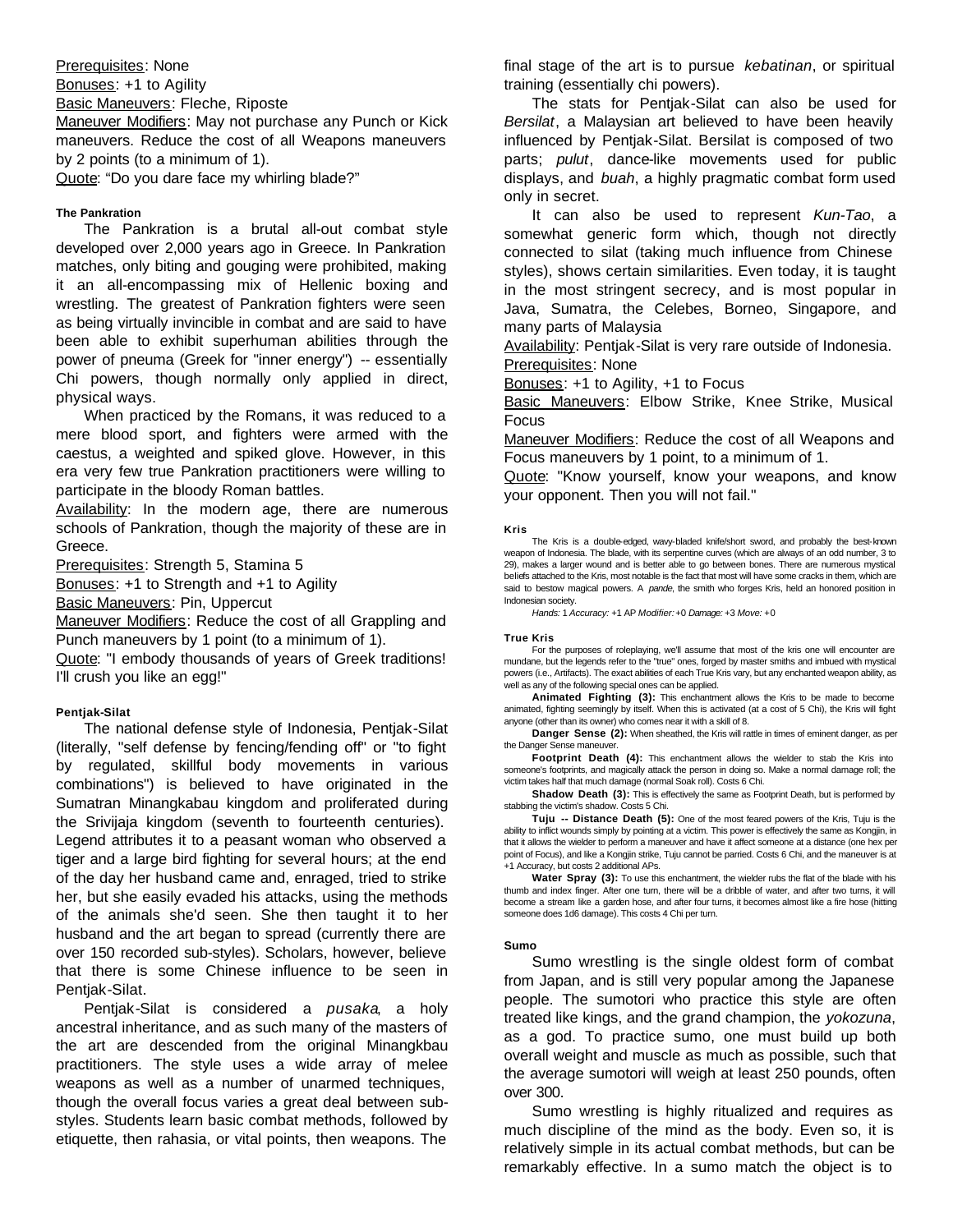Prerequisites: None Bonuses: +1 to Agility Basic Maneuvers: Fleche, Riposte

Maneuver Modifiers: May not purchase any Punch or Kick maneuvers. Reduce the cost of all Weapons maneuvers by 2 points (to a minimum of 1).

Quote: "Do you dare face my whirling blade?"

# **The Pankration**

The Pankration is a brutal all-out combat style developed over 2,000 years ago in Greece. In Pankration matches, only biting and gouging were prohibited, making it an all-encompassing mix of Hellenic boxing and wrestling. The greatest of Pankration fighters were seen as being virtually invincible in combat and are said to have been able to exhibit superhuman abilities through the power of pneuma (Greek for "inner energy") -- essentially Chi powers, though normally only applied in direct, physical ways.

When practiced by the Romans, it was reduced to a mere blood sport, and fighters were armed with the caestus, a weighted and spiked glove. However, in this era very few true Pankration practitioners were willing to participate in the bloody Roman battles.

Availability: In the modern age, there are numerous schools of Pankration, though the majority of these are in Greece.

Prerequisites: Strength 5, Stamina 5

Bonuses: +1 to Strength and +1 to Agility

Basic Maneuvers: Pin, Uppercut

Maneuver Modifiers: Reduce the cost of all Grappling and Punch maneuvers by 1 point (to a minimum of 1).

Quote: "I embody thousands of years of Greek traditions! I'll crush you like an egg!"

#### **Pentjak-Silat**

The national defense style of Indonesia, Pentjak-Silat (literally, "self defense by fencing/fending off" or "to fight by regulated, skillful body movements in various combinations") is believed to have originated in the Sumatran Minangkabau kingdom and proliferated during the Srivijaja kingdom (seventh to fourteenth centuries). Legend attributes it to a peasant woman who observed a tiger and a large bird fighting for several hours; at the end of the day her husband came and, enraged, tried to strike her, but she easily evaded his attacks, using the methods of the animals she'd seen. She then taught it to her husband and the art began to spread (currently there are over 150 recorded sub-styles). Scholars, however, believe that there is some Chinese influence to be seen in Pentjak-Silat.

Pentjak-Silat is considered a *pusaka*, a holy ancestral inheritance, and as such many of the masters of the art are descended from the original Minangkbau practitioners. The style uses a wide array of melee weapons as well as a number of unarmed techniques, though the overall focus varies a great deal between substyles. Students learn basic combat methods, followed by etiquette, then rahasia, or vital points, then weapons. The

final stage of the art is to pursue *kebatinan*, or spiritual training (essentially chi powers).

The stats for Pentjak-Silat can also be used for *Bersilat*, a Malaysian art believed to have been heavily influenced by Pentjak-Silat. Bersilat is composed of two parts; *pulut*, dance-like movements used for public displays, and *buah*, a highly pragmatic combat form used only in secret.

It can also be used to represent *Kun-Tao*, a somewhat generic form which, though not directly connected to silat (taking much influence from Chinese styles), shows certain similarities. Even today, it is taught in the most stringent secrecy, and is most popular in Java, Sumatra, the Celebes, Borneo, Singapore, and many parts of Malaysia

Availability: Pentjak-Silat is very rare outside of Indonesia. Prerequisites: None

Bonuses: +1 to Agility, +1 to Focus

Basic Maneuvers: Elbow Strike, Knee Strike, Musical Focus

Maneuver Modifiers: Reduce the cost of all Weapons and Focus maneuvers by 1 point, to a minimum of 1.

Quote: "Know yourself, know your weapons, and know your opponent. Then you will not fail."

## **Kris**

The Kris is a double-edged, wavy-bladed knife/short sword, and probably the best-known weapon of Indonesia. The blade, with its serpentine curves (which are always of an odd number, 3 to 29), makes a larger wound and is better able to go between bones. There are numerous mystical beliefs attached to the Kris, most notable is the fact that most will have some cracks in them, which are said to bestow magical powers. A *pande*, the smith who forges Kris, held an honored position in Indonesian society.

*Hands:* 1 *Accuracy:* +1 AP *Modifier:* +0 *Damage:* +3 *Move:* +0

#### **True Kris**

For the purposes of roleplaying, we'll assume that most of the kris one will encounter are mundane, but the legends refer to the "true" ones, forged by master smiths and imbued with mystical powers (i.e., Artifacts). The exact abilities of each True Kris vary, but any enchanted weapon ability, as well as any of the following special ones can be applied.

**Animated Fighting (3):** This enchantment allows the Kris to be made to become animated, fighting seemingly by itself. When this is activated (at a cost of 5 Chi), the Kris will fight anyone (other than its owner) who comes near it with a skill of 8.

**Danger Sense (2):** When sheathed, the Kris will rattle in times of eminent danger, as per the Danger Sense maneuve

**Footprint Death (4):** This enchantment allows the wielder to stab the Kris into someone's footprints, and magically attack the person in doing so. Make a normal damage roll; the victim takes half that much damage (normal Soak roll). Costs 6 Chi.

**Shadow Death (3):** This is effectively the same as Footprint Death, but is performed by stabbing the victim's shadow. Costs 5 Chi.

**Tuju -- Distance Death (5):** One of the most feared powers of the Kris, Tuju is the ability to inflict wounds simply by pointing at a victim. This power is effectively the same as Kongjin, in that it allows the wielder to perform a maneuver and have it affect someone at a distance (one hex per point of Focus), and like a Kongjin strike, Tuju cannot be parried. Costs 6 Chi, and the maneuver is at +1 Accuracy, but costs 2 additional APs.

Water Spray (3): To use this enchantment, the wielder rubs the flat of the blade with his thumb and index finger. After one turn, there will be a dribble of water, and after two turns, it will become a stream like a garden hose, and after four turns, it becomes almost like a fire hose (hitting someone does 1d6 damage). This costs 4 Chi per turn.

#### **Sumo**

Sumo wrestling is the single oldest form of combat from Japan, and is still very popular among the Japanese people. The sumotori who practice this style are often treated like kings, and the grand champion, the *yokozuna*, as a god. To practice sumo, one must build up both overall weight and muscle as much as possible, such that the average sumotori will weigh at least 250 pounds, often over 300.

Sumo wrestling is highly ritualized and requires as much discipline of the mind as the body. Even so, it is relatively simple in its actual combat methods, but can be remarkably effective. In a sumo match the object is to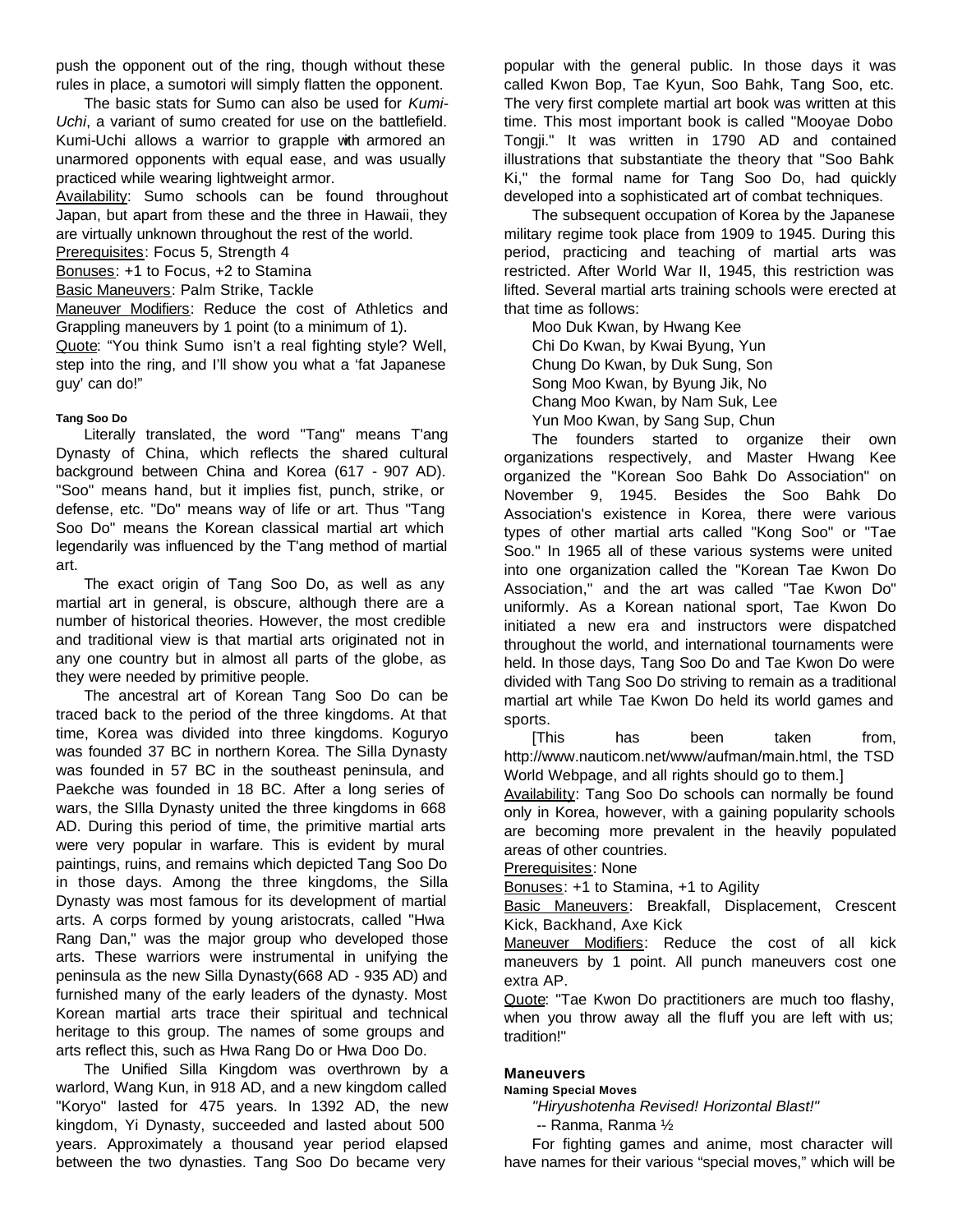push the opponent out of the ring, though without these rules in place, a sumotori will simply flatten the opponent.

The basic stats for Sumo can also be used for *Kumi-Uchi*, a variant of sumo created for use on the battlefield. Kumi-Uchi allows a warrior to grapple with armored an unarmored opponents with equal ease, and was usually practiced while wearing lightweight armor.

Availability: Sumo schools can be found throughout Japan, but apart from these and the three in Hawaii, they are virtually unknown throughout the rest of the world.

Prerequisites: Focus 5, Strength 4

Bonuses: +1 to Focus, +2 to Stamina

Basic Maneuvers: Palm Strike, Tackle

Maneuver Modifiers: Reduce the cost of Athletics and Grappling maneuvers by 1 point (to a minimum of 1).

Quote: "You think Sumo isn't a real fighting style? Well, step into the ring, and I'll show you what a 'fat Japanese guy' can do!"

# **Tang Soo Do**

Literally translated, the word "Tang" means T'ang Dynasty of China, which reflects the shared cultural background between China and Korea (617 - 907 AD). "Soo" means hand, but it implies fist, punch, strike, or defense, etc. "Do" means way of life or art. Thus "Tang Soo Do" means the Korean classical martial art which legendarily was influenced by the T'ang method of martial art.

The exact origin of Tang Soo Do, as well as any martial art in general, is obscure, although there are a number of historical theories. However, the most credible and traditional view is that martial arts originated not in any one country but in almost all parts of the globe, as they were needed by primitive people.

The ancestral art of Korean Tang Soo Do can be traced back to the period of the three kingdoms. At that time, Korea was divided into three kingdoms. Koguryo was founded 37 BC in northern Korea. The Silla Dynasty was founded in 57 BC in the southeast peninsula, and Paekche was founded in 18 BC. After a long series of wars, the SIlla Dynasty united the three kingdoms in 668 AD. During this period of time, the primitive martial arts were very popular in warfare. This is evident by mural paintings, ruins, and remains which depicted Tang Soo Do in those days. Among the three kingdoms, the Silla Dynasty was most famous for its development of martial arts. A corps formed by young aristocrats, called "Hwa Rang Dan," was the major group who developed those arts. These warriors were instrumental in unifying the peninsula as the new Silla Dynasty(668 AD - 935 AD) and furnished many of the early leaders of the dynasty. Most Korean martial arts trace their spiritual and technical heritage to this group. The names of some groups and arts reflect this, such as Hwa Rang Do or Hwa Doo Do.

The Unified Silla Kingdom was overthrown by a warlord, Wang Kun, in 918 AD, and a new kingdom called "Koryo" lasted for 475 years. In 1392 AD, the new kingdom, Yi Dynasty, succeeded and lasted about 500 years. Approximately a thousand year period elapsed between the two dynasties. Tang Soo Do became very

popular with the general public. In those days it was called Kwon Bop, Tae Kyun, Soo Bahk, Tang Soo, etc. The very first complete martial art book was written at this time. This most important book is called "Mooyae Dobo Tongji." It was written in 1790 AD and contained illustrations that substantiate the theory that "Soo Bahk Ki," the formal name for Tang Soo Do, had quickly developed into a sophisticated art of combat techniques.

The subsequent occupation of Korea by the Japanese military regime took place from 1909 to 1945. During this period, practicing and teaching of martial arts was restricted. After World War II, 1945, this restriction was lifted. Several martial arts training schools were erected at that time as follows:

Moo Duk Kwan, by Hwang Kee Chi Do Kwan, by Kwai Byung, Yun Chung Do Kwan, by Duk Sung, Son Song Moo Kwan, by Byung Jik, No Chang Moo Kwan, by Nam Suk, Lee Yun Moo Kwan, by Sang Sup, Chun

The founders started to organize their own organizations respectively, and Master Hwang Kee organized the "Korean Soo Bahk Do Association" on November 9, 1945. Besides the Soo Bahk Do Association's existence in Korea, there were various types of other martial arts called "Kong Soo" or "Tae Soo." In 1965 all of these various systems were united into one organization called the "Korean Tae Kwon Do Association," and the art was called "Tae Kwon Do" uniformly. As a Korean national sport, Tae Kwon Do initiated a new era and instructors were dispatched throughout the world, and international tournaments were held. In those days, Tang Soo Do and Tae Kwon Do were divided with Tang Soo Do striving to remain as a traditional martial art while Tae Kwon Do held its world games and sports.

[This has been taken from, http://www.nauticom.net/www/aufman/main.html, the TSD World Webpage, and all rights should go to them.]

Availability: Tang Soo Do schools can normally be found only in Korea, however, with a gaining popularity schools are becoming more prevalent in the heavily populated areas of other countries.

Prerequisites: None

Bonuses: +1 to Stamina, +1 to Agility

Basic Maneuvers: Breakfall, Displacement, Crescent Kick, Backhand, Axe Kick

Maneuver Modifiers: Reduce the cost of all kick maneuvers by 1 point. All punch maneuvers cost one extra AP.

Quote: "Tae Kwon Do practitioners are much too flashy, when you throw away all the fluff you are left with us; tradition!"

# **Maneuvers**

# **Naming Special Moves**

*"Hiryushotenha Revised! Horizontal Blast!"*

-- Ranma, Ranma ½

For fighting games and anime, most character will have names for their various "special moves," which will be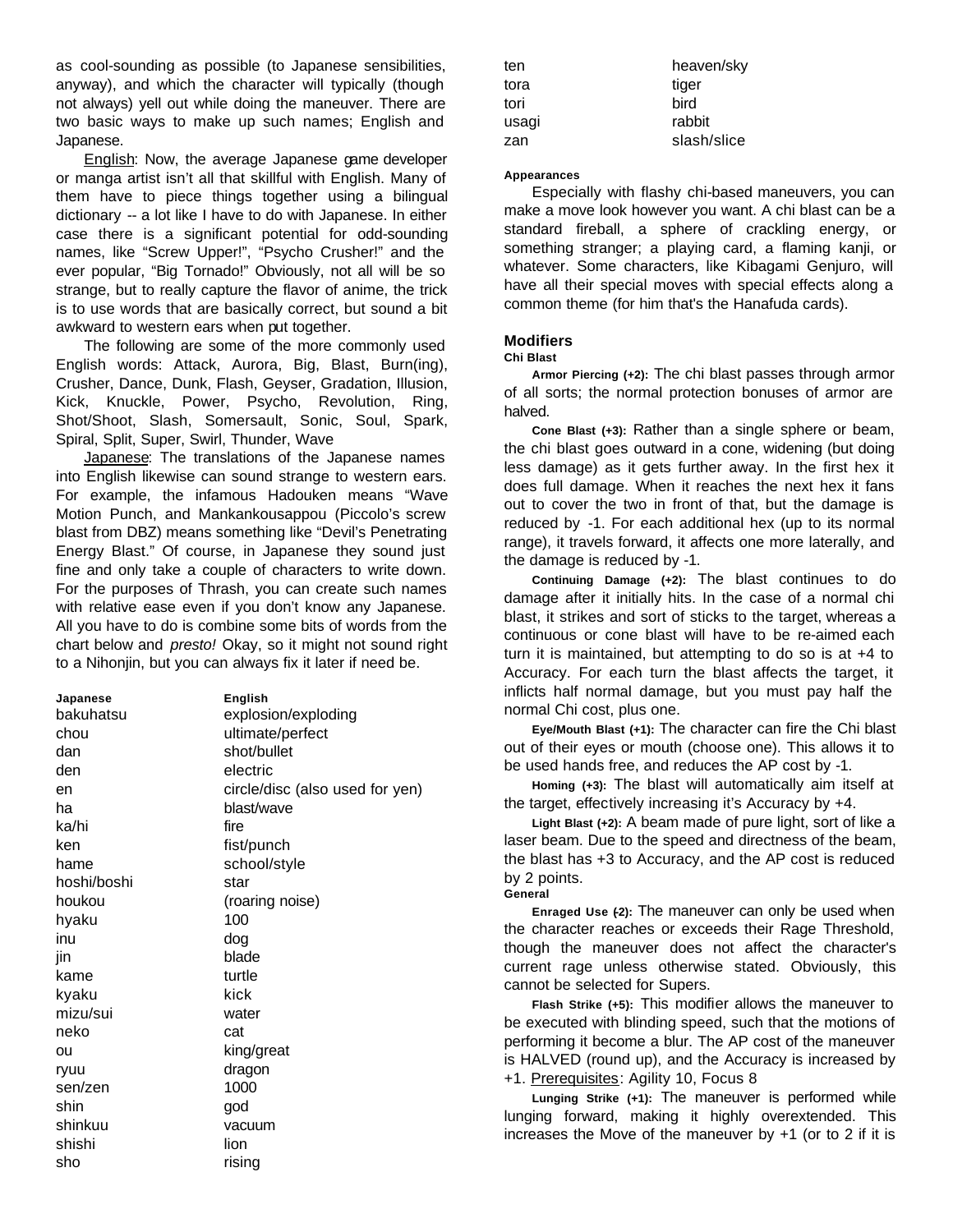as cool-sounding as possible (to Japanese sensibilities, anyway), and which the character will typically (though not always) yell out while doing the maneuver. There are two basic ways to make up such names; English and Japanese.

English: Now, the average Japanese game developer or manga artist isn't all that skillful with English. Many of them have to piece things together using a bilingual dictionary -- a lot like I have to do with Japanese. In either case there is a significant potential for odd-sounding names, like "Screw Upper!", "Psycho Crusher!" and the ever popular, "Big Tornado!" Obviously, not all will be so strange, but to really capture the flavor of anime, the trick is to use words that are basically correct, but sound a bit awkward to western ears when put together.

The following are some of the more commonly used English words: Attack, Aurora, Big, Blast, Burn(ing), Crusher, Dance, Dunk, Flash, Geyser, Gradation, Illusion, Kick, Knuckle, Power, Psycho, Revolution, Ring, Shot/Shoot, Slash, Somersault, Sonic, Soul, Spark, Spiral, Split, Super, Swirl, Thunder, Wave

Japanese: The translations of the Japanese names into English likewise can sound strange to western ears. For example, the infamous Hadouken means "Wave Motion Punch, and Mankankousappou (Piccolo's screw blast from DBZ) means something like "Devil's Penetrating Energy Blast." Of course, in Japanese they sound just fine and only take a couple of characters to write down. For the purposes of Thrash, you can create such names with relative ease even if you don't know any Japanese. All you have to do is combine some bits of words from the chart below and *presto!* Okay, so it might not sound right to a Nihonjin, but you can always fix it later if need be.

| Japanese    | English                         |
|-------------|---------------------------------|
| bakuhatsu   | explosion/exploding             |
| chou        | ultimate/perfect                |
| dan         | shot/bullet                     |
| den         | electric                        |
| en          | circle/disc (also used for yen) |
| ha          | blast/wave                      |
| ka/hi       | fire                            |
| ken         | fist/punch                      |
| hame        | school/style                    |
| hoshi/boshi | star                            |
| houkou      | (roaring noise)                 |
| hyaku       | 100                             |
| inu         | dog                             |
| jin         | blade                           |
| kame        | turtle                          |
| kyaku       | kick                            |
| mizu/sui    | water                           |
| neko        | cat                             |
| ou          | king/great                      |
| ryuu        | dragon                          |
| sen/zen     | 1000                            |
| shin        | god                             |
| shinkuu     | vacuum                          |
| shishi      | lion                            |
| sho         | risina                          |

| heaven/sky  |
|-------------|
| tiger       |
| bird        |
| rabbit      |
| slash/slice |
|             |

## **Appearances**

Especially with flashy chi-based maneuvers, you can make a move look however you want. A chi blast can be a standard fireball, a sphere of crackling energy, or something stranger; a playing card, a flaming kanji, or whatever. Some characters, like Kibagami Genjuro, will have all their special moves with special effects along a common theme (for him that's the Hanafuda cards).

# **Modifiers**

# **Chi Blast**

**Armor Piercing (+2):** The chi blast passes through armor of all sorts; the normal protection bonuses of armor are halved.

**Cone Blast (+3):** Rather than a single sphere or beam, the chi blast goes outward in a cone, widening (but doing less damage) as it gets further away. In the first hex it does full damage. When it reaches the next hex it fans out to cover the two in front of that, but the damage is reduced by -1. For each additional hex (up to its normal range), it travels forward, it affects one more laterally, and the damage is reduced by -1.

**Continuing Damage (+2):** The blast continues to do damage after it initially hits. In the case of a normal chi blast, it strikes and sort of sticks to the target, whereas a continuous or cone blast will have to be re-aimed each turn it is maintained, but attempting to do so is at +4 to Accuracy. For each turn the blast affects the target, it inflicts half normal damage, but you must pay half the normal Chi cost, plus one.

**Eye/Mouth Blast (+1):** The character can fire the Chi blast out of their eyes or mouth (choose one). This allows it to be used hands free, and reduces the AP cost by -1.

**Homing (+3):** The blast will automatically aim itself at the target, effectively increasing it's Accuracy by +4.

**Light Blast (+2):** A beam made of pure light, sort of like a laser beam. Due to the speed and directness of the beam, the blast has +3 to Accuracy, and the AP cost is reduced by 2 points. **General**

**Enraged Use (-2):** The maneuver can only be used when the character reaches or exceeds their Rage Threshold, though the maneuver does not affect the character's current rage unless otherwise stated. Obviously, this cannot be selected for Supers.

**Flash Strike (+5):** This modifier allows the maneuver to be executed with blinding speed, such that the motions of performing it become a blur. The AP cost of the maneuver is HALVED (round up), and the Accuracy is increased by +1. Prerequisites: Agility 10, Focus 8

**Lunging Strike (+1):** The maneuver is performed while lunging forward, making it highly overextended. This increases the Move of the maneuver by  $+1$  (or to 2 if it is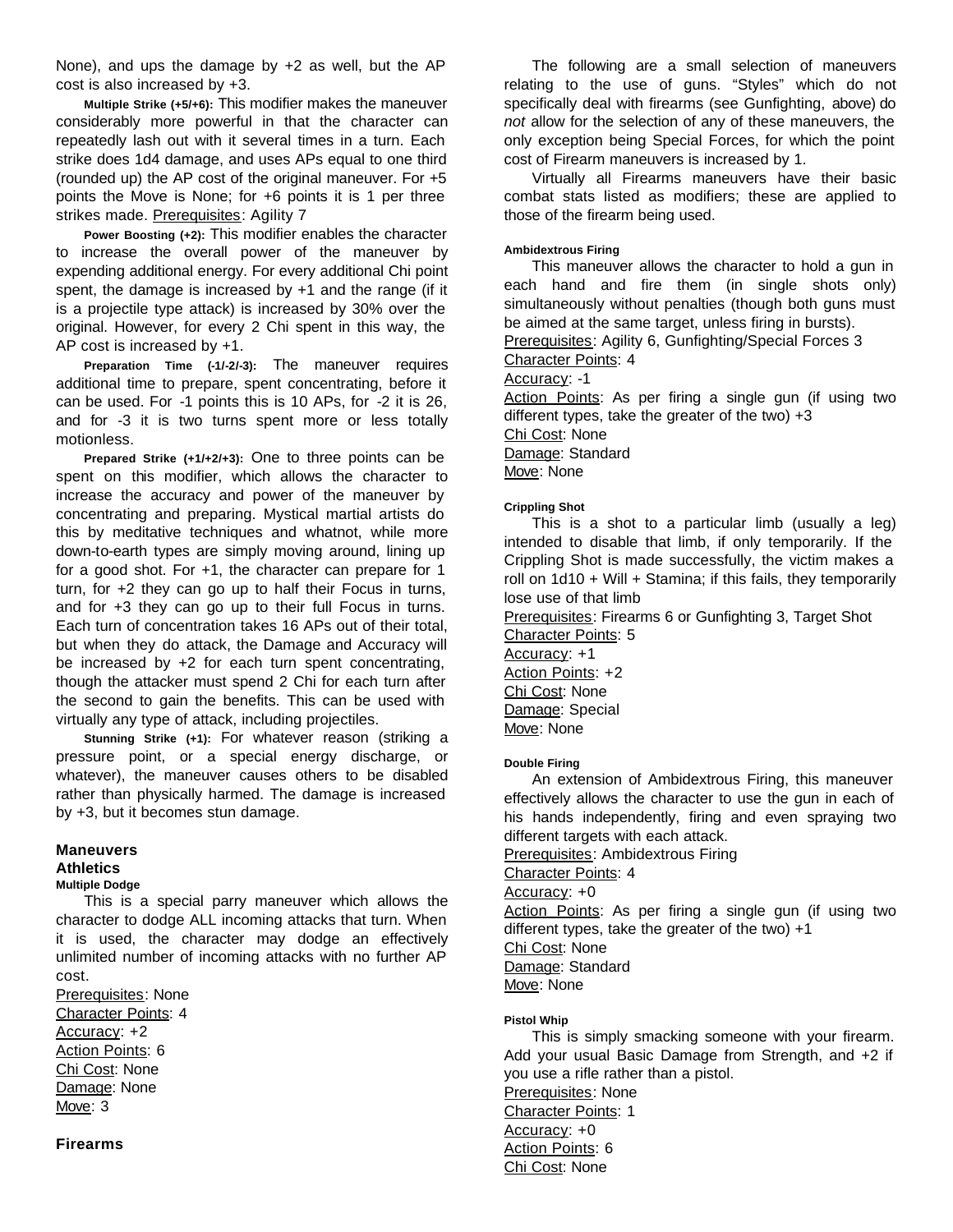None), and ups the damage by +2 as well, but the AP cost is also increased by +3.

**Multiple Strike (+5/+6):** This modifier makes the maneuver considerably more powerful in that the character can repeatedly lash out with it several times in a turn. Each strike does 1d4 damage, and uses APs equal to one third (rounded up) the AP cost of the original maneuver. For +5 points the Move is None; for +6 points it is 1 per three strikes made. Prerequisites: Agility 7

**Power Boosting (+2):** This modifier enables the character to increase the overall power of the maneuver by expending additional energy. For every additional Chi point spent, the damage is increased by +1 and the range (if it is a projectile type attack) is increased by 30% over the original. However, for every 2 Chi spent in this way, the AP cost is increased by +1.

**Preparation Time (-1/-2/-3):** The maneuver requires additional time to prepare, spent concentrating, before it can be used. For -1 points this is 10 APs, for -2 it is 26, and for -3 it is two turns spent more or less totally motionless.

**Prepared Strike (+1/+2/+3):** One to three points can be spent on this modifier, which allows the character to increase the accuracy and power of the maneuver by concentrating and preparing. Mystical martial artists do this by meditative techniques and whatnot, while more down-to-earth types are simply moving around, lining up for a good shot. For +1, the character can prepare for 1 turn, for +2 they can go up to half their Focus in turns, and for +3 they can go up to their full Focus in turns. Each turn of concentration takes 16 APs out of their total, but when they do attack, the Damage and Accuracy will be increased by +2 for each turn spent concentrating, though the attacker must spend 2 Chi for each turn after the second to gain the benefits. This can be used with virtually any type of attack, including projectiles.

**Stunning Strike (+1):** For whatever reason (striking a pressure point, or a special energy discharge, or whatever), the maneuver causes others to be disabled rather than physically harmed. The damage is increased by +3, but it becomes stun damage.

# **Maneuvers**

# **Athletics**

# **Multiple Dodge**

This is a special parry maneuver which allows the character to dodge ALL incoming attacks that turn. When it is used, the character may dodge an effectively unlimited number of incoming attacks with no further AP cost.

Prerequisites: None Character Points: 4 Accuracy: +2 Action Points: 6 Chi Cost: None Damage: None Move: 3

# **Firearms**

The following are a small selection of maneuvers relating to the use of guns. "Styles" which do not specifically deal with firearms (see Gunfighting, above) do *not* allow for the selection of any of these maneuvers, the only exception being Special Forces, for which the point cost of Firearm maneuvers is increased by 1.

Virtually all Firearms maneuvers have their basic combat stats listed as modifiers; these are applied to those of the firearm being used.

# **Ambidextrous Firing**

This maneuver allows the character to hold a gun in each hand and fire them (in single shots only) simultaneously without penalties (though both guns must be aimed at the same target, unless firing in bursts).

Prerequisites: Agility 6, Gunfighting/Special Forces 3

Character Points: 4

Accuracy: -1

Action Points: As per firing a single gun (if using two different types, take the greater of the two)  $+3$ Chi Cost: None Damage: Standard

Move: None

# **Crippling Shot**

This is a shot to a particular limb (usually a leg) intended to disable that limb, if only temporarily. If the Crippling Shot is made successfully, the victim makes a roll on 1d10 + Will + Stamina; if this fails, they temporarily lose use of that limb

Prerequisites: Firearms 6 or Gunfighting 3, Target Shot Character Points: 5

Accuracy: +1 Action Points: +2 Chi Cost: None Damage: Special Move: None

#### **Double Firing**

An extension of Ambidextrous Firing, this maneuver effectively allows the character to use the gun in each of his hands independently, firing and even spraying two different targets with each attack.

Prerequisites: Ambidextrous Firing

Character Points: 4

Accuracy: +0

Action Points: As per firing a single gun (if using two different types, take the greater of the two) +1

Chi Cost: None

Damage: Standard

Move: None

# **Pistol Whip**

This is simply smacking someone with your firearm. Add your usual Basic Damage from Strength, and +2 if you use a rifle rather than a pistol. Prerequisites: None Character Points: 1 Accuracy: +0 Action Points: 6 Chi Cost: None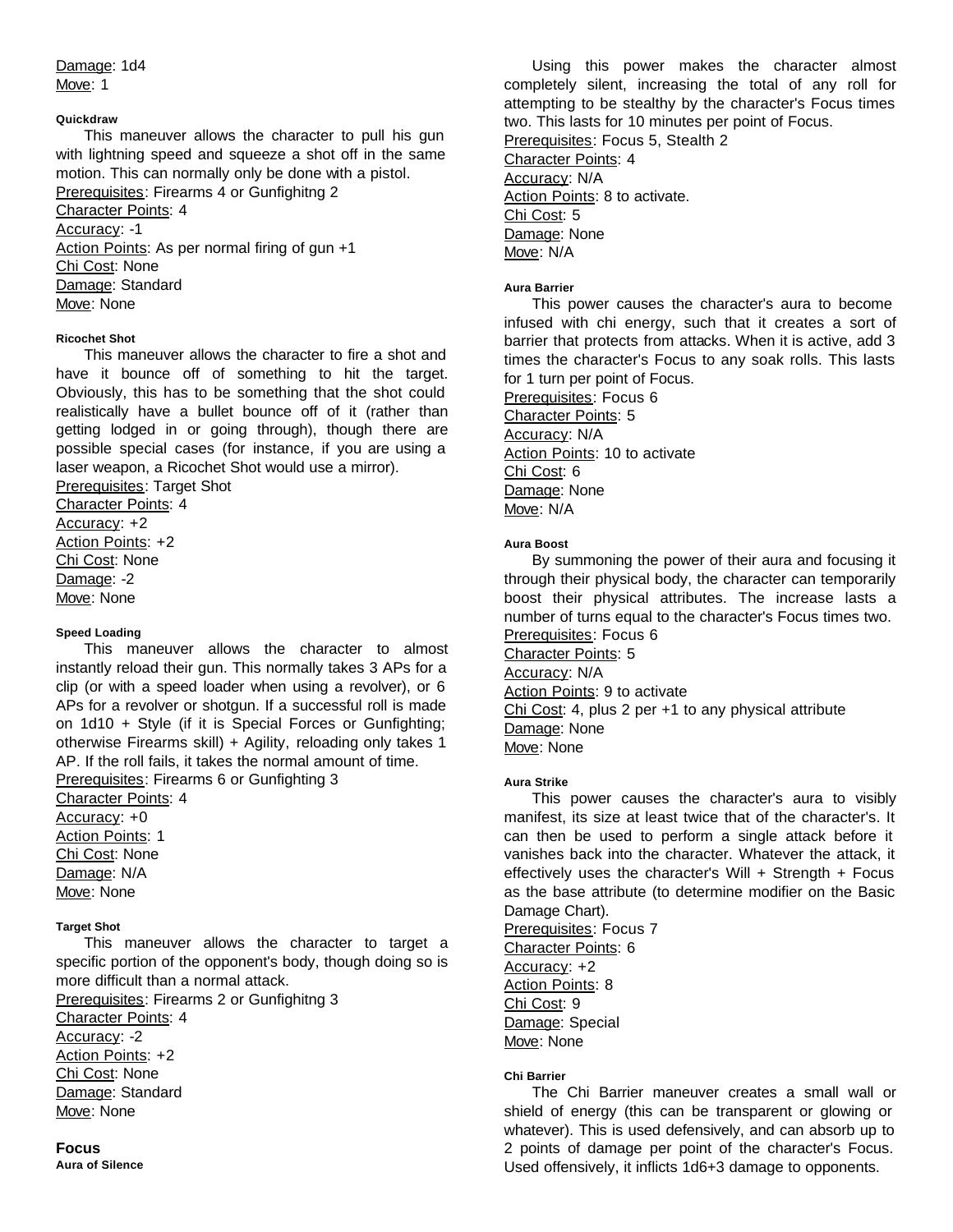Damage: 1d4 Move: 1

# **Quickdraw**

This maneuver allows the character to pull his gun with lightning speed and squeeze a shot off in the same motion. This can normally only be done with a pistol. Prerequisites: Firearms 4 or Gunfighitng 2 Character Points: 4 Accuracy: -1 Action Points: As per normal firing of gun +1 Chi Cost: None Damage: Standard Move: None

# **Ricochet Shot**

This maneuver allows the character to fire a shot and have it bounce off of something to hit the target. Obviously, this has to be something that the shot could realistically have a bullet bounce off of it (rather than getting lodged in or going through), though there are possible special cases (for instance, if you are using a laser weapon, a Ricochet Shot would use a mirror).

**Prerequisites: Target Shot** Character Points: 4 Accuracy: +2 Action Points: +2 Chi Cost: None Damage: -2 Move: None

# **Speed Loading**

This maneuver allows the character to almost instantly reload their gun. This normally takes 3 APs for a clip (or with a speed loader when using a revolver), or 6 APs for a revolver or shotgun. If a successful roll is made on 1d10 + Style (if it is Special Forces or Gunfighting; otherwise Firearms skill) + Agility, reloading only takes 1 AP. If the roll fails, it takes the normal amount of time. Prerequisites: Firearms 6 or Gunfighting 3

Character Points: 4 Accuracy: +0

Action Points: 1 Chi Cost: None Damage: N/A Move: None

# **Target Shot**

This maneuver allows the character to target a specific portion of the opponent's body, though doing so is more difficult than a normal attack.

Prerequisites: Firearms 2 or Gunfighitng 3 Character Points: 4

Accuracy: -2

Action Points: +2 Chi Cost: None Damage: Standard

Move: None

# **Focus**

**Aura of Silence**

Using this power makes the character almost completely silent, increasing the total of any roll for attempting to be stealthy by the character's Focus times two. This lasts for 10 minutes per point of Focus. Prerequisites: Focus 5, Stealth 2 Character Points: 4 Accuracy: N/A Action Points: 8 to activate. Chi Cost: 5 Damage: None Move: N/A

# **Aura Barrier**

This power causes the character's aura to become infused with chi energy, such that it creates a sort of barrier that protects from attacks. When it is active, add 3 times the character's Focus to any soak rolls. This lasts for 1 turn per point of Focus.

Prerequisites: Focus 6 Character Points: 5 Accuracy: N/A Action Points: 10 to activate Chi Cost: 6 Damage: None Move: N/A

# **Aura Boost**

By summoning the power of their aura and focusing it through their physical body, the character can temporarily boost their physical attributes. The increase lasts a number of turns equal to the character's Focus times two. Prerequisites: Focus 6

Character Points: 5 Accuracy: N/A

Action Points: 9 to activate

Chi Cost: 4, plus 2 per +1 to any physical attribute Damage: None

Move: None

# **Aura Strike**

This power causes the character's aura to visibly manifest, its size at least twice that of the character's. It can then be used to perform a single attack before it vanishes back into the character. Whatever the attack, it effectively uses the character's Will  $+$  Strength  $+$  Focus as the base attribute (to determine modifier on the Basic Damage Chart).

Prerequisites: Focus 7 Character Points: 6 Accuracy: +2 Action Points: 8 Chi Cost: 9 Damage: Special Move: None

# **Chi Barrier**

The Chi Barrier maneuver creates a small wall or shield of energy (this can be transparent or glowing or whatever). This is used defensively, and can absorb up to 2 points of damage per point of the character's Focus. Used offensively, it inflicts 1d6+3 damage to opponents.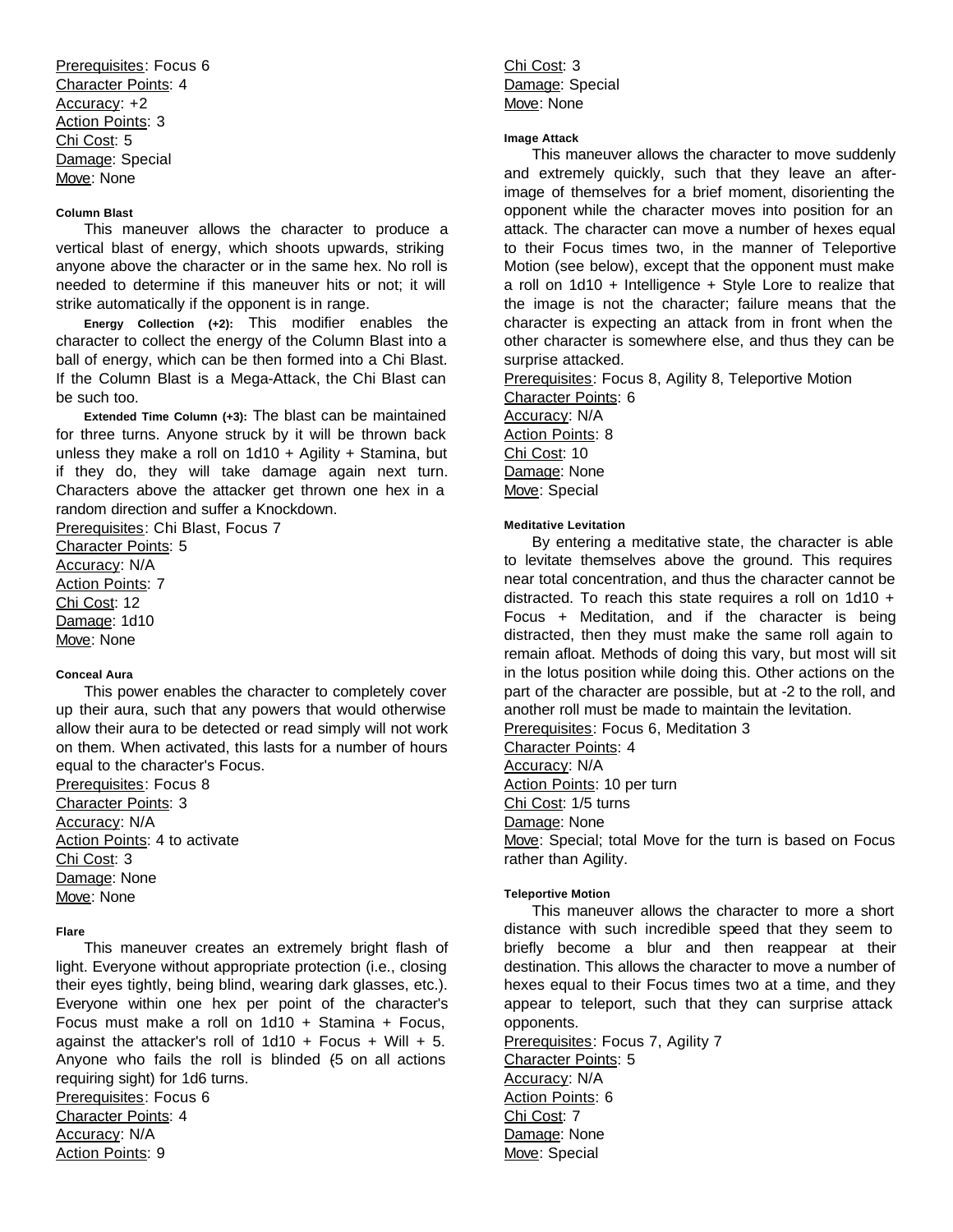Prerequisites: Focus 6 Character Points: 4 Accuracy: +2 Action Points: 3 Chi Cost: 5 Damage: Special Move: None

## **Column Blast**

This maneuver allows the character to produce a vertical blast of energy, which shoots upwards, striking anyone above the character or in the same hex. No roll is needed to determine if this maneuver hits or not; it will strike automatically if the opponent is in range.

**Energy Collection (+2):** This modifier enables the character to collect the energy of the Column Blast into a ball of energy, which can be then formed into a Chi Blast. If the Column Blast is a Mega-Attack, the Chi Blast can be such too.

**Extended Time Column (+3):** The blast can be maintained for three turns. Anyone struck by it will be thrown back unless they make a roll on 1d10 + Agility + Stamina, but if they do, they will take damage again next turn. Characters above the attacker get thrown one hex in a random direction and suffer a Knockdown.

Prerequisites: Chi Blast, Focus 7

Character Points: 5 Accuracy: N/A Action Points: 7 Chi Cost: 12 Damage: 1d10 Move: None

#### **Conceal Aura**

This power enables the character to completely cover up their aura, such that any powers that would otherwise allow their aura to be detected or read simply will not work on them. When activated, this lasts for a number of hours equal to the character's Focus.

Prerequisites: Focus 8 Character Points: 3 Accuracy: N/A Action Points: 4 to activate Chi Cost: 3 Damage: None Move: None

# **Flare**

This maneuver creates an extremely bright flash of light. Everyone without appropriate protection (i.e., closing their eyes tightly, being blind, wearing dark glasses, etc.). Everyone within one hex per point of the character's Focus must make a roll on 1d10 + Stamina + Focus, against the attacker's roll of  $1d10 + Focus + Will + 5$ . Anyone who fails the roll is blinded  $(5 \text{ on all actions})$ requiring sight) for 1d6 turns. Prerequisites: Focus 6 Character Points: 4 Accuracy: N/A

Action Points: 9

Chi Cost: 3 Damage: Special Move: None

#### **Image Attack**

This maneuver allows the character to move suddenly and extremely quickly, such that they leave an afterimage of themselves for a brief moment, disorienting the opponent while the character moves into position for an attack. The character can move a number of hexes equal to their Focus times two, in the manner of Teleportive Motion (see below), except that the opponent must make a roll on 1d10 + Intelligence + Style Lore to realize that the image is not the character; failure means that the character is expecting an attack from in front when the other character is somewhere else, and thus they can be surprise attacked.

Prerequisites: Focus 8, Agility 8, Teleportive Motion

Character Points: 6 Accuracy: N/A Action Points: 8 Chi Cost: 10 Damage: None Move: Special

# **Meditative Levitation**

By entering a meditative state, the character is able to levitate themselves above the ground. This requires near total concentration, and thus the character cannot be distracted. To reach this state requires a roll on 1d10 + Focus + Meditation, and if the character is being distracted, then they must make the same roll again to remain afloat. Methods of doing this vary, but most will sit in the lotus position while doing this. Other actions on the part of the character are possible, but at -2 to the roll, and another roll must be made to maintain the levitation.

Prerequisites: Focus 6, Meditation 3

Character Points: 4

Accuracy: N/A

Action Points: 10 per turn

Chi Cost: 1/5 turns

Damage: None

Move: Special; total Move for the turn is based on Focus rather than Agility.

# **Teleportive Motion**

This maneuver allows the character to more a short distance with such incredible speed that they seem to briefly become a blur and then reappear at their destination. This allows the character to move a number of hexes equal to their Focus times two at a time, and they appear to teleport, such that they can surprise attack opponents.

Prerequisites: Focus 7, Agility 7 Character Points: 5 Accuracy: N/A Action Points: 6 Chi Cost: 7 Damage: None Move: Special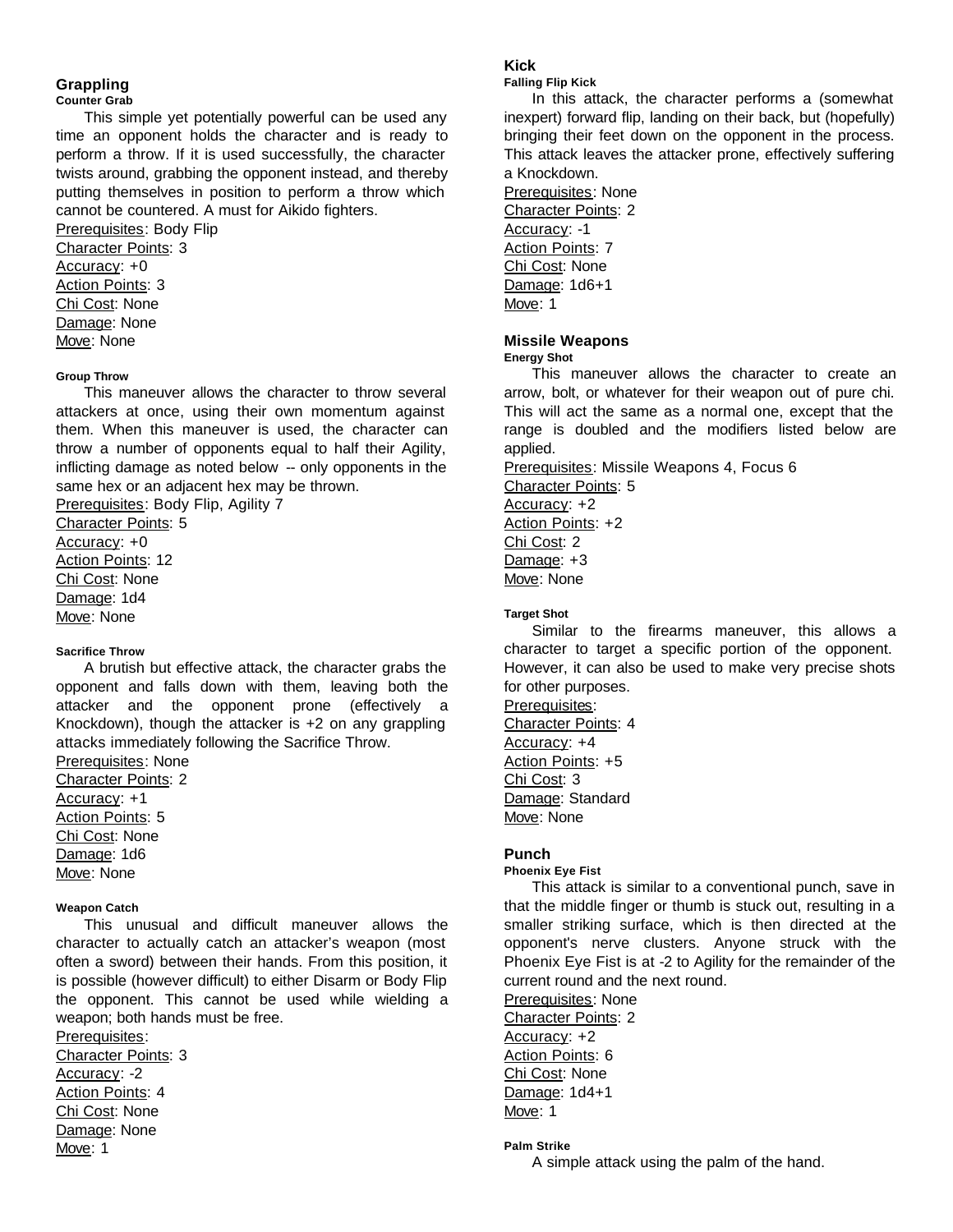# **Grappling**

#### **Counter Grab**

This simple yet potentially powerful can be used any time an opponent holds the character and is ready to perform a throw. If it is used successfully, the character twists around, grabbing the opponent instead, and thereby putting themselves in position to perform a throw which cannot be countered. A must for Aikido fighters.

Prerequisites: Body Flip Character Points: 3 Accuracy: +0 Action Points: 3 Chi Cost: None Damage: None Move: None

# **Group Throw**

This maneuver allows the character to throw several attackers at once, using their own momentum against them. When this maneuver is used, the character can throw a number of opponents equal to half their Agility, inflicting damage as noted below -- only opponents in the same hex or an adjacent hex may be thrown.

Prerequisites: Body Flip, Agility 7

Character Points: 5 Accuracy: +0 Action Points: 12 Chi Cost: None Damage: 1d4 Move: None

#### **Sacrifice Throw**

A brutish but effective attack, the character grabs the opponent and falls down with them, leaving both the attacker and the opponent prone (effectively a Knockdown), though the attacker is +2 on any grappling attacks immediately following the Sacrifice Throw.

Prerequisites: None

Character Points: 2 Accuracy: +1 Action Points: 5 Chi Cost: None Damage: 1d6 Move: None

## **Weapon Catch**

This unusual and difficult maneuver allows the character to actually catch an attacker's weapon (most often a sword) between their hands. From this position, it is possible (however difficult) to either Disarm or Body Flip the opponent. This cannot be used while wielding a weapon; both hands must be free.

Prerequisites: Character Points: 3 Accuracy: -2 Action Points: 4 Chi Cost: None Damage: None Move: 1

# **Kick**

**Falling Flip Kick**

In this attack, the character performs a (somewhat inexpert) forward flip, landing on their back, but (hopefully) bringing their feet down on the opponent in the process. This attack leaves the attacker prone, effectively suffering a Knockdown.

Prerequisites: None Character Points: 2 Accuracy: -1 **Action Points: 7** Chi Cost: None Damage: 1d6+1 Move: 1

# **Missile Weapons**

**Energy Shot**

This maneuver allows the character to create an arrow, bolt, or whatever for their weapon out of pure chi. This will act the same as a normal one, except that the range is doubled and the modifiers listed below are applied.

Prerequisites: Missile Weapons 4, Focus 6 Character Points: 5 Accuracy: +2 Action Points: +2

Chi Cost: 2 Damage: +3 Move: None

#### **Target Shot**

Similar to the firearms maneuver, this allows a character to target a specific portion of the opponent. However, it can also be used to make very precise shots for other purposes.

Prerequisites: Character Points: 4 Accuracy: +4 Action Points: +5 Chi Cost: 3 Damage: Standard Move: None

# **Punch**

**Phoenix Eye Fist**

This attack is similar to a conventional punch, save in that the middle finger or thumb is stuck out, resulting in a smaller striking surface, which is then directed at the opponent's nerve clusters. Anyone struck with the Phoenix Eye Fist is at -2 to Agility for the remainder of the current round and the next round.

Prerequisites: None Character Points: 2 Accuracy: +2 Action Points: 6 Chi Cost: None Damage: 1d4+1 Move: 1

# **Palm Strike**

A simple attack using the palm of the hand.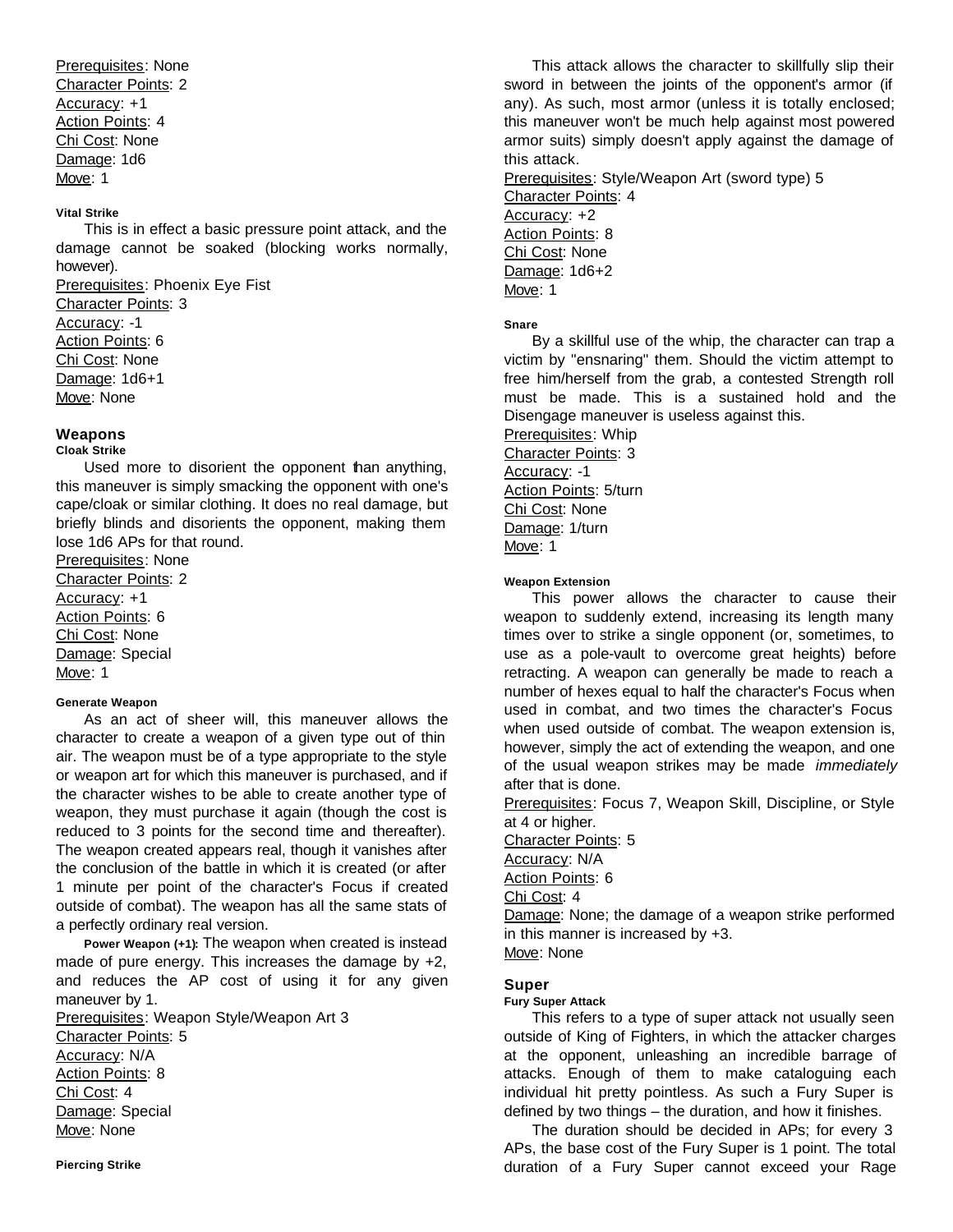Prerequisites: None Character Points: 2 Accuracy: +1 Action Points: 4 Chi Cost: None Damage: 1d6 Move: 1

# **Vital Strike**

This is in effect a basic pressure point attack, and the damage cannot be soaked (blocking works normally, however).

Prerequisites: Phoenix Eye Fist Character Points: 3 Accuracy: -1 Action Points: 6 Chi Cost: None Damage: 1d6+1 Move: None

# **Weapons**

# **Cloak Strike**

Used more to disorient the opponent than anything, this maneuver is simply smacking the opponent with one's cape/cloak or similar clothing. It does no real damage, but briefly blinds and disorients the opponent, making them lose 1d6 APs for that round.

Prerequisites: None Character Points: 2 Accuracy: +1 Action Points: 6 Chi Cost: None Damage: Special Move: 1

# **Generate Weapon**

As an act of sheer will, this maneuver allows the character to create a weapon of a given type out of thin air. The weapon must be of a type appropriate to the style or weapon art for which this maneuver is purchased, and if the character wishes to be able to create another type of weapon, they must purchase it again (though the cost is reduced to 3 points for the second time and thereafter). The weapon created appears real, though it vanishes after the conclusion of the battle in which it is created (or after 1 minute per point of the character's Focus if created outside of combat). The weapon has all the same stats of a perfectly ordinary real version.

**Power Weapon (+1):** The weapon when created is instead made of pure energy. This increases the damage by +2, and reduces the AP cost of using it for any given maneuver by 1.

Prerequisites: Weapon Style/Weapon Art 3 Character Points: 5 Accuracy: N/A Action Points: 8 Chi Cost: 4 Damage: Special Move: None

This attack allows the character to skillfully slip their sword in between the joints of the opponent's armor (if any). As such, most armor (unless it is totally enclosed; this maneuver won't be much help against most powered armor suits) simply doesn't apply against the damage of this attack.

Prerequisites: Style/Weapon Art (sword type) 5 Character Points: 4 Accuracy: +2 Action Points: 8 Chi Cost: None Damage: 1d6+2 Move: 1

#### **Snare**

By a skillful use of the whip, the character can trap a victim by "ensnaring" them. Should the victim attempt to free him/herself from the grab, a contested Strength roll must be made. This is a sustained hold and the Disengage maneuver is useless against this.

Prerequisites: Whip Character Points: 3 Accuracy: -1 Action Points: 5/turn Chi Cost: None Damage: 1/turn Move: 1

# **Weapon Extension**

This power allows the character to cause their weapon to suddenly extend, increasing its length many times over to strike a single opponent (or, sometimes, to use as a pole-vault to overcome great heights) before retracting. A weapon can generally be made to reach a number of hexes equal to half the character's Focus when used in combat, and two times the character's Focus when used outside of combat. The weapon extension is, however, simply the act of extending the weapon, and one of the usual weapon strikes may be made *immediately* after that is done.

Prerequisites: Focus 7, Weapon Skill, Discipline, or Style at 4 or higher.

Character Points: 5

Accuracy: N/A

Action Points: 6

Chi Cost: 4

Damage: None; the damage of a weapon strike performed in this manner is increased by +3. Move: None

# **Super**

**Fury Super Attack**

This refers to a type of super attack not usually seen outside of King of Fighters, in which the attacker charges at the opponent, unleashing an incredible barrage of attacks. Enough of them to make cataloguing each individual hit pretty pointless. As such a Fury Super is defined by two things – the duration, and how it finishes.

The duration should be decided in APs; for every 3 APs, the base cost of the Fury Super is 1 point. The total duration of a Fury Super cannot exceed your Rage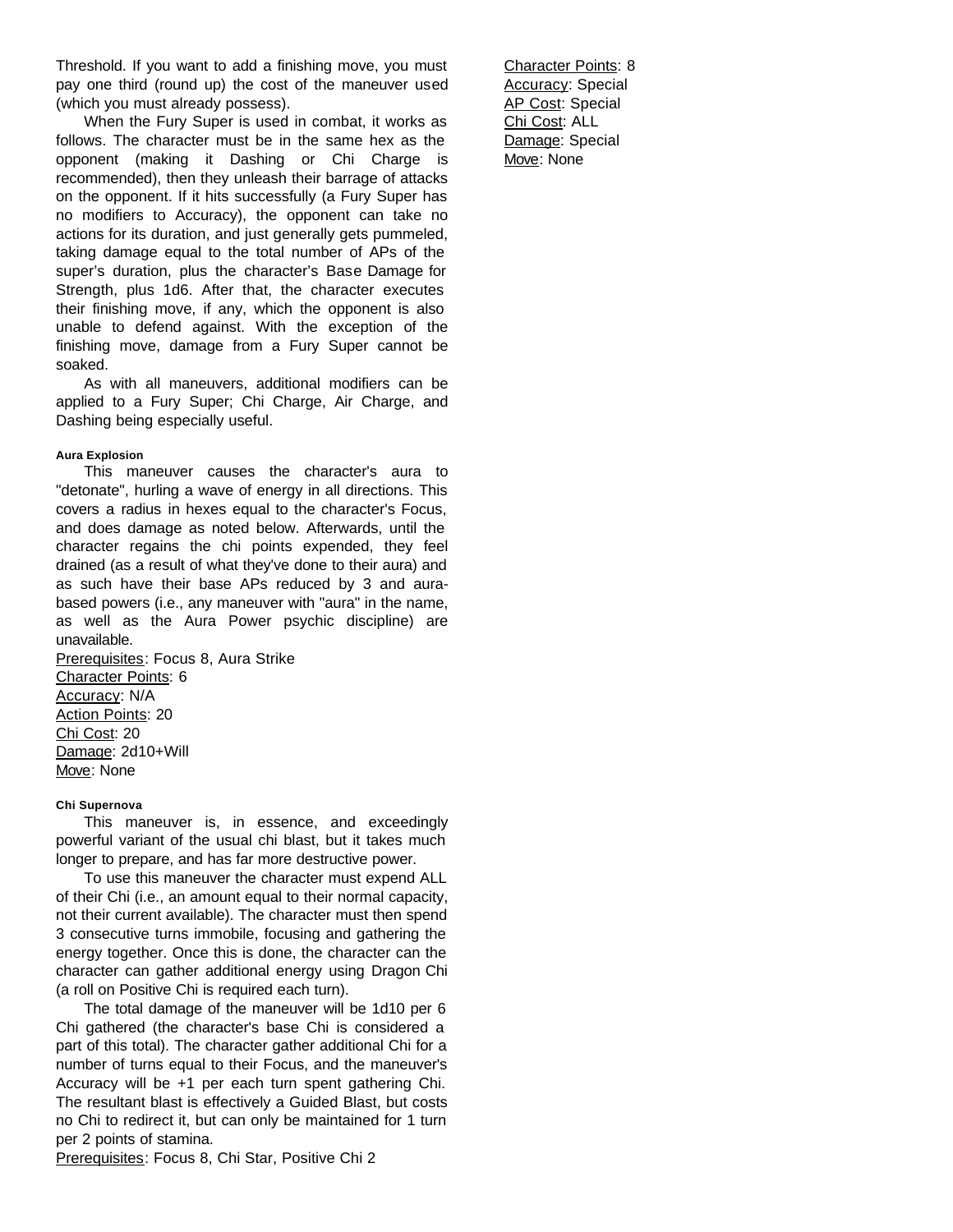Threshold. If you want to add a finishing move, you must pay one third (round up) the cost of the maneuver used (which you must already possess).

When the Fury Super is used in combat, it works as follows. The character must be in the same hex as the opponent (making it Dashing or Chi Charge is recommended), then they unleash their barrage of attacks on the opponent. If it hits successfully (a Fury Super has no modifiers to Accuracy), the opponent can take no actions for its duration, and just generally gets pummeled, taking damage equal to the total number of APs of the super's duration, plus the character's Base Damage for Strength, plus 1d6. After that, the character executes their finishing move, if any, which the opponent is also unable to defend against. With the exception of the finishing move, damage from a Fury Super cannot be soaked.

As with all maneuvers, additional modifiers can be applied to a Fury Super; Chi Charge, Air Charge, and Dashing being especially useful.

# **Aura Explosion**

This maneuver causes the character's aura to "detonate", hurling a wave of energy in all directions. This covers a radius in hexes equal to the character's Focus, and does damage as noted below. Afterwards, until the character regains the chi points expended, they feel drained (as a result of what they've done to their aura) and as such have their base APs reduced by 3 and aurabased powers (i.e., any maneuver with "aura" in the name, as well as the Aura Power psychic discipline) are unavailable.

Prerequisites: Focus 8, Aura Strike Character Points: 6 Accuracy: N/A Action Points: 20 Chi Cost: 20 Damage: 2d10+Will Move: None

# **Chi Supernova**

This maneuver is, in essence, and exceedingly powerful variant of the usual chi blast, but it takes much longer to prepare, and has far more destructive power.

To use this maneuver the character must expend ALL of their Chi (i.e., an amount equal to their normal capacity, not their current available). The character must then spend 3 consecutive turns immobile, focusing and gathering the energy together. Once this is done, the character can the character can gather additional energy using Dragon Chi (a roll on Positive Chi is required each turn).

The total damage of the maneuver will be 1d10 per 6 Chi gathered (the character's base Chi is considered a part of this total). The character gather additional Chi for a number of turns equal to their Focus, and the maneuver's Accuracy will be +1 per each turn spent gathering Chi. The resultant blast is effectively a Guided Blast, but costs no Chi to redirect it, but can only be maintained for 1 turn per 2 points of stamina.

Prerequisites: Focus 8, Chi Star, Positive Chi 2

Character Points: 8 Accuracy: Special AP Cost: Special Chi Cost: ALL Damage: Special Move: None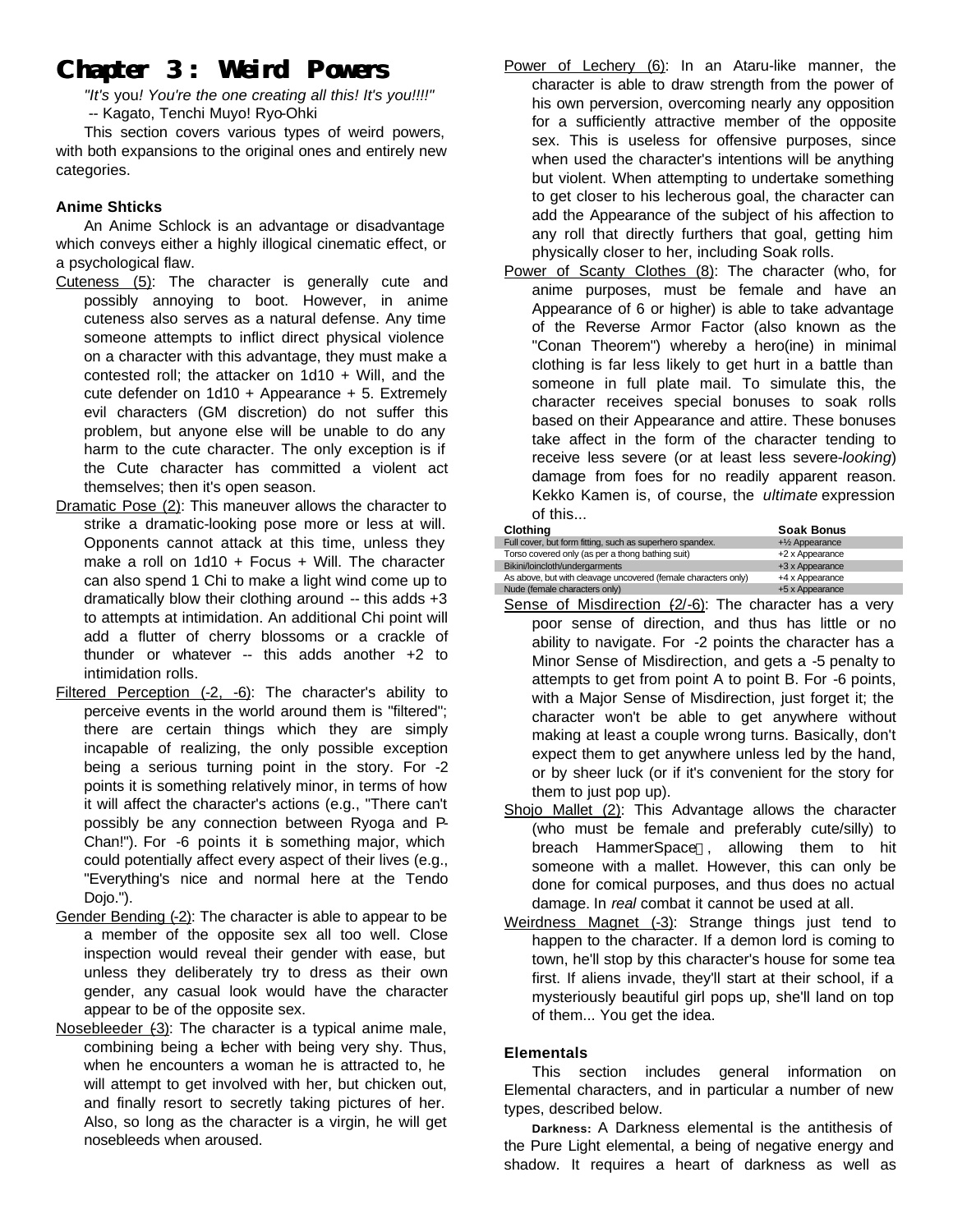# **Chapter 3: Weird Powers**

*"It's* you*! You're the one creating all this! It's you!!!!"* -- Kagato, Tenchi Muyo! Ryo-Ohki

This section covers various types of weird powers, with both expansions to the original ones and entirely new categories.

# **Anime Shticks**

An Anime Schlock is an advantage or disadvantage which conveys either a highly illogical cinematic effect, or a psychological flaw.

- Cuteness (5): The character is generally cute and possibly annoying to boot. However, in anime cuteness also serves as a natural defense. Any time someone attempts to inflict direct physical violence on a character with this advantage, they must make a contested roll; the attacker on 1d10 + Will, and the cute defender on 1d10 + Appearance + 5. Extremely evil characters (GM discretion) do not suffer this problem, but anyone else will be unable to do any harm to the cute character. The only exception is if the Cute character has committed a violent act themselves; then it's open season.
- Dramatic Pose (2): This maneuver allows the character to strike a dramatic-looking pose more or less at will. Opponents cannot attack at this time, unless they make a roll on 1d10 + Focus + Will. The character can also spend 1 Chi to make a light wind come up to dramatically blow their clothing around -- this adds +3 to attempts at intimidation. An additional Chi point will add a flutter of cherry blossoms or a crackle of thunder or whatever -- this adds another +2 to intimidation rolls.
- Filtered Perception (-2, -6): The character's ability to perceive events in the world around them is "filtered"; there are certain things which they are simply incapable of realizing, the only possible exception being a serious turning point in the story. For -2 points it is something relatively minor, in terms of how it will affect the character's actions (e.g., "There can't possibly be any connection between Ryoga and P-Chan!"). For -6 points it is something major, which could potentially affect every aspect of their lives (e.g., "Everything's nice and normal here at the Tendo Dojo.").
- Gender Bending (-2): The character is able to appear to be a member of the opposite sex all too well. Close inspection would reveal their gender with ease, but unless they deliberately try to dress as their own gender, any casual look would have the character appear to be of the opposite sex.
- Nosebleeder (-3): The character is a typical anime male, combining being a lecher with being very shy. Thus, when he encounters a woman he is attracted to, he will attempt to get involved with her, but chicken out, and finally resort to secretly taking pictures of her. Also, so long as the character is a virgin, he will get nosebleeds when aroused.
- Power of Lechery (6): In an Ataru-like manner, the character is able to draw strength from the power of his own perversion, overcoming nearly any opposition for a sufficiently attractive member of the opposite sex. This is useless for offensive purposes, since when used the character's intentions will be anything but violent. When attempting to undertake something to get closer to his lecherous goal, the character can add the Appearance of the subject of his affection to any roll that directly furthers that goal, getting him physically closer to her, including Soak rolls.
- Power of Scanty Clothes (8): The character (who, for anime purposes, must be female and have an Appearance of 6 or higher) is able to take advantage of the Reverse Armor Factor (also known as the "Conan Theorem") whereby a hero(ine) in minimal clothing is far less likely to get hurt in a battle than someone in full plate mail. To simulate this, the character receives special bonuses to soak rolls based on their Appearance and attire. These bonuses take affect in the form of the character tending to receive less severe (or at least less severe-*looking*) damage from foes for no readily apparent reason. Kekko Kamen is, of course, the *ultimate* expression of this...

| <b>Clothing</b>                                                | <b>Soak Bonus</b>                          |
|----------------------------------------------------------------|--------------------------------------------|
| Full cover, but form fitting, such as superhero spandex.       | $+$ <sup>1</sup> / <sub>2</sub> Appearance |
| Torso covered only (as per a thong bathing suit)               | +2 x Appearance                            |
| Bikini/loincloth/undergarments                                 | +3 x Appearance                            |
| As above, but with cleavage uncovered (female characters only) | +4 x Appearance                            |
| Nude (female characters only)                                  | +5 x Appearance                            |

- Sense of Misdirection  $(2/-6)$ : The character has a very poor sense of direction, and thus has little or no ability to navigate. For -2 points the character has a Minor Sense of Misdirection, and gets a -5 penalty to attempts to get from point A to point B. For -6 points, with a Major Sense of Misdirection, just forget it; the character won't be able to get anywhere without making at least a couple wrong turns. Basically, don't expect them to get anywhere unless led by the hand, or by sheer luck (or if it's convenient for the story for them to just pop up).
- Shojo Mallet (2): This Advantage allows the character (who must be female and preferably cute/silly) to breach HammerSpace<sup>M</sup>, allowing them to hit someone with a mallet. However, this can only be done for comical purposes, and thus does no actual damage. In *real* combat it cannot be used at all.
- Weirdness Magnet (-3): Strange things just tend to happen to the character. If a demon lord is coming to town, he'll stop by this character's house for some tea first. If aliens invade, they'll start at their school, if a mysteriously beautiful girl pops up, she'll land on top of them... You get the idea.

# **Elementals**

This section includes general information on Elemental characters, and in particular a number of new types, described below.

**Darkness:** A Darkness elemental is the antithesis of the Pure Light elemental, a being of negative energy and shadow. It requires a heart of darkness as well as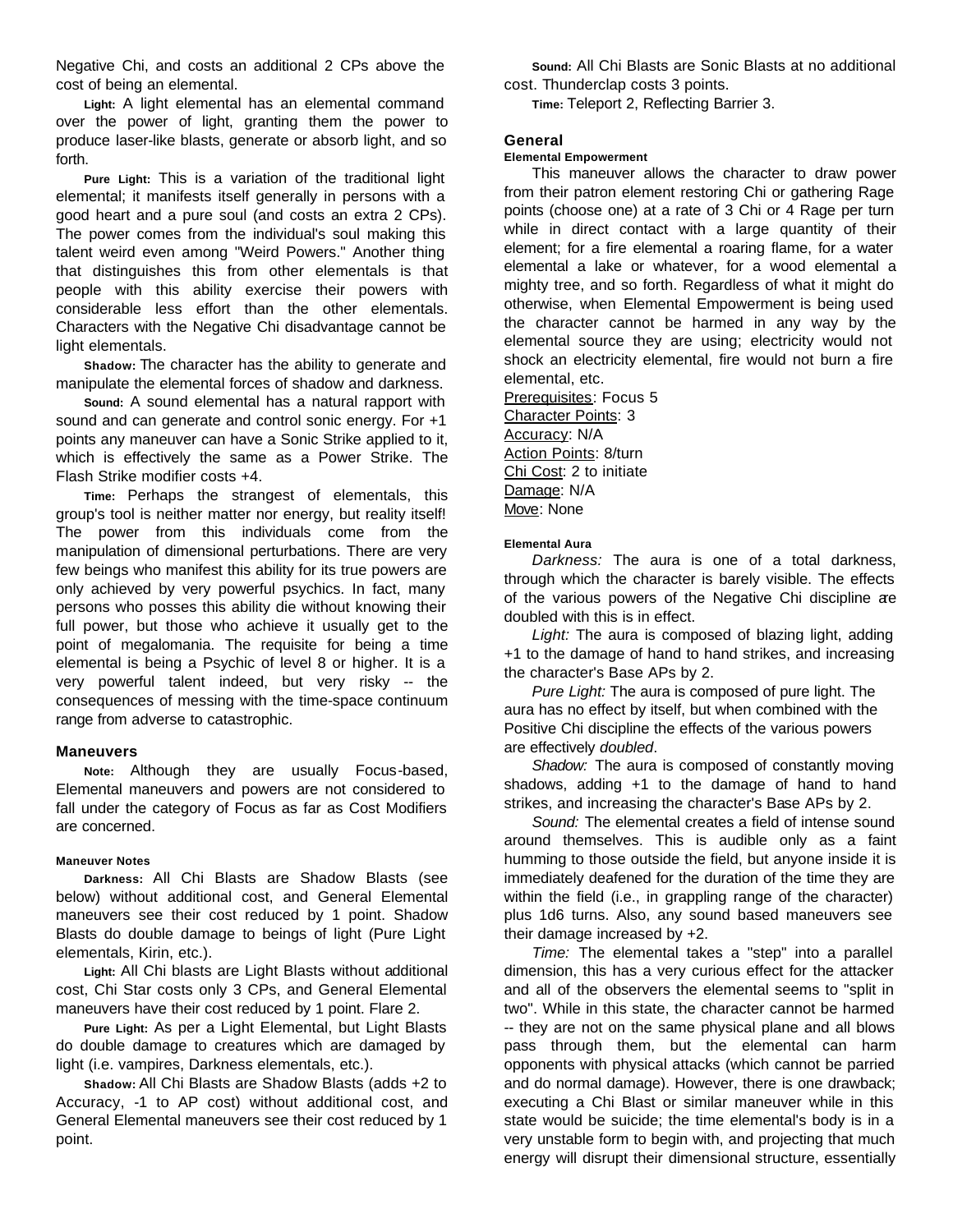Negative Chi, and costs an additional 2 CPs above the cost of being an elemental.

**Light:** A light elemental has an elemental command over the power of light, granting them the power to produce laser-like blasts, generate or absorb light, and so forth.

**Pure Light:** This is a variation of the traditional light elemental; it manifests itself generally in persons with a good heart and a pure soul (and costs an extra 2 CPs). The power comes from the individual's soul making this talent weird even among "Weird Powers." Another thing that distinguishes this from other elementals is that people with this ability exercise their powers with considerable less effort than the other elementals. Characters with the Negative Chi disadvantage cannot be light elementals.

**Shadow:** The character has the ability to generate and manipulate the elemental forces of shadow and darkness.

**Sound:** A sound elemental has a natural rapport with sound and can generate and control sonic energy. For +1 points any maneuver can have a Sonic Strike applied to it, which is effectively the same as a Power Strike. The Flash Strike modifier costs +4.

**Time:** Perhaps the strangest of elementals, this group's tool is neither matter nor energy, but reality itself! The power from this individuals come from the manipulation of dimensional perturbations. There are very few beings who manifest this ability for its true powers are only achieved by very powerful psychics. In fact, many persons who posses this ability die without knowing their full power, but those who achieve it usually get to the point of megalomania. The requisite for being a time elemental is being a Psychic of level 8 or higher. It is a very powerful talent indeed, but very risky -- the consequences of messing with the time-space continuum range from adverse to catastrophic.

# **Maneuvers**

**Note:** Although they are usually Focus-based, Elemental maneuvers and powers are not considered to fall under the category of Focus as far as Cost Modifiers are concerned.

# **Maneuver Notes**

**Darkness:** All Chi Blasts are Shadow Blasts (see below) without additional cost, and General Elemental maneuvers see their cost reduced by 1 point. Shadow Blasts do double damage to beings of light (Pure Light elementals, Kirin, etc.).

**Light:** All Chi blasts are Light Blasts without additional cost, Chi Star costs only 3 CPs, and General Elemental maneuvers have their cost reduced by 1 point. Flare 2.

**Pure Light:** As per a Light Elemental, but Light Blasts do double damage to creatures which are damaged by light (i.e. vampires, Darkness elementals, etc.).

**Shadow:** All Chi Blasts are Shadow Blasts (adds +2 to Accuracy, -1 to AP cost) without additional cost, and General Elemental maneuvers see their cost reduced by 1 point.

**Sound:** All Chi Blasts are Sonic Blasts at no additional cost. Thunderclap costs 3 points.

**Time:** Teleport 2, Reflecting Barrier 3.

# **General**

# **Elemental Empowerment**

This maneuver allows the character to draw power from their patron element restoring Chi or gathering Rage points (choose one) at a rate of 3 Chi or 4 Rage per turn while in direct contact with a large quantity of their element; for a fire elemental a roaring flame, for a water elemental a lake or whatever, for a wood elemental a mighty tree, and so forth. Regardless of what it might do otherwise, when Elemental Empowerment is being used the character cannot be harmed in any way by the elemental source they are using; electricity would not shock an electricity elemental, fire would not burn a fire elemental, etc.

Prerequisites: Focus 5 Character Points: 3 Accuracy: N/A **Action Points: 8/turn** Chi Cost: 2 to initiate Damage: N/A Move: None

# **Elemental Aura**

*Darkness:* The aura is one of a total darkness, through which the character is barely visible. The effects of the various powers of the Negative Chi discipline ae doubled with this is in effect.

*Light:* The aura is composed of blazing light, adding +1 to the damage of hand to hand strikes, and increasing the character's Base APs by 2.

*Pure Light:* The aura is composed of pure light. The aura has no effect by itself, but when combined with the Positive Chi discipline the effects of the various powers are effectively *doubled*.

*Shadow:* The aura is composed of constantly moving shadows, adding +1 to the damage of hand to hand strikes, and increasing the character's Base APs by 2.

*Sound:* The elemental creates a field of intense sound around themselves. This is audible only as a faint humming to those outside the field, but anyone inside it is immediately deafened for the duration of the time they are within the field (i.e., in grappling range of the character) plus 1d6 turns. Also, any sound based maneuvers see their damage increased by +2.

*Time:* The elemental takes a "step" into a parallel dimension, this has a very curious effect for the attacker and all of the observers the elemental seems to "split in two". While in this state, the character cannot be harmed -- they are not on the same physical plane and all blows pass through them, but the elemental can harm opponents with physical attacks (which cannot be parried and do normal damage). However, there is one drawback; executing a Chi Blast or similar maneuver while in this state would be suicide; the time elemental's body is in a very unstable form to begin with, and projecting that much energy will disrupt their dimensional structure, essentially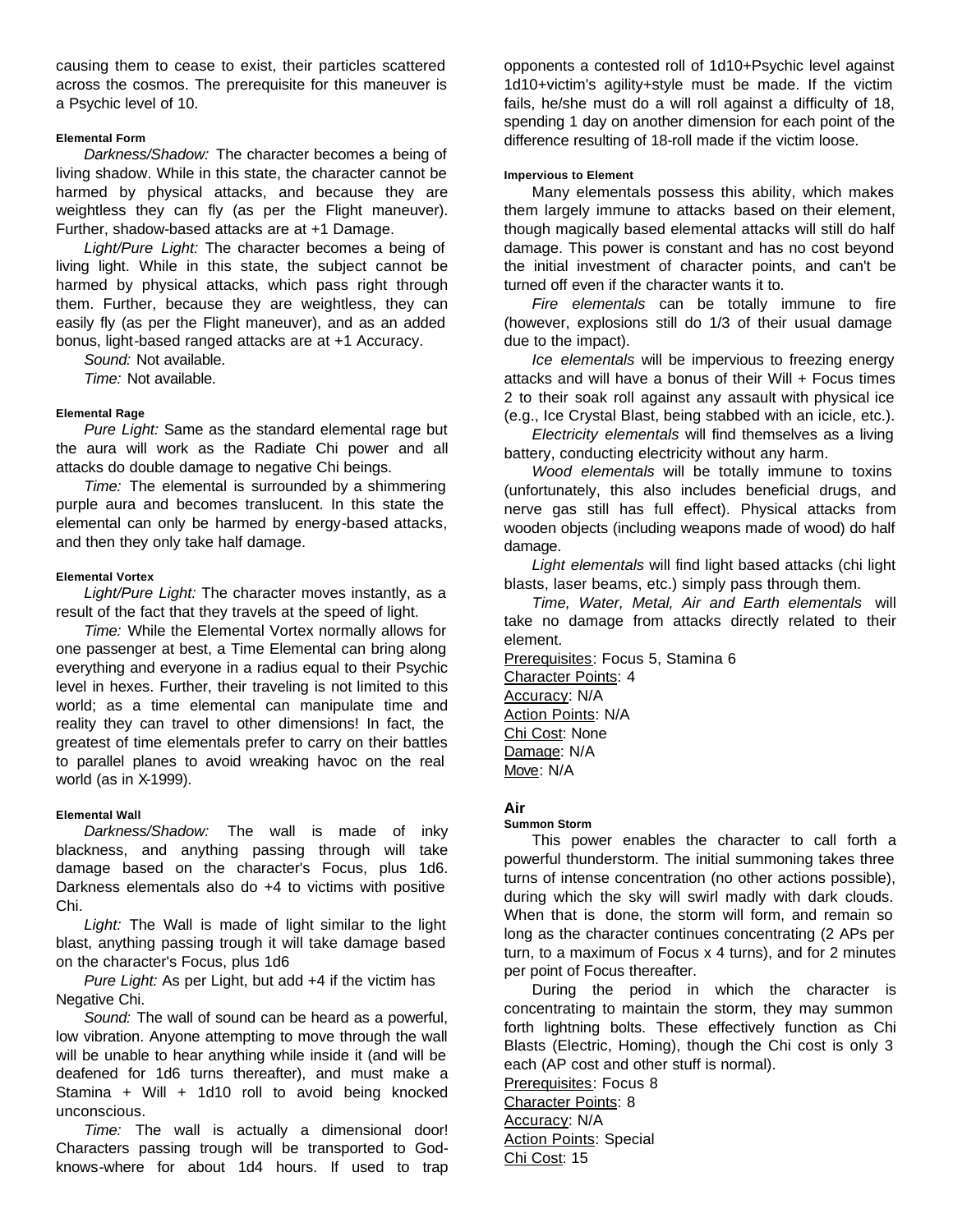causing them to cease to exist, their particles scattered across the cosmos. The prerequisite for this maneuver is a Psychic level of 10.

# **Elemental Form**

*Darkness/Shadow:* The character becomes a being of living shadow. While in this state, the character cannot be harmed by physical attacks, and because they are weightless they can fly (as per the Flight maneuver). Further, shadow-based attacks are at +1 Damage.

*Light/Pure Light:* The character becomes a being of living light. While in this state, the subject cannot be harmed by physical attacks, which pass right through them. Further, because they are weightless, they can easily fly (as per the Flight maneuver), and as an added bonus, light-based ranged attacks are at +1 Accuracy.

*Sound:* Not available. *Time:* Not available.

#### **Elemental Rage**

*Pure Light:* Same as the standard elemental rage but the aura will work as the Radiate Chi power and all attacks do double damage to negative Chi beings.

*Time:* The elemental is surrounded by a shimmering purple aura and becomes translucent. In this state the elemental can only be harmed by energy-based attacks, and then they only take half damage.

#### **Elemental Vortex**

*Light/Pure Light:* The character moves instantly, as a result of the fact that they travels at the speed of light.

*Time:* While the Elemental Vortex normally allows for one passenger at best, a Time Elemental can bring along everything and everyone in a radius equal to their Psychic level in hexes. Further, their traveling is not limited to this world; as a time elemental can manipulate time and reality they can travel to other dimensions! In fact, the greatest of time elementals prefer to carry on their battles to parallel planes to avoid wreaking havoc on the real world (as in X-1999).

# **Elemental Wall**

*Darkness/Shadow:* The wall is made of inky blackness, and anything passing through will take damage based on the character's Focus, plus 1d6. Darkness elementals also do +4 to victims with positive Chi.

*Light:* The Wall is made of light similar to the light blast, anything passing trough it will take damage based on the character's Focus, plus 1d6

*Pure Light:* As per Light, but add +4 if the victim has Negative Chi.

*Sound:* The wall of sound can be heard as a powerful, low vibration. Anyone attempting to move through the wall will be unable to hear anything while inside it (and will be deafened for 1d6 turns thereafter), and must make a Stamina + Will + 1d10 roll to avoid being knocked unconscious.

*Time:* The wall is actually a dimensional door! Characters passing trough will be transported to Godknows-where for about 1d4 hours. If used to trap opponents a contested roll of 1d10+Psychic level against 1d10+victim's agility+style must be made. If the victim fails, he/she must do a will roll against a difficulty of 18, spending 1 day on another dimension for each point of the difference resulting of 18-roll made if the victim loose.

## **Impervious to Element**

Many elementals possess this ability, which makes them largely immune to attacks based on their element, though magically based elemental attacks will still do half damage. This power is constant and has no cost beyond the initial investment of character points, and can't be turned off even if the character wants it to.

*Fire elementals* can be totally immune to fire (however, explosions still do 1/3 of their usual damage due to the impact).

*Ice elementals* will be impervious to freezing energy attacks and will have a bonus of their Will + Focus times 2 to their soak roll against any assault with physical ice (e.g., Ice Crystal Blast, being stabbed with an icicle, etc.).

*Electricity elementals* will find themselves as a living battery, conducting electricity without any harm.

*Wood elementals* will be totally immune to toxins (unfortunately, this also includes beneficial drugs, and nerve gas still has full effect). Physical attacks from wooden objects (including weapons made of wood) do half damage.

*Light elementals* will find light based attacks (chi light blasts, laser beams, etc.) simply pass through them.

*Time, Water, Metal, Air and Earth elementals* will take no damage from attacks directly related to their element.

Prerequisites: Focus 5, Stamina 6 Character Points: 4 Accuracy: N/A Action Points: N/A Chi Cost: None Damage: N/A Move: N/A

# **Air**

#### **Summon Storm**

This power enables the character to call forth a powerful thunderstorm. The initial summoning takes three turns of intense concentration (no other actions possible), during which the sky will swirl madly with dark clouds. When that is done, the storm will form, and remain so long as the character continues concentrating (2 APs per turn, to a maximum of Focus x 4 turns), and for 2 minutes per point of Focus thereafter.

During the period in which the character is concentrating to maintain the storm, they may summon forth lightning bolts. These effectively function as Chi Blasts (Electric, Homing), though the Chi cost is only 3 each (AP cost and other stuff is normal).

Prerequisites: Focus 8

Character Points: 8

Accuracy: N/A Action Points: Special Chi Cost: 15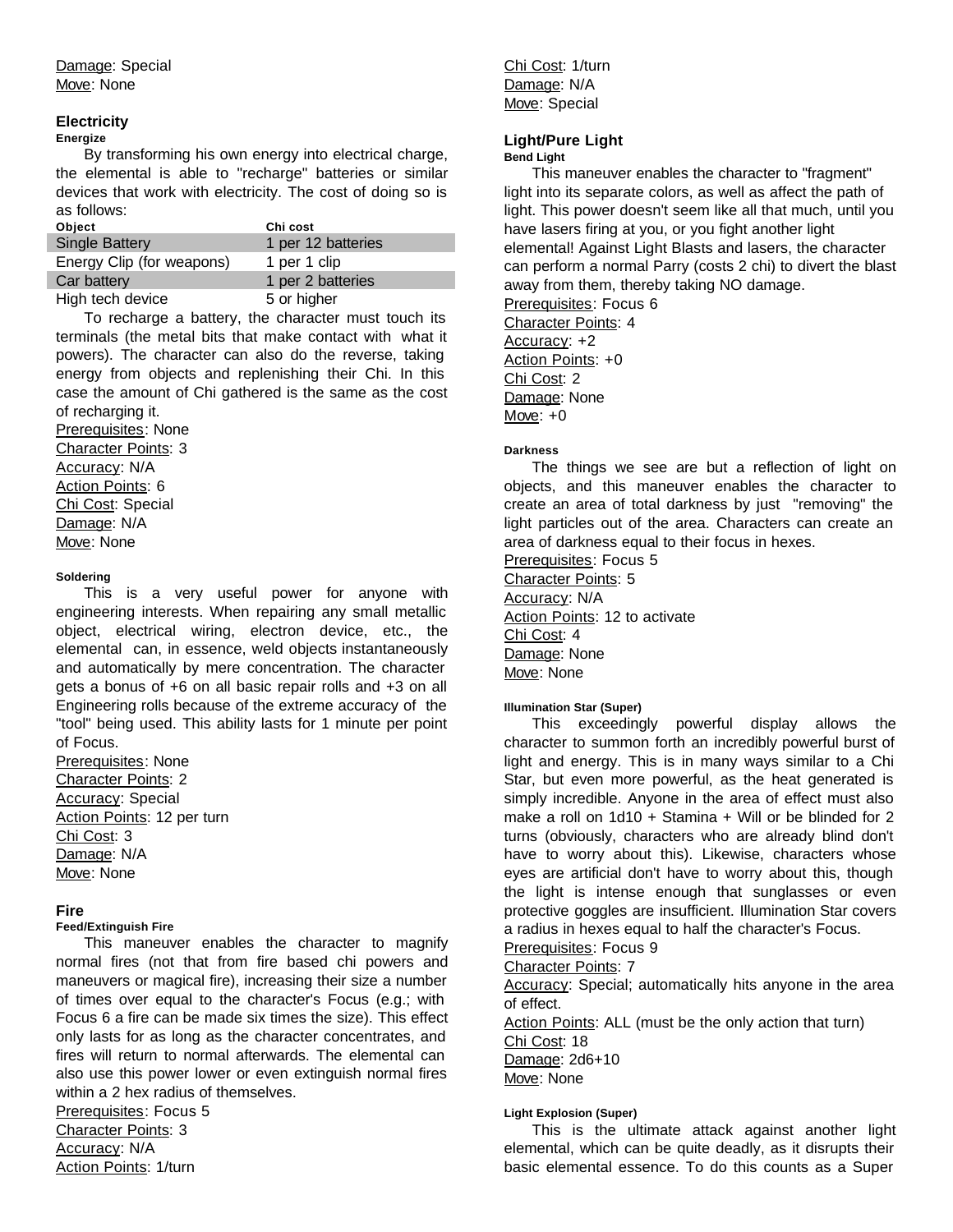# **Electricity**

# **Energize**

By transforming his own energy into electrical charge, the elemental is able to "recharge" batteries or similar devices that work with electricity. The cost of doing so is as follows:

| Object                    | Chi cost           |
|---------------------------|--------------------|
| <b>Single Battery</b>     | 1 per 12 batteries |
| Energy Clip (for weapons) | 1 per 1 clip       |
| Car battery               | 1 per 2 batteries  |
| High tech device          | 5 or higher        |

To recharge a battery, the character must touch its terminals (the metal bits that make contact with what it powers). The character can also do the reverse, taking energy from objects and replenishing their Chi. In this case the amount of Chi gathered is the same as the cost of recharging it.

Prerequisites: None Character Points: 3 Accuracy: N/A Action Points: 6 Chi Cost: Special Damage: N/A Move: None

# **Soldering**

This is a very useful power for anyone with engineering interests. When repairing any small metallic object, electrical wiring, electron device, etc., the elemental can, in essence, weld objects instantaneously and automatically by mere concentration. The character gets a bonus of +6 on all basic repair rolls and +3 on all Engineering rolls because of the extreme accuracy of the "tool" being used. This ability lasts for 1 minute per point of Focus.

Prerequisites: None Character Points: 2 Accuracy: Special Action Points: 12 per turn Chi Cost: 3 Damage: N/A Move: None

# **Fire**

# **Feed/Extinguish Fire**

This maneuver enables the character to magnify normal fires (not that from fire based chi powers and maneuvers or magical fire), increasing their size a number of times over equal to the character's Focus (e.g.; with Focus 6 a fire can be made six times the size). This effect only lasts for as long as the character concentrates, and fires will return to normal afterwards. The elemental can also use this power lower or even extinguish normal fires within a 2 hex radius of themselves.

Prerequisites: Focus 5 Character Points: 3 Accuracy: N/A Action Points: 1/turn

Chi Cost: 1/turn Damage: N/A Move: Special

# **Light/Pure Light**

# **Bend Light**

This maneuver enables the character to "fragment" light into its separate colors, as well as affect the path of light. This power doesn't seem like all that much, until you have lasers firing at you, or you fight another light elemental! Against Light Blasts and lasers, the character can perform a normal Parry (costs 2 chi) to divert the blast away from them, thereby taking NO damage.

Prerequisites: Focus 6 Character Points: 4 Accuracy: +2 Action Points: +0 Chi Cost: 2 Damage: None Move: +0

# **Darkness**

The things we see are but a reflection of light on objects, and this maneuver enables the character to create an area of total darkness by just "removing" the light particles out of the area. Characters can create an area of darkness equal to their focus in hexes.

Prerequisites: Focus 5 Character Points: 5 Accuracy: N/A Action Points: 12 to activate Chi Cost: 4 Damage: None Move: None

# **Illumination Star (Super)**

This exceedingly powerful display allows the character to summon forth an incredibly powerful burst of light and energy. This is in many ways similar to a Chi Star, but even more powerful, as the heat generated is simply incredible. Anyone in the area of effect must also make a roll on 1d10  $+$  Stamina  $+$  Will or be blinded for 2 turns (obviously, characters who are already blind don't have to worry about this). Likewise, characters whose eyes are artificial don't have to worry about this, though the light is intense enough that sunglasses or even protective goggles are insufficient. Illumination Star covers a radius in hexes equal to half the character's Focus. Prerequisites: Focus 9

Character Points: 7

Accuracy: Special; automatically hits anyone in the area of effect.

Action Points: ALL (must be the only action that turn) Chi Cost: 18 Damage: 2d6+10 Move: None

# **Light Explosion (Super)**

This is the ultimate attack against another light elemental, which can be quite deadly, as it disrupts their basic elemental essence. To do this counts as a Super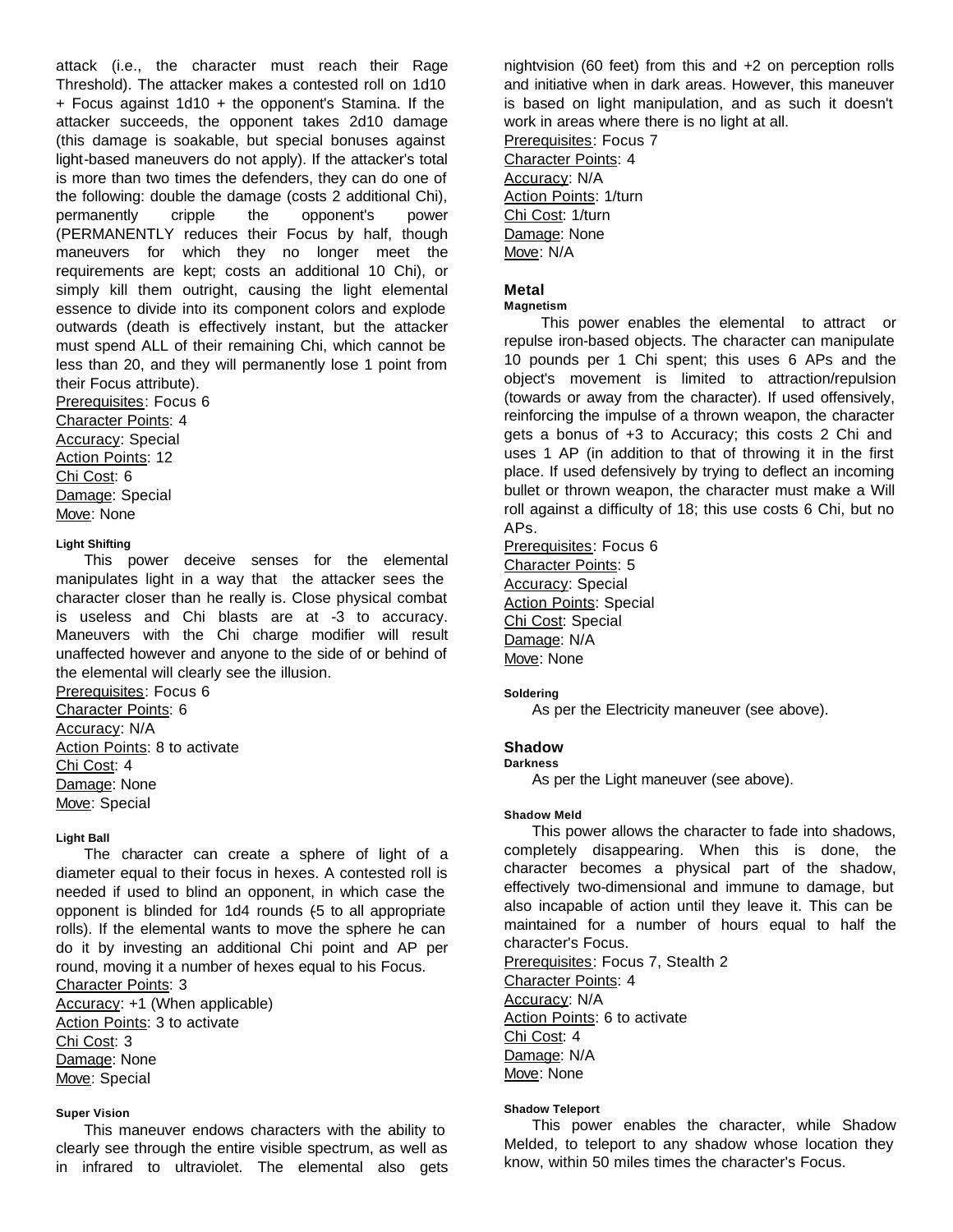attack (i.e., the character must reach their Rage Threshold). The attacker makes a contested roll on 1d10 + Focus against 1d10 + the opponent's Stamina. If the attacker succeeds, the opponent takes 2d10 damage (this damage is soakable, but special bonuses against light-based maneuvers do not apply). If the attacker's total is more than two times the defenders, they can do one of the following: double the damage (costs 2 additional Chi), permanently cripple the opponent's power (PERMANENTLY reduces their Focus by half, though maneuvers for which they no longer meet the requirements are kept; costs an additional 10 Chi), or simply kill them outright, causing the light elemental essence to divide into its component colors and explode outwards (death is effectively instant, but the attacker must spend ALL of their remaining Chi, which cannot be less than 20, and they will permanently lose 1 point from their Focus attribute).

Prerequisites: Focus 6 Character Points: 4 Accuracy: Special Action Points: 12 Chi Cost: 6 Damage: Special Move: None

#### **Light Shifting**

This power deceive senses for the elemental manipulates light in a way that the attacker sees the character closer than he really is. Close physical combat is useless and Chi blasts are at -3 to accuracy. Maneuvers with the Chi charge modifier will result unaffected however and anyone to the side of or behind of the elemental will clearly see the illusion.

Prerequisites: Focus 6 Character Points: 6 Accuracy: N/A Action Points: 8 to activate Chi Cost: 4 Damage: None Move: Special

# **Light Ball**

The character can create a sphere of light of a diameter equal to their focus in hexes. A contested roll is needed if used to blind an opponent, in which case the opponent is blinded for 1d4 rounds (5 to all appropriate rolls). If the elemental wants to move the sphere he can do it by investing an additional Chi point and AP per round, moving it a number of hexes equal to his Focus. Character Points: 3

Accuracy: +1 (When applicable) Action Points: 3 to activate Chi Cost: 3 Damage: None Move: Special

#### **Super Vision**

This maneuver endows characters with the ability to clearly see through the entire visible spectrum, as well as in infrared to ultraviolet. The elemental also gets nightvision (60 feet) from this and +2 on perception rolls and initiative when in dark areas. However, this maneuver is based on light manipulation, and as such it doesn't work in areas where there is no light at all.

Prerequisites: Focus 7 Character Points: 4 Accuracy: N/A Action Points: 1/turn Chi Cost: 1/turn Damage: None Move: N/A

# **Metal**

#### **Magnetism**

 This power enables the elemental to attract or repulse iron-based objects. The character can manipulate 10 pounds per 1 Chi spent; this uses 6 APs and the object's movement is limited to attraction/repulsion (towards or away from the character). If used offensively, reinforcing the impulse of a thrown weapon, the character gets a bonus of +3 to Accuracy; this costs 2 Chi and uses 1 AP (in addition to that of throwing it in the first place. If used defensively by trying to deflect an incoming bullet or thrown weapon, the character must make a Will roll against a difficulty of 18; this use costs 6 Chi, but no APs.

Prerequisites: Focus 6 Character Points: 5 Accuracy: Special Action Points: Special Chi Cost: Special Damage: N/A Move: None

#### **Soldering**

As per the Electricity maneuver (see above).

#### **Shadow**

**Darkness**

As per the Light maneuver (see above).

#### **Shadow Meld**

This power allows the character to fade into shadows, completely disappearing. When this is done, the character becomes a physical part of the shadow, effectively two-dimensional and immune to damage, but also incapable of action until they leave it. This can be maintained for a number of hours equal to half the character's Focus.

Prerequisites: Focus 7, Stealth 2 Character Points: 4 Accuracy: N/A Action Points: 6 to activate Chi Cost: 4 Damage: N/A Move: None

#### **Shadow Teleport**

This power enables the character, while Shadow Melded, to teleport to any shadow whose location they know, within 50 miles times the character's Focus.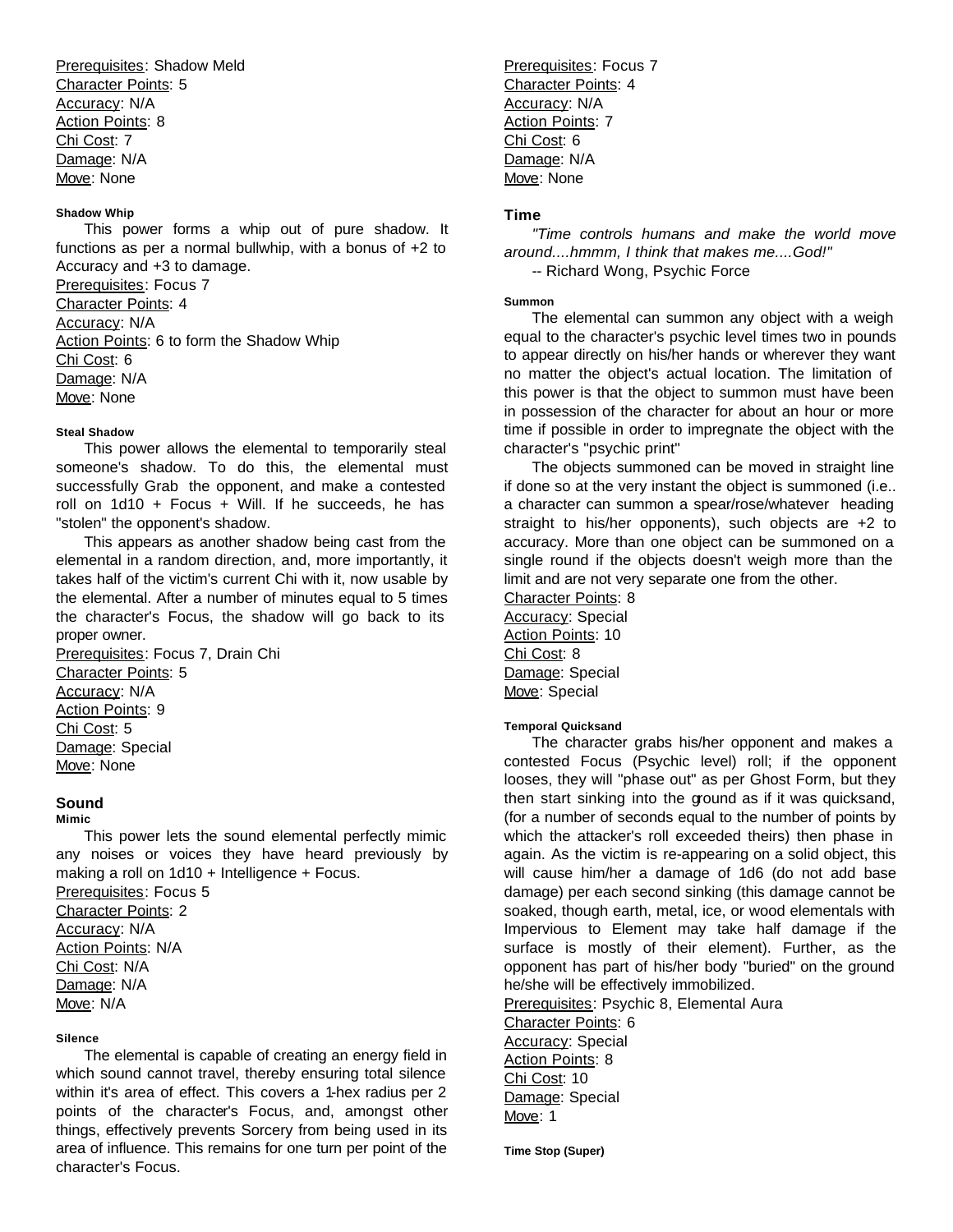Prerequisites: Shadow Meld Character Points: 5 Accuracy: N/A Action Points: 8 Chi Cost: 7 Damage: N/A Move: None

# **Shadow Whip**

This power forms a whip out of pure shadow. It functions as per a normal bullwhip, with a bonus of +2 to Accuracy and +3 to damage.

Prerequisites: Focus 7 Character Points: 4 Accuracy: N/A Action Points: 6 to form the Shadow Whip Chi Cost: 6 Damage: N/A Move: None

#### **Steal Shadow**

This power allows the elemental to temporarily steal someone's shadow. To do this, the elemental must successfully Grab the opponent, and make a contested roll on  $1d10 + Focus + Will.$  If he succeeds, he has "stolen" the opponent's shadow.

This appears as another shadow being cast from the elemental in a random direction, and, more importantly, it takes half of the victim's current Chi with it, now usable by the elemental. After a number of minutes equal to 5 times the character's Focus, the shadow will go back to its proper owner.

Prerequisites: Focus 7, Drain Chi Character Points: 5 Accuracy: N/A Action Points: 9 Chi Cost: 5 Damage: Special Move: None

# **Sound**

**Mimic**

This power lets the sound elemental perfectly mimic any noises or voices they have heard previously by making a roll on 1d10 + Intelligence + Focus.

Prerequisites: Focus 5 Character Points: 2 Accuracy: N/A Action Points: N/A Chi Cost: N/A Damage: N/A Move: N/A

## **Silence**

The elemental is capable of creating an energy field in which sound cannot travel, thereby ensuring total silence within it's area of effect. This covers a 1-hex radius per 2 points of the character's Focus, and, amongst other things, effectively prevents Sorcery from being used in its area of influence. This remains for one turn per point of the character's Focus.

Prerequisites: Focus 7 Character Points: 4 Accuracy: N/A Action Points: 7 Chi Cost: 6 Damage: N/A Move: None

# **Time**

*"Time controls humans and make the world move around....hmmm, I think that makes me....God!"* -- Richard Wong, Psychic Force

#### **Summon**

The elemental can summon any object with a weigh equal to the character's psychic level times two in pounds to appear directly on his/her hands or wherever they want no matter the object's actual location. The limitation of this power is that the object to summon must have been in possession of the character for about an hour or more time if possible in order to impregnate the object with the character's "psychic print"

The objects summoned can be moved in straight line if done so at the very instant the object is summoned (i.e.. a character can summon a spear/rose/whatever heading straight to his/her opponents), such objects are +2 to accuracy. More than one object can be summoned on a single round if the objects doesn't weigh more than the limit and are not very separate one from the other.

Character Points: 8 Accuracy: Special Action Points: 10 Chi Cost: 8 Damage: Special Move: Special

#### **Temporal Quicksand**

The character grabs his/her opponent and makes a contested Focus (Psychic level) roll; if the opponent looses, they will "phase out" as per Ghost Form, but they then start sinking into the ground as if it was quicksand, (for a number of seconds equal to the number of points by which the attacker's roll exceeded theirs) then phase in again. As the victim is re-appearing on a solid object, this will cause him/her a damage of 1d6 (do not add base damage) per each second sinking (this damage cannot be soaked, though earth, metal, ice, or wood elementals with Impervious to Element may take half damage if the surface is mostly of their element). Further, as the opponent has part of his/her body "buried" on the ground he/she will be effectively immobilized. Prerequisites: Psychic 8, Elemental Aura

Character Points: 6 Accuracy: Special Action Points: 8 Chi Cost: 10 Damage: Special Move: 1

**Time Stop (Super)**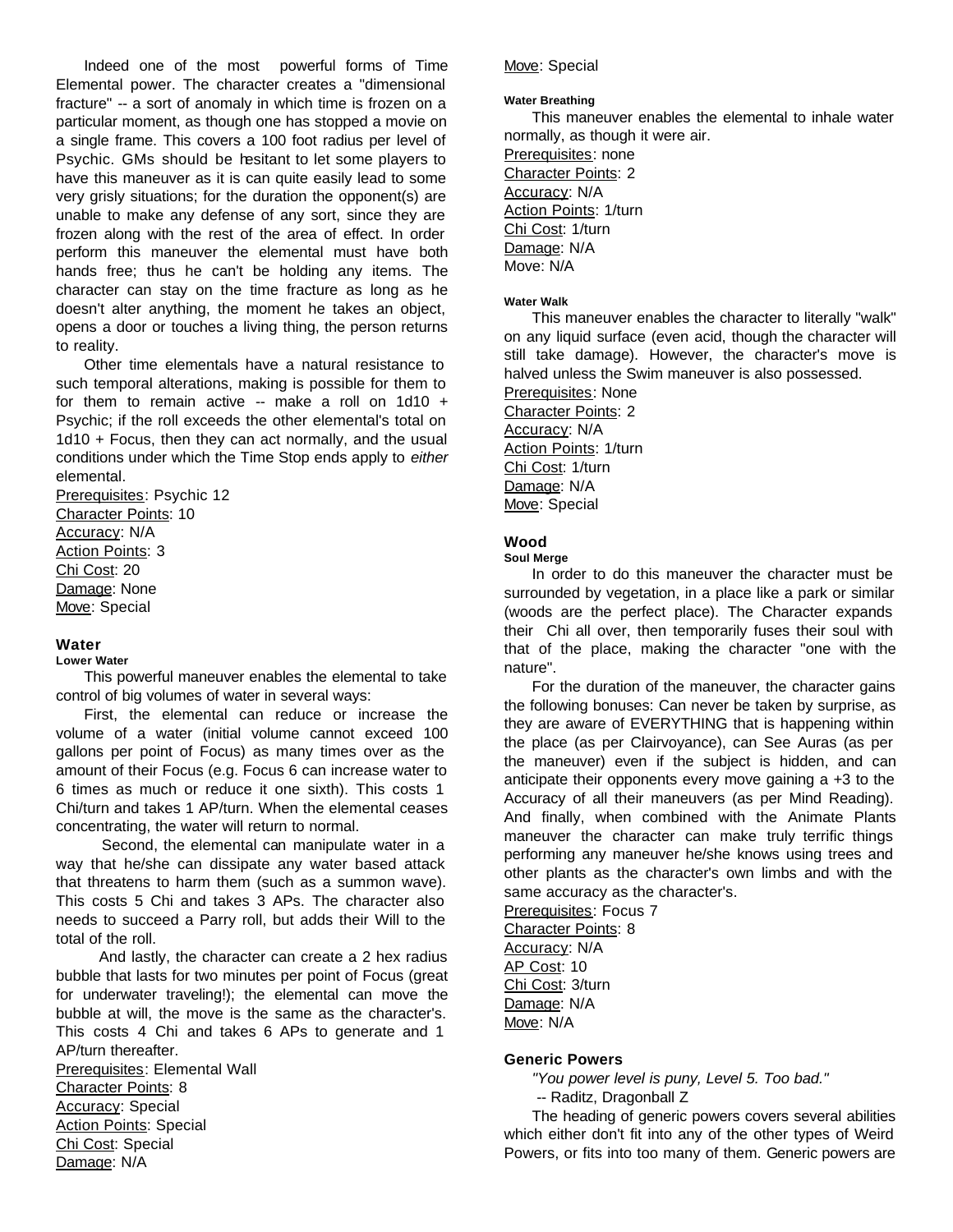Indeed one of the most powerful forms of Time Elemental power. The character creates a "dimensional fracture" -- a sort of anomaly in which time is frozen on a particular moment, as though one has stopped a movie on a single frame. This covers a 100 foot radius per level of Psychic. GMs should be hesitant to let some players to have this maneuver as it is can quite easily lead to some very grisly situations; for the duration the opponent(s) are unable to make any defense of any sort, since they are frozen along with the rest of the area of effect. In order perform this maneuver the elemental must have both hands free; thus he can't be holding any items. The character can stay on the time fracture as long as he doesn't alter anything, the moment he takes an object, opens a door or touches a living thing, the person returns to reality.

Other time elementals have a natural resistance to such temporal alterations, making is possible for them to for them to remain active -- make a roll on  $1d10 +$ Psychic; if the roll exceeds the other elemental's total on 1d10 + Focus, then they can act normally, and the usual conditions under which the Time Stop ends apply to *either*  elemental.

Prerequisites: Psychic 12 Character Points: 10 Accuracy: N/A Action Points: 3 Chi Cost: 20 Damage: None Move: Special

# **Water**

# **Lower Water**

This powerful maneuver enables the elemental to take control of big volumes of water in several ways:

First, the elemental can reduce or increase the volume of a water (initial volume cannot exceed 100 gallons per point of Focus) as many times over as the amount of their Focus (e.g. Focus 6 can increase water to 6 times as much or reduce it one sixth). This costs 1 Chi/turn and takes 1 AP/turn. When the elemental ceases concentrating, the water will return to normal.

 Second, the elemental can manipulate water in a way that he/she can dissipate any water based attack that threatens to harm them (such as a summon wave). This costs 5 Chi and takes 3 APs. The character also needs to succeed a Parry roll, but adds their Will to the total of the roll.

 And lastly, the character can create a 2 hex radius bubble that lasts for two minutes per point of Focus (great for underwater traveling!); the elemental can move the bubble at will, the move is the same as the character's. This costs 4 Chi and takes 6 APs to generate and 1 AP/turn thereafter.

Prerequisites: Elemental Wall Character Points: 8 Accuracy: Special **Action Points: Special** Chi Cost: Special Damage: N/A

# Move: Special

#### **Water Breathing**

This maneuver enables the elemental to inhale water normally, as though it were air.

Prerequisites: none Character Points: 2 Accuracy: N/A Action Points: 1/turn Chi Cost: 1/turn Damage: N/A Move: N/A

#### **Water Walk**

This maneuver enables the character to literally "walk" on any liquid surface (even acid, though the character will still take damage). However, the character's move is halved unless the Swim maneuver is also possessed.

Prerequisites: None Character Points: 2 Accuracy: N/A Action Points: 1/turn Chi Cost: 1/turn Damage: N/A Move: Special

# **Wood**

#### **Soul Merge**

In order to do this maneuver the character must be surrounded by vegetation, in a place like a park or similar (woods are the perfect place). The Character expands their Chi all over, then temporarily fuses their soul with that of the place, making the character "one with the nature".

For the duration of the maneuver, the character gains the following bonuses: Can never be taken by surprise, as they are aware of EVERYTHING that is happening within the place (as per Clairvoyance), can See Auras (as per the maneuver) even if the subject is hidden, and can anticipate their opponents every move gaining a +3 to the Accuracy of all their maneuvers (as per Mind Reading). And finally, when combined with the Animate Plants maneuver the character can make truly terrific things performing any maneuver he/she knows using trees and other plants as the character's own limbs and with the same accuracy as the character's.

Prerequisites: Focus 7 Character Points: 8 Accuracy: N/A AP Cost: 10 Chi Cost: 3/turn Damage: N/A Move: N/A

# **Generic Powers**

*"You power level is puny, Level 5. Too bad."*

-- Raditz, Dragonball Z

The heading of generic powers covers several abilities which either don't fit into any of the other types of Weird Powers, or fits into too many of them. Generic powers are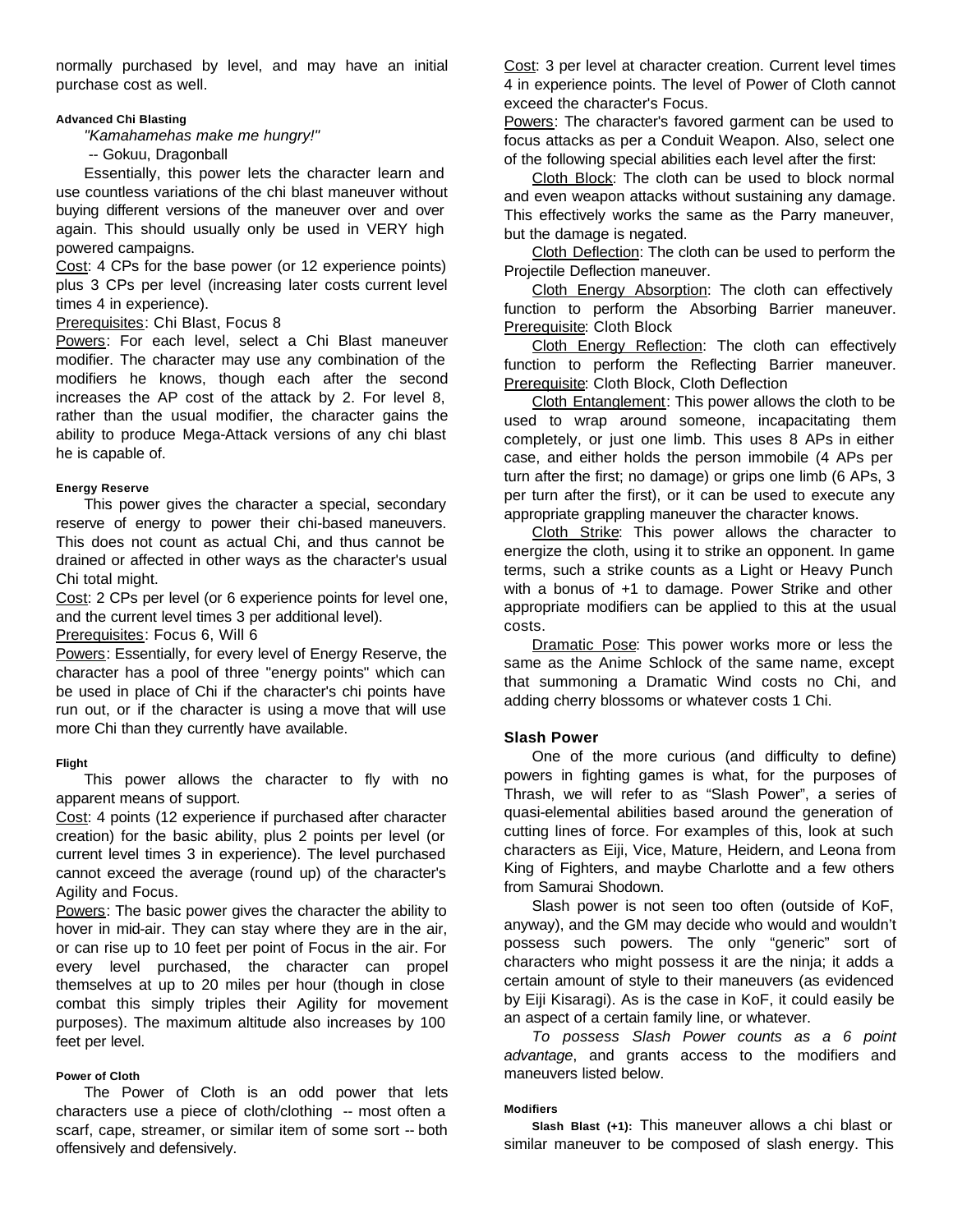normally purchased by level, and may have an initial purchase cost as well.

# **Advanced Chi Blasting**

*"Kamahamehas make me hungry!"*

-- Gokuu, Dragonball

Essentially, this power lets the character learn and use countless variations of the chi blast maneuver without buying different versions of the maneuver over and over again. This should usually only be used in VERY high powered campaigns.

Cost: 4 CPs for the base power (or 12 experience points) plus 3 CPs per level (increasing later costs current level times 4 in experience).

# Prerequisites: Chi Blast, Focus 8

Powers: For each level, select a Chi Blast maneuver modifier. The character may use any combination of the modifiers he knows, though each after the second increases the AP cost of the attack by 2. For level 8, rather than the usual modifier, the character gains the ability to produce Mega-Attack versions of any chi blast he is capable of.

# **Energy Reserve**

This power gives the character a special, secondary reserve of energy to power their chi-based maneuvers. This does not count as actual Chi, and thus cannot be drained or affected in other ways as the character's usual Chi total might.

Cost: 2 CPs per level (or 6 experience points for level one, and the current level times 3 per additional level).

Prerequisites: Focus 6, Will 6

Powers: Essentially, for every level of Energy Reserve, the character has a pool of three "energy points" which can be used in place of Chi if the character's chi points have run out, or if the character is using a move that will use more Chi than they currently have available.

# **Flight**

This power allows the character to fly with no apparent means of support.

Cost: 4 points (12 experience if purchased after character creation) for the basic ability, plus 2 points per level (or current level times 3 in experience). The level purchased cannot exceed the average (round up) of the character's Agility and Focus.

Powers: The basic power gives the character the ability to hover in mid-air. They can stay where they are in the air, or can rise up to 10 feet per point of Focus in the air. For every level purchased, the character can propel themselves at up to 20 miles per hour (though in close combat this simply triples their Agility for movement purposes). The maximum altitude also increases by 100 feet per level.

# **Power of Cloth**

The Power of Cloth is an odd power that lets characters use a piece of cloth/clothing -- most often a scarf, cape, streamer, or similar item of some sort -- both offensively and defensively.

Cost: 3 per level at character creation. Current level times 4 in experience points. The level of Power of Cloth cannot exceed the character's Focus.

Powers: The character's favored garment can be used to focus attacks as per a Conduit Weapon. Also, select one of the following special abilities each level after the first:

Cloth Block: The cloth can be used to block normal and even weapon attacks without sustaining any damage. This effectively works the same as the Parry maneuver, but the damage is negated.

Cloth Deflection: The cloth can be used to perform the Projectile Deflection maneuver.

Cloth Energy Absorption: The cloth can effectively function to perform the Absorbing Barrier maneuver. Prerequisite: Cloth Block

Cloth Energy Reflection: The cloth can effectively function to perform the Reflecting Barrier maneuver. Prerequisite: Cloth Block, Cloth Deflection

Cloth Entanglement: This power allows the cloth to be used to wrap around someone, incapacitating them completely, or just one limb. This uses 8 APs in either case, and either holds the person immobile (4 APs per turn after the first; no damage) or grips one limb (6 APs, 3 per turn after the first), or it can be used to execute any appropriate grappling maneuver the character knows.

Cloth Strike: This power allows the character to energize the cloth, using it to strike an opponent. In game terms, such a strike counts as a Light or Heavy Punch with a bonus of +1 to damage. Power Strike and other appropriate modifiers can be applied to this at the usual costs.

Dramatic Pose: This power works more or less the same as the Anime Schlock of the same name, except that summoning a Dramatic Wind costs no Chi, and adding cherry blossoms or whatever costs 1 Chi.

# **Slash Power**

One of the more curious (and difficulty to define) powers in fighting games is what, for the purposes of Thrash, we will refer to as "Slash Power", a series of quasi-elemental abilities based around the generation of cutting lines of force. For examples of this, look at such characters as Eiji, Vice, Mature, Heidern, and Leona from King of Fighters, and maybe Charlotte and a few others from Samurai Shodown.

Slash power is not seen too often (outside of KoF, anyway), and the GM may decide who would and wouldn't possess such powers. The only "generic" sort of characters who might possess it are the ninja; it adds a certain amount of style to their maneuvers (as evidenced by Eiji Kisaragi). As is the case in KoF, it could easily be an aspect of a certain family line, or whatever.

*To possess Slash Power counts as a 6 point advantage*, and grants access to the modifiers and maneuvers listed below.

#### **Modifiers**

**Slash Blast (+1):** This maneuver allows a chi blast or similar maneuver to be composed of slash energy. This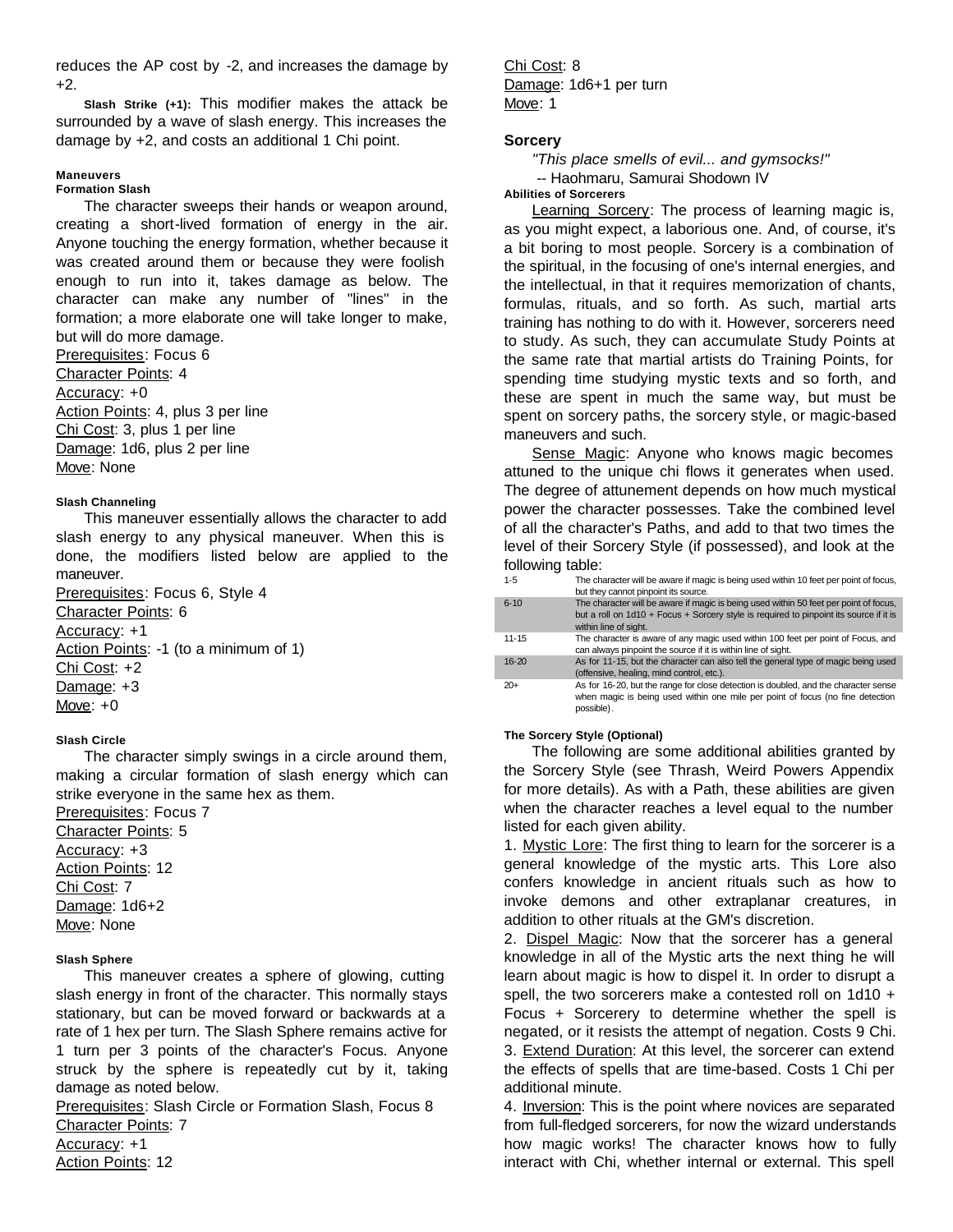reduces the AP cost by -2, and increases the damage by +2.

**Slash Strike (+1):** This modifier makes the attack be surrounded by a wave of slash energy. This increases the damage by +2, and costs an additional 1 Chi point.

## **Maneuvers**

# **Formation Slash**

The character sweeps their hands or weapon around, creating a short-lived formation of energy in the air. Anyone touching the energy formation, whether because it was created around them or because they were foolish enough to run into it, takes damage as below. The character can make any number of "lines" in the formation; a more elaborate one will take longer to make, but will do more damage.

Prerequisites: Focus 6 Character Points: 4 Accuracy: +0 Action Points: 4, plus 3 per line Chi Cost: 3, plus 1 per line Damage: 1d6, plus 2 per line Move: None

#### **Slash Channeling**

This maneuver essentially allows the character to add slash energy to any physical maneuver. When this is done, the modifiers listed below are applied to the maneuver.

Prerequisites: Focus 6, Style 4 Character Points: 6 Accuracy: +1 Action Points: -1 (to a minimum of 1) Chi Cost: +2 Damage: +3 Move: +0

#### **Slash Circle**

The character simply swings in a circle around them, making a circular formation of slash energy which can strike everyone in the same hex as them.

Prerequisites: Focus 7

Character Points: 5 Accuracy: +3 Action Points: 12 Chi Cost: 7 Damage: 1d6+2 Move: None

#### **Slash Sphere**

This maneuver creates a sphere of glowing, cutting slash energy in front of the character. This normally stays stationary, but can be moved forward or backwards at a rate of 1 hex per turn. The Slash Sphere remains active for 1 turn per 3 points of the character's Focus. Anyone struck by the sphere is repeatedly cut by it, taking damage as noted below.

Prerequisites: Slash Circle or Formation Slash, Focus 8 Character Points: 7 Accuracy: +1

Action Points: 12

Chi Cost: 8 Damage: 1d6+1 per turn Move: 1

# **Sorcery**

*"This place smells of evil... and gymsocks!"* -- Haohmaru, Samurai Shodown IV

# **Abilities of Sorcerers**

Learning Sorcery: The process of learning magic is, as you might expect, a laborious one. And, of course, it's a bit boring to most people. Sorcery is a combination of the spiritual, in the focusing of one's internal energies, and the intellectual, in that it requires memorization of chants, formulas, rituals, and so forth. As such, martial arts training has nothing to do with it. However, sorcerers need to study. As such, they can accumulate Study Points at the same rate that martial artists do Training Points, for spending time studying mystic texts and so forth, and these are spent in much the same way, but must be spent on sorcery paths, the sorcery style, or magic-based maneuvers and such.

Sense Magic: Anyone who knows magic becomes attuned to the unique chi flows it generates when used. The degree of attunement depends on how much mystical power the character possesses. Take the combined level of all the character's Paths, and add to that two times the level of their Sorcery Style (if possessed), and look at the following table:

| $1 - 5$   | The character will be aware if magic is being used within 10 feet per point of focus,<br>but they cannot pinpoint its source.                                                                            |
|-----------|----------------------------------------------------------------------------------------------------------------------------------------------------------------------------------------------------------|
| $6 - 10$  | The character will be aware if magic is being used within 50 feet per point of focus,<br>but a roll on 1d10 + Focus + Sorcery style is required to pinpoint its source if it is<br>within line of sight. |
| $11 - 15$ | The character is aware of any magic used within 100 feet per point of Focus, and<br>can always pinpoint the source if it is within line of sight.                                                        |
| $16 - 20$ | As for 11-15, but the character can also tell the general type of magic being used<br>(offensive, healing, mind control, etc.).                                                                          |
| $20+$     | As for 16-20, but the range for close detection is doubled, and the character sense<br>when magic is being used within one mile per point of focus (no fine detection<br>possible).                      |

#### **The Sorcery Style (Optional)**

The following are some additional abilities granted by the Sorcery Style (see Thrash, Weird Powers Appendix for more details). As with a Path, these abilities are given when the character reaches a level equal to the number listed for each given ability.

1. Mystic Lore: The first thing to learn for the sorcerer is a general knowledge of the mystic arts. This Lore also confers knowledge in ancient rituals such as how to invoke demons and other extraplanar creatures, in addition to other rituals at the GM's discretion.

2. Dispel Magic: Now that the sorcerer has a general knowledge in all of the Mystic arts the next thing he will learn about magic is how to dispel it. In order to disrupt a spell, the two sorcerers make a contested roll on 1d10 + Focus + Sorcerery to determine whether the spell is negated, or it resists the attempt of negation. Costs 9 Chi. 3. Extend Duration: At this level, the sorcerer can extend the effects of spells that are time-based. Costs 1 Chi per additional minute.

4. Inversion: This is the point where novices are separated from full-fledged sorcerers, for now the wizard understands how magic works! The character knows how to fully interact with Chi, whether internal or external. This spell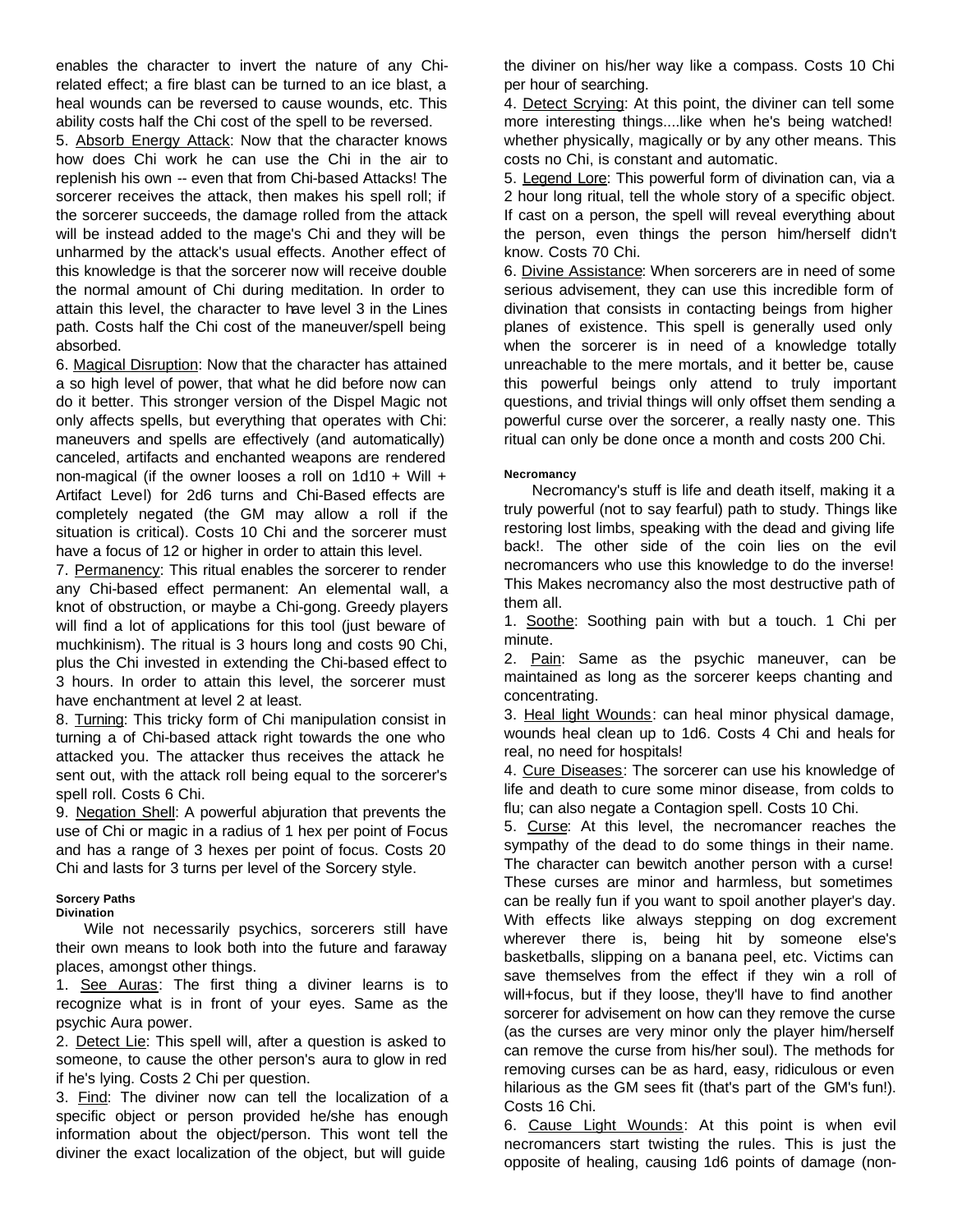enables the character to invert the nature of any Chirelated effect; a fire blast can be turned to an ice blast, a heal wounds can be reversed to cause wounds, etc. This ability costs half the Chi cost of the spell to be reversed.

5. Absorb Energy Attack: Now that the character knows how does Chi work he can use the Chi in the air to replenish his own -- even that from Chi-based Attacks! The sorcerer receives the attack, then makes his spell roll; if the sorcerer succeeds, the damage rolled from the attack will be instead added to the mage's Chi and they will be unharmed by the attack's usual effects. Another effect of this knowledge is that the sorcerer now will receive double the normal amount of Chi during meditation. In order to attain this level, the character to have level 3 in the Lines path. Costs half the Chi cost of the maneuver/spell being absorbed.

6. Magical Disruption: Now that the character has attained a so high level of power, that what he did before now can do it better. This stronger version of the Dispel Magic not only affects spells, but everything that operates with Chi: maneuvers and spells are effectively (and automatically) canceled, artifacts and enchanted weapons are rendered non-magical (if the owner looses a roll on 1d10 + Will + Artifact Level) for 2d6 turns and Chi-Based effects are completely negated (the GM may allow a roll if the situation is critical). Costs 10 Chi and the sorcerer must have a focus of 12 or higher in order to attain this level.

7. Permanency: This ritual enables the sorcerer to render any Chi-based effect permanent: An elemental wall, a knot of obstruction, or maybe a Chi-gong. Greedy players will find a lot of applications for this tool (just beware of muchkinism). The ritual is 3 hours long and costs 90 Chi, plus the Chi invested in extending the Chi-based effect to 3 hours. In order to attain this level, the sorcerer must have enchantment at level 2 at least.

8. Turning: This tricky form of Chi manipulation consist in turning a of Chi-based attack right towards the one who attacked you. The attacker thus receives the attack he sent out, with the attack roll being equal to the sorcerer's spell roll. Costs 6 Chi.

9. Negation Shell: A powerful abjuration that prevents the use of Chi or magic in a radius of 1 hex per point of Focus and has a range of 3 hexes per point of focus. Costs 20 Chi and lasts for 3 turns per level of the Sorcery style.

# **Sorcery Paths**

# **Divination**

Wile not necessarily psychics, sorcerers still have their own means to look both into the future and faraway places, amongst other things.

1. See Auras: The first thing a diviner learns is to recognize what is in front of your eyes. Same as the psychic Aura power.

2. Detect Lie: This spell will, after a question is asked to someone, to cause the other person's aura to glow in red if he's lying. Costs 2 Chi per question.

3. Find: The diviner now can tell the localization of a specific object or person provided he/she has enough information about the object/person. This wont tell the diviner the exact localization of the object, but will guide

the diviner on his/her way like a compass. Costs 10 Chi per hour of searching.

4. Detect Scrying: At this point, the diviner can tell some more interesting things....like when he's being watched! whether physically, magically or by any other means. This costs no Chi, is constant and automatic.

5. Legend Lore: This powerful form of divination can, via a 2 hour long ritual, tell the whole story of a specific object. If cast on a person, the spell will reveal everything about the person, even things the person him/herself didn't know. Costs 70 Chi.

6. Divine Assistance: When sorcerers are in need of some serious advisement, they can use this incredible form of divination that consists in contacting beings from higher planes of existence. This spell is generally used only when the sorcerer is in need of a knowledge totally unreachable to the mere mortals, and it better be, cause this powerful beings only attend to truly important questions, and trivial things will only offset them sending a powerful curse over the sorcerer, a really nasty one. This ritual can only be done once a month and costs 200 Chi.

# **Necromancy**

Necromancy's stuff is life and death itself, making it a truly powerful (not to say fearful) path to study. Things like restoring lost limbs, speaking with the dead and giving life back!. The other side of the coin lies on the evil necromancers who use this knowledge to do the inverse! This Makes necromancy also the most destructive path of them all.

1. Soothe: Soothing pain with but a touch. 1 Chi per minute.

2. Pain: Same as the psychic maneuver, can be maintained as long as the sorcerer keeps chanting and concentrating.

3. Heal light Wounds: can heal minor physical damage, wounds heal clean up to 1d6. Costs 4 Chi and heals for real, no need for hospitals!

4. Cure Diseases: The sorcerer can use his knowledge of life and death to cure some minor disease, from colds to flu; can also negate a Contagion spell. Costs 10 Chi.

5. Curse: At this level, the necromancer reaches the sympathy of the dead to do some things in their name. The character can bewitch another person with a curse! These curses are minor and harmless, but sometimes can be really fun if you want to spoil another player's day. With effects like always stepping on dog excrement wherever there is, being hit by someone else's basketballs, slipping on a banana peel, etc. Victims can save themselves from the effect if they win a roll of will+focus, but if they loose, they'll have to find another sorcerer for advisement on how can they remove the curse (as the curses are very minor only the player him/herself can remove the curse from his/her soul). The methods for removing curses can be as hard, easy, ridiculous or even hilarious as the GM sees fit (that's part of the GM's fun!). Costs 16 Chi.

6. Cause Light Wounds: At this point is when evil necromancers start twisting the rules. This is just the opposite of healing, causing 1d6 points of damage (non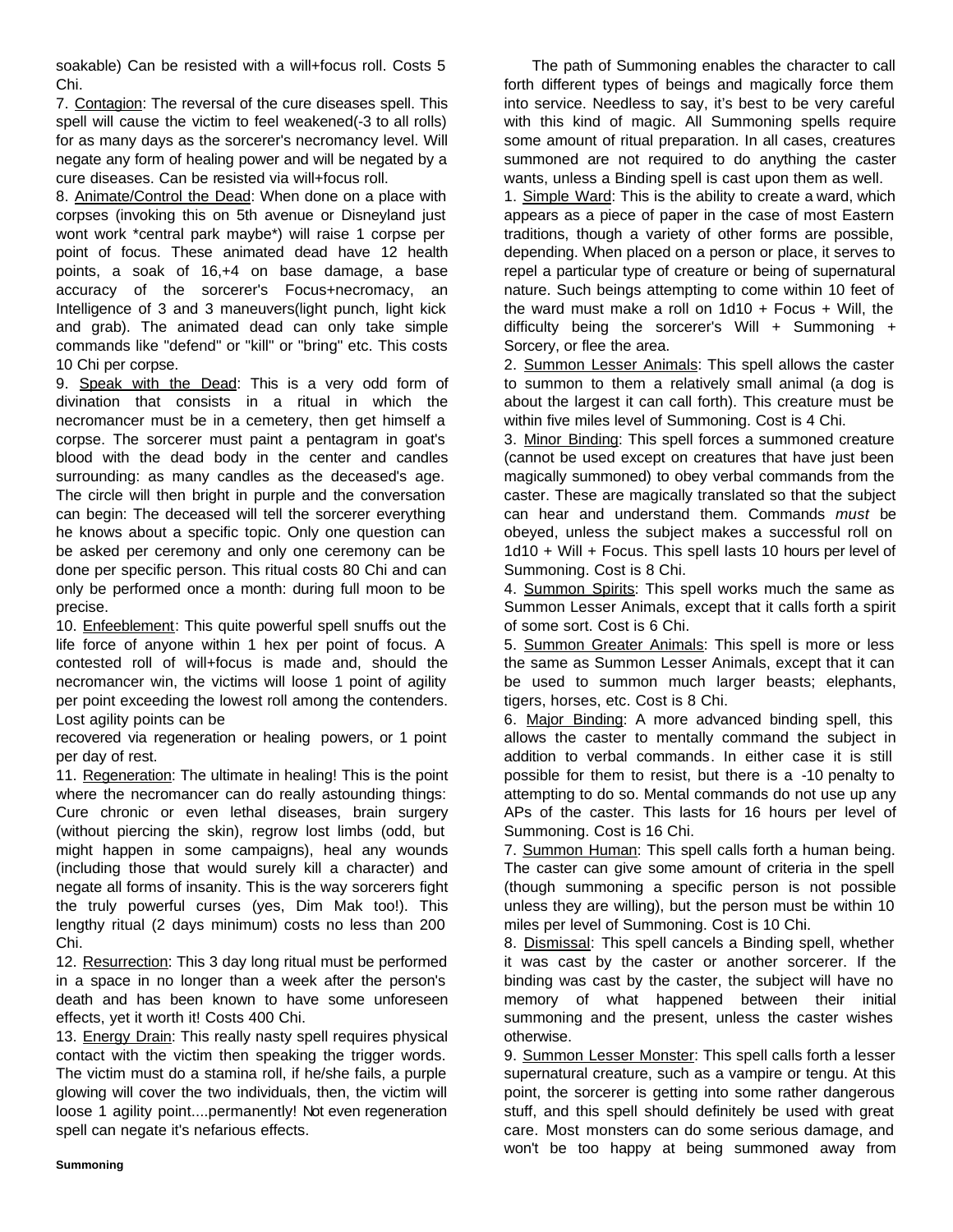soakable) Can be resisted with a will+focus roll. Costs 5 Chi.

7. Contagion: The reversal of the cure diseases spell. This spell will cause the victim to feel weakened(-3 to all rolls) for as many days as the sorcerer's necromancy level. Will negate any form of healing power and will be negated by a cure diseases. Can be resisted via will+focus roll.

8. Animate/Control the Dead: When done on a place with corpses (invoking this on 5th avenue or Disneyland just wont work \*central park maybe\*) will raise 1 corpse per point of focus. These animated dead have 12 health points, a soak of 16,+4 on base damage, a base accuracy of the sorcerer's Focus+necromacy, an Intelligence of 3 and 3 maneuvers(light punch, light kick and grab). The animated dead can only take simple commands like "defend" or "kill" or "bring" etc. This costs 10 Chi per corpse.

9. Speak with the Dead: This is a very odd form of divination that consists in a ritual in which the necromancer must be in a cemetery, then get himself a corpse. The sorcerer must paint a pentagram in goat's blood with the dead body in the center and candles surrounding: as many candles as the deceased's age. The circle will then bright in purple and the conversation can begin: The deceased will tell the sorcerer everything he knows about a specific topic. Only one question can be asked per ceremony and only one ceremony can be done per specific person. This ritual costs 80 Chi and can only be performed once a month: during full moon to be precise.

10. Enfeeblement: This quite powerful spell snuffs out the life force of anyone within 1 hex per point of focus. A contested roll of will+focus is made and, should the necromancer win, the victims will loose 1 point of agility per point exceeding the lowest roll among the contenders. Lost agility points can be

recovered via regeneration or healing powers, or 1 point per day of rest.

11. Regeneration: The ultimate in healing! This is the point where the necromancer can do really astounding things: Cure chronic or even lethal diseases, brain surgery (without piercing the skin), regrow lost limbs (odd, but might happen in some campaigns), heal any wounds (including those that would surely kill a character) and negate all forms of insanity. This is the way sorcerers fight the truly powerful curses (yes, Dim Mak too!). This lengthy ritual (2 days minimum) costs no less than 200 Chi.

12. Resurrection: This 3 day long ritual must be performed in a space in no longer than a week after the person's death and has been known to have some unforeseen effects, yet it worth it! Costs 400 Chi.

13. Energy Drain: This really nasty spell requires physical contact with the victim then speaking the trigger words. The victim must do a stamina roll, if he/she fails, a purple glowing will cover the two individuals, then, the victim will loose 1 agility point....permanently! Not even regeneration spell can negate it's nefarious effects.

The path of Summoning enables the character to call forth different types of beings and magically force them into service. Needless to say, it's best to be very careful with this kind of magic. All Summoning spells require some amount of ritual preparation. In all cases, creatures summoned are not required to do anything the caster wants, unless a Binding spell is cast upon them as well.

1. Simple Ward: This is the ability to create a ward, which appears as a piece of paper in the case of most Eastern traditions, though a variety of other forms are possible, depending. When placed on a person or place, it serves to repel a particular type of creature or being of supernatural nature. Such beings attempting to come within 10 feet of the ward must make a roll on  $1d10 +$  Focus + Will, the difficulty being the sorcerer's Will + Summoning + Sorcery, or flee the area.

2. Summon Lesser Animals: This spell allows the caster to summon to them a relatively small animal (a dog is about the largest it can call forth). This creature must be within five miles level of Summoning. Cost is 4 Chi.

3. Minor Binding: This spell forces a summoned creature (cannot be used except on creatures that have just been magically summoned) to obey verbal commands from the caster. These are magically translated so that the subject can hear and understand them. Commands *must* be obeyed, unless the subject makes a successful roll on 1d10 + Will + Focus. This spell lasts 10 hours per level of Summoning. Cost is 8 Chi.

4. Summon Spirits: This spell works much the same as Summon Lesser Animals, except that it calls forth a spirit of some sort. Cost is 6 Chi.

5. Summon Greater Animals: This spell is more or less the same as Summon Lesser Animals, except that it can be used to summon much larger beasts; elephants, tigers, horses, etc. Cost is 8 Chi.

6. Major Binding: A more advanced binding spell, this allows the caster to mentally command the subject in addition to verbal commands. In either case it is still possible for them to resist, but there is a -10 penalty to attempting to do so. Mental commands do not use up any APs of the caster. This lasts for 16 hours per level of Summoning. Cost is 16 Chi.

7. Summon Human: This spell calls forth a human being. The caster can give some amount of criteria in the spell (though summoning a specific person is not possible unless they are willing), but the person must be within 10 miles per level of Summoning. Cost is 10 Chi.

8. Dismissal: This spell cancels a Binding spell, whether it was cast by the caster or another sorcerer. If the binding was cast by the caster, the subject will have no memory of what happened between their initial summoning and the present, unless the caster wishes otherwise.

9. Summon Lesser Monster: This spell calls forth a lesser supernatural creature, such as a vampire or tengu. At this point, the sorcerer is getting into some rather dangerous stuff, and this spell should definitely be used with great care. Most monsters can do some serious damage, and won't be too happy at being summoned away from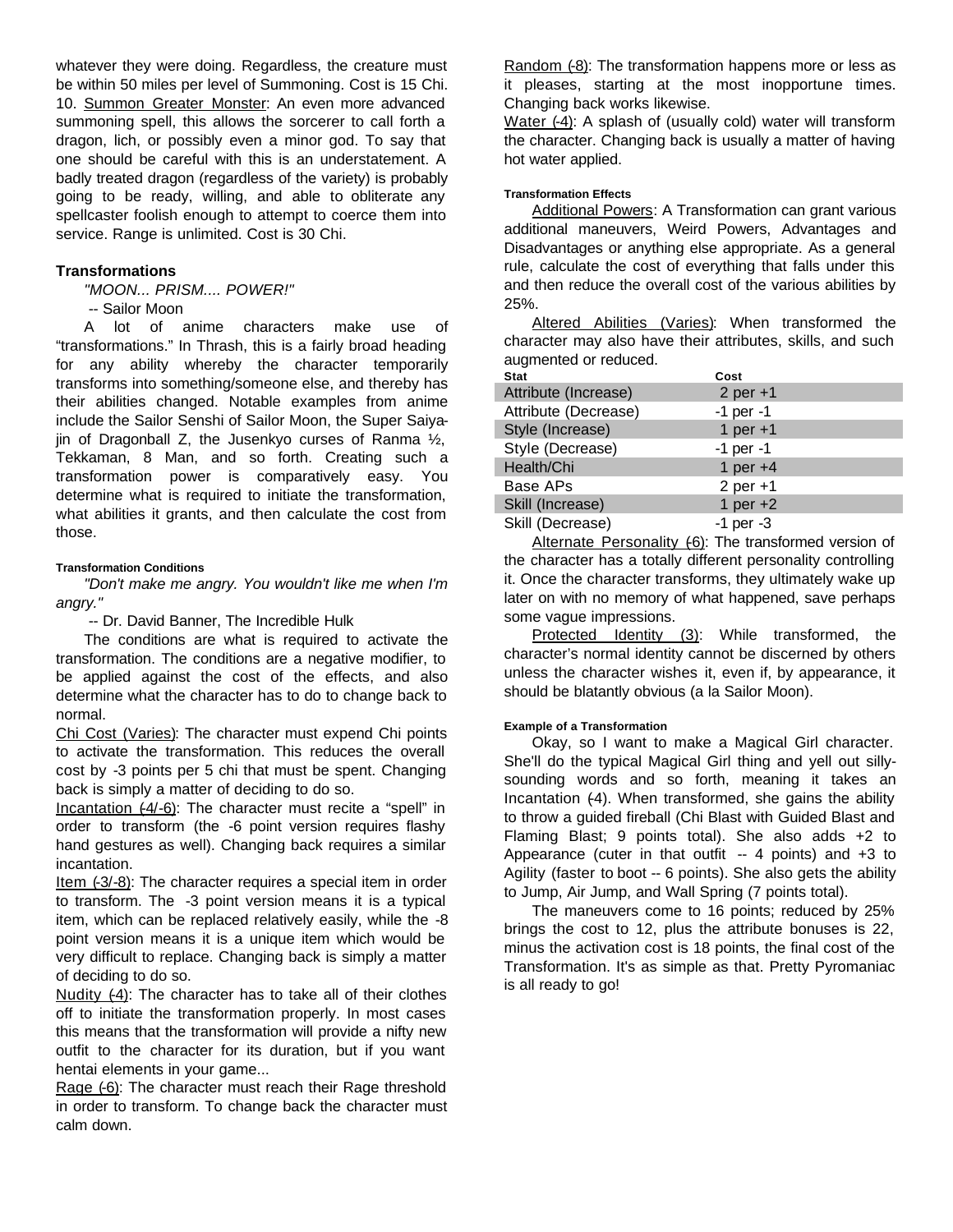whatever they were doing. Regardless, the creature must be within 50 miles per level of Summoning. Cost is 15 Chi. 10. Summon Greater Monster: An even more advanced summoning spell, this allows the sorcerer to call forth a dragon, lich, or possibly even a minor god. To say that one should be careful with this is an understatement. A badly treated dragon (regardless of the variety) is probably going to be ready, willing, and able to obliterate any spellcaster foolish enough to attempt to coerce them into service. Range is unlimited. Cost is 30 Chi.

# **Transformations**

*"MOON... PRISM.... POWER!"*

-- Sailor Moon

A lot of anime characters make use of "transformations." In Thrash, this is a fairly broad heading for any ability whereby the character temporarily transforms into something/someone else, and thereby has their abilities changed. Notable examples from anime include the Sailor Senshi of Sailor Moon, the Super Saiyajin of Dragonball Z, the Jusenkyo curses of Ranma  $\frac{1}{2}$ , Tekkaman, 8 Man, and so forth. Creating such a transformation power is comparatively easy. You determine what is required to initiate the transformation, what abilities it grants, and then calculate the cost from those.

# **Transformation Conditions**

*"Don't make me angry. You wouldn't like me when I'm angry."*

-- Dr. David Banner, The Incredible Hulk

The conditions are what is required to activate the transformation. The conditions are a negative modifier, to be applied against the cost of the effects, and also determine what the character has to do to change back to normal.

Chi Cost (Varies): The character must expend Chi points to activate the transformation. This reduces the overall cost by -3 points per 5 chi that must be spent. Changing back is simply a matter of deciding to do so.

Incantation (-4/-6): The character must recite a "spell" in order to transform (the -6 point version requires flashy hand gestures as well). Changing back requires a similar incantation.

Item (-3/-8): The character requires a special item in order to transform. The -3 point version means it is a typical item, which can be replaced relatively easily, while the -8 point version means it is a unique item which would be very difficult to replace. Changing back is simply a matter of deciding to do so.

Nudity (-4): The character has to take all of their clothes off to initiate the transformation properly. In most cases this means that the transformation will provide a nifty new outfit to the character for its duration, but if you want hentai elements in your game...

Rage (-6): The character must reach their Rage threshold in order to transform. To change back the character must calm down.

Random (-8): The transformation happens more or less as it pleases, starting at the most inopportune times. Changing back works likewise.

Water (-4): A splash of (usually cold) water will transform the character. Changing back is usually a matter of having hot water applied.

# **Transformation Effects**

Additional Powers: A Transformation can grant various additional maneuvers, Weird Powers, Advantages and Disadvantages or anything else appropriate. As a general rule, calculate the cost of everything that falls under this and then reduce the overall cost of the various abilities by 25%.

Altered Abilities (Varies): When transformed the character may also have their attributes, skills, and such augmented or reduced.

| <b>Stat</b>          | Cost          |
|----------------------|---------------|
| Attribute (Increase) | 2 per $+1$    |
| Attribute (Decrease) | $-1$ per $-1$ |
| Style (Increase)     | 1 per $+1$    |
| Style (Decrease)     | $-1$ per $-1$ |
| Health/Chi           | 1 per $+4$    |
| Base APs             | $2$ per $+1$  |
| Skill (Increase)     | 1 per $+2$    |
| Skill (Decrease)     | $-1$ per $-3$ |

Alternate Personality (6): The transformed version of the character has a totally different personality controlling it. Once the character transforms, they ultimately wake up later on with no memory of what happened, save perhaps some vague impressions.

Protected Identity (3): While transformed, the character's normal identity cannot be discerned by others unless the character wishes it, even if, by appearance, it should be blatantly obvious (a la Sailor Moon).

#### **Example of a Transformation**

Okay, so I want to make a Magical Girl character. She'll do the typical Magical Girl thing and yell out sillysounding words and so forth, meaning it takes an Incantation  $(4)$ . When transformed, she gains the ability to throw a guided fireball (Chi Blast with Guided Blast and Flaming Blast; 9 points total). She also adds +2 to Appearance (cuter in that outfit  $-4$  points) and  $+3$  to Agility (faster to boot -- 6 points). She also gets the ability to Jump, Air Jump, and Wall Spring (7 points total).

The maneuvers come to 16 points; reduced by 25% brings the cost to 12, plus the attribute bonuses is 22, minus the activation cost is 18 points, the final cost of the Transformation. It's as simple as that. Pretty Pyromaniac is all ready to go!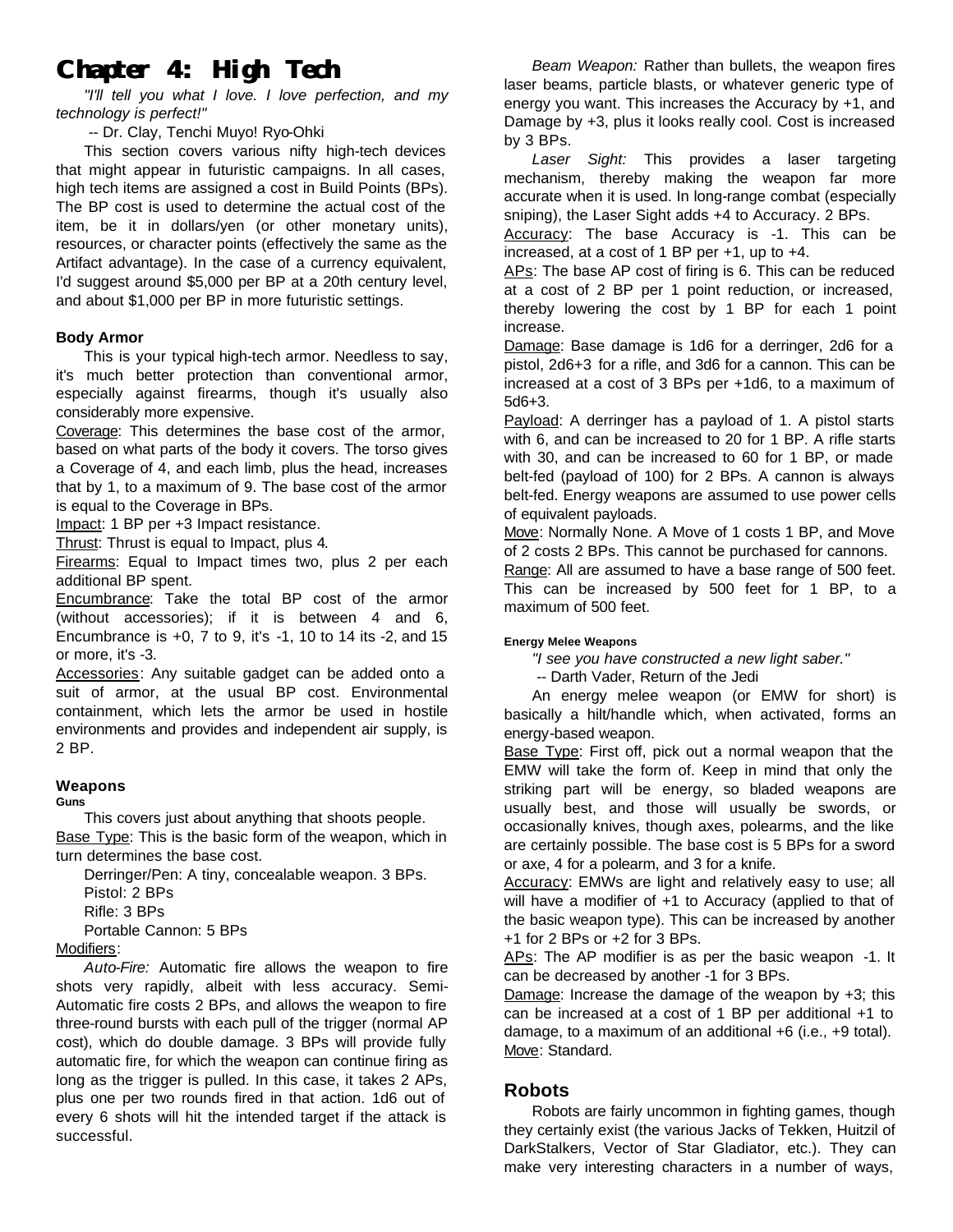# **Chapter 4: High Tech**

*"I'll tell you what I love. I love perfection, and my technology is perfect!"*

# -- Dr. Clay, Tenchi Muyo! Ryo-Ohki

This section covers various nifty high-tech devices that might appear in futuristic campaigns. In all cases, high tech items are assigned a cost in Build Points (BPs). The BP cost is used to determine the actual cost of the item, be it in dollars/yen (or other monetary units), resources, or character points (effectively the same as the Artifact advantage). In the case of a currency equivalent, I'd suggest around \$5,000 per BP at a 20th century level, and about \$1,000 per BP in more futuristic settings.

# **Body Armor**

This is your typical high-tech armor. Needless to say, it's much better protection than conventional armor, especially against firearms, though it's usually also considerably more expensive.

Coverage: This determines the base cost of the armor, based on what parts of the body it covers. The torso gives a Coverage of 4, and each limb, plus the head, increases that by 1, to a maximum of 9. The base cost of the armor is equal to the Coverage in BPs.

Impact: 1 BP per +3 Impact resistance.

Thrust: Thrust is equal to Impact, plus 4.

Firearms: Equal to Impact times two, plus 2 per each additional BP spent.

Encumbrance: Take the total BP cost of the armor (without accessories); if it is between 4 and 6, Encumbrance is +0, 7 to 9, it's -1, 10 to 14 its -2, and 15 or more, it's -3.

Accessories: Any suitable gadget can be added onto a suit of armor, at the usual BP cost. Environmental containment, which lets the armor be used in hostile environments and provides and independent air supply, is 2 BP.

# **Weapons**

**Guns**

This covers just about anything that shoots people. Base Type: This is the basic form of the weapon, which in turn determines the base cost.

Derringer/Pen: A tiny, concealable weapon. 3 BPs. Pistol: 2 BPs

Rifle: 3 BPs

Portable Cannon: 5 BPs

# Modifiers:

*Auto-Fire:* Automatic fire allows the weapon to fire shots very rapidly, albeit with less accuracy. Semi-Automatic fire costs 2 BPs, and allows the weapon to fire three-round bursts with each pull of the trigger (normal AP cost), which do double damage. 3 BPs will provide fully automatic fire, for which the weapon can continue firing as long as the trigger is pulled. In this case, it takes 2 APs, plus one per two rounds fired in that action. 1d6 out of every 6 shots will hit the intended target if the attack is successful.

*Beam Weapon:* Rather than bullets, the weapon fires laser beams, particle blasts, or whatever generic type of energy you want. This increases the Accuracy by +1, and Damage by +3, plus it looks really cool. Cost is increased by 3 BPs.

*Laser Sight:* This provides a laser targeting mechanism, thereby making the weapon far more accurate when it is used. In long-range combat (especially sniping), the Laser Sight adds +4 to Accuracy. 2 BPs.

Accuracy: The base Accuracy is -1. This can be increased, at a cost of 1 BP per +1, up to +4.

APs: The base AP cost of firing is 6. This can be reduced at a cost of 2 BP per 1 point reduction, or increased, thereby lowering the cost by 1 BP for each 1 point increase.

Damage: Base damage is 1d6 for a derringer, 2d6 for a pistol, 2d6+3 for a rifle, and 3d6 for a cannon. This can be increased at a cost of 3 BPs per +1d6, to a maximum of 5d6+3.

Payload: A derringer has a payload of 1. A pistol starts with 6, and can be increased to 20 for 1 BP. A rifle starts with 30, and can be increased to 60 for 1 BP, or made belt-fed (payload of 100) for 2 BPs. A cannon is always belt-fed. Energy weapons are assumed to use power cells of equivalent payloads.

Move: Normally None. A Move of 1 costs 1 BP, and Move of 2 costs 2 BPs. This cannot be purchased for cannons.

Range: All are assumed to have a base range of 500 feet. This can be increased by 500 feet for 1 BP, to a maximum of 500 feet.

# **Energy Melee Weapons**

*"I see you have constructed a new light saber."*

-- Darth Vader, Return of the Jedi

An energy melee weapon (or EMW for short) is basically a hilt/handle which, when activated, forms an energy-based weapon.

Base Type: First off, pick out a normal weapon that the EMW will take the form of. Keep in mind that only the striking part will be energy, so bladed weapons are usually best, and those will usually be swords, or occasionally knives, though axes, polearms, and the like are certainly possible. The base cost is 5 BPs for a sword or axe, 4 for a polearm, and 3 for a knife.

Accuracy: EMWs are light and relatively easy to use; all will have a modifier of +1 to Accuracy (applied to that of the basic weapon type). This can be increased by another +1 for 2 BPs or +2 for 3 BPs.

APs: The AP modifier is as per the basic weapon -1. It can be decreased by another -1 for 3 BPs.

Damage: Increase the damage of the weapon by +3; this can be increased at a cost of 1 BP per additional +1 to damage, to a maximum of an additional +6 (i.e., +9 total). Move: Standard.

# **Robots**

Robots are fairly uncommon in fighting games, though they certainly exist (the various Jacks of Tekken, Huitzil of DarkStalkers, Vector of Star Gladiator, etc.). They can make very interesting characters in a number of ways,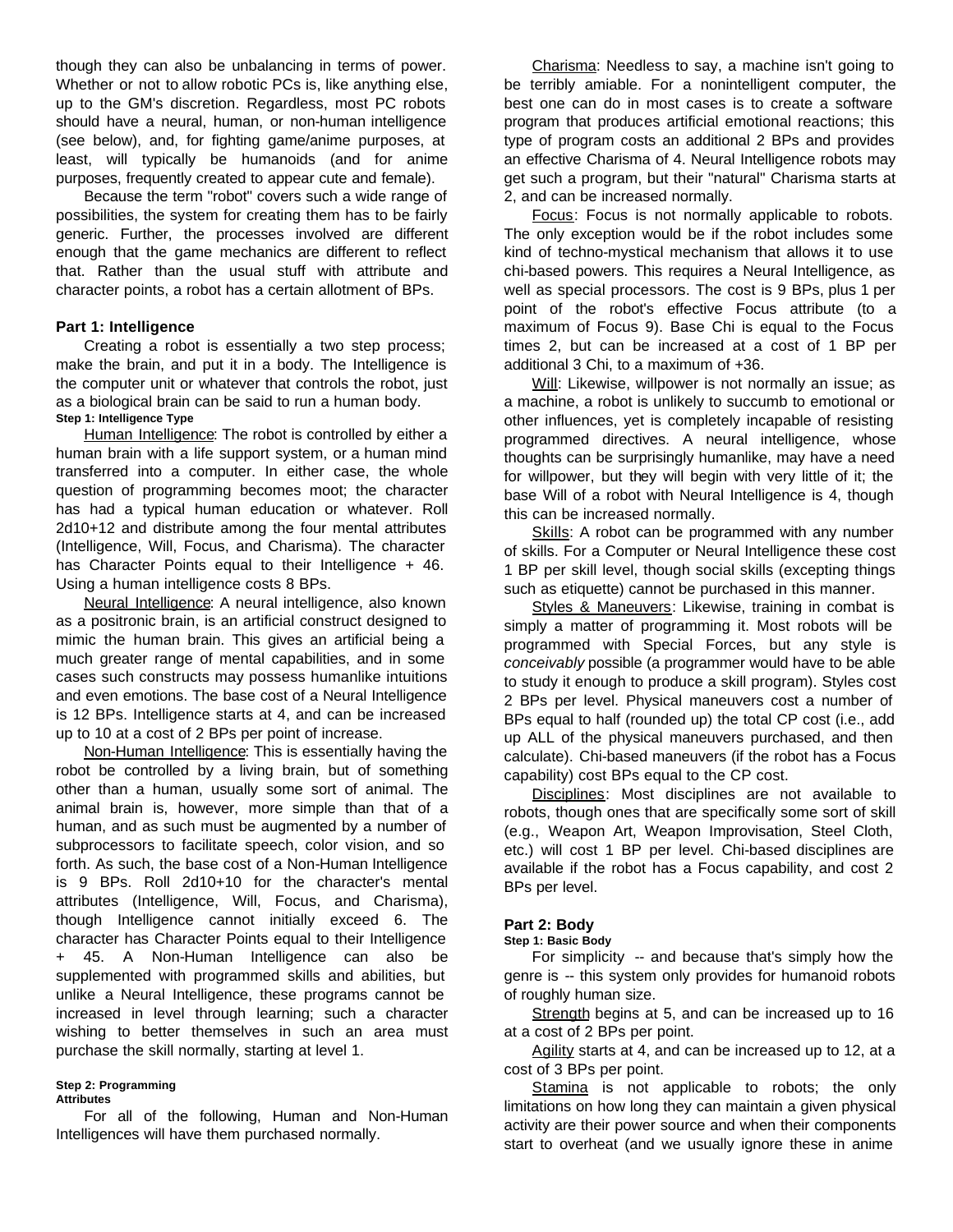though they can also be unbalancing in terms of power. Whether or not to allow robotic PCs is, like anything else, up to the GM's discretion. Regardless, most PC robots should have a neural, human, or non-human intelligence (see below), and, for fighting game/anime purposes, at least, will typically be humanoids (and for anime purposes, frequently created to appear cute and female).

Because the term "robot" covers such a wide range of possibilities, the system for creating them has to be fairly generic. Further, the processes involved are different enough that the game mechanics are different to reflect that. Rather than the usual stuff with attribute and character points, a robot has a certain allotment of BPs.

# **Part 1: Intelligence**

Creating a robot is essentially a two step process; make the brain, and put it in a body. The Intelligence is the computer unit or whatever that controls the robot, just as a biological brain can be said to run a human body. **Step 1: Intelligence Type**

Human Intelligence: The robot is controlled by either a human brain with a life support system, or a human mind transferred into a computer. In either case, the whole question of programming becomes moot; the character has had a typical human education or whatever. Roll 2d10+12 and distribute among the four mental attributes (Intelligence, Will, Focus, and Charisma). The character has Character Points equal to their Intelligence + 46. Using a human intelligence costs 8 BPs.

Neural Intelligence: A neural intelligence, also known as a positronic brain, is an artificial construct designed to mimic the human brain. This gives an artificial being a much greater range of mental capabilities, and in some cases such constructs may possess humanlike intuitions and even emotions. The base cost of a Neural Intelligence is 12 BPs. Intelligence starts at 4, and can be increased up to 10 at a cost of 2 BPs per point of increase.

Non-Human Intelligence: This is essentially having the robot be controlled by a living brain, but of something other than a human, usually some sort of animal. The animal brain is, however, more simple than that of a human, and as such must be augmented by a number of subprocessors to facilitate speech, color vision, and so forth. As such, the base cost of a Non-Human Intelligence is 9 BPs. Roll 2d10+10 for the character's mental attributes (Intelligence, Will, Focus, and Charisma), though Intelligence cannot initially exceed 6. The character has Character Points equal to their Intelligence + 45. A Non-Human Intelligence can also be supplemented with programmed skills and abilities, but unlike a Neural Intelligence, these programs cannot be increased in level through learning; such a character wishing to better themselves in such an area must purchase the skill normally, starting at level 1.

#### **Step 2: Programming Attributes**

For all of the following, Human and Non-Human Intelligences will have them purchased normally.

Charisma: Needless to say, a machine isn't going to be terribly amiable. For a nonintelligent computer, the best one can do in most cases is to create a software program that produces artificial emotional reactions; this type of program costs an additional 2 BPs and provides an effective Charisma of 4. Neural Intelligence robots may get such a program, but their "natural" Charisma starts at 2, and can be increased normally.

Focus: Focus is not normally applicable to robots. The only exception would be if the robot includes some kind of techno-mystical mechanism that allows it to use chi-based powers. This requires a Neural Intelligence, as well as special processors. The cost is 9 BPs, plus 1 per point of the robot's effective Focus attribute (to a maximum of Focus 9). Base Chi is equal to the Focus times 2, but can be increased at a cost of 1 BP per additional 3 Chi, to a maximum of +36.

Will: Likewise, willpower is not normally an issue; as a machine, a robot is unlikely to succumb to emotional or other influences, yet is completely incapable of resisting programmed directives. A neural intelligence, whose thoughts can be surprisingly humanlike, may have a need for willpower, but they will begin with very little of it; the base Will of a robot with Neural Intelligence is 4, though this can be increased normally.

Skills: A robot can be programmed with any number of skills. For a Computer or Neural Intelligence these cost 1 BP per skill level, though social skills (excepting things such as etiquette) cannot be purchased in this manner.

Styles & Maneuvers: Likewise, training in combat is simply a matter of programming it. Most robots will be programmed with Special Forces, but any style is *conceivably* possible (a programmer would have to be able to study it enough to produce a skill program). Styles cost 2 BPs per level. Physical maneuvers cost a number of BPs equal to half (rounded up) the total CP cost (i.e., add up ALL of the physical maneuvers purchased, and then calculate). Chi-based maneuvers (if the robot has a Focus capability) cost BPs equal to the CP cost.

Disciplines: Most disciplines are not available to robots, though ones that are specifically some sort of skill (e.g., Weapon Art, Weapon Improvisation, Steel Cloth, etc.) will cost 1 BP per level. Chi-based disciplines are available if the robot has a Focus capability, and cost 2 BPs per level.

# **Part 2: Body**

#### **Step 1: Basic Body**

For simplicity -- and because that's simply how the genre is -- this system only provides for humanoid robots of roughly human size.

Strength begins at 5, and can be increased up to 16 at a cost of 2 BPs per point.

Agility starts at 4, and can be increased up to 12, at a cost of 3 BPs per point.

Stamina is not applicable to robots; the only limitations on how long they can maintain a given physical activity are their power source and when their components start to overheat (and we usually ignore these in anime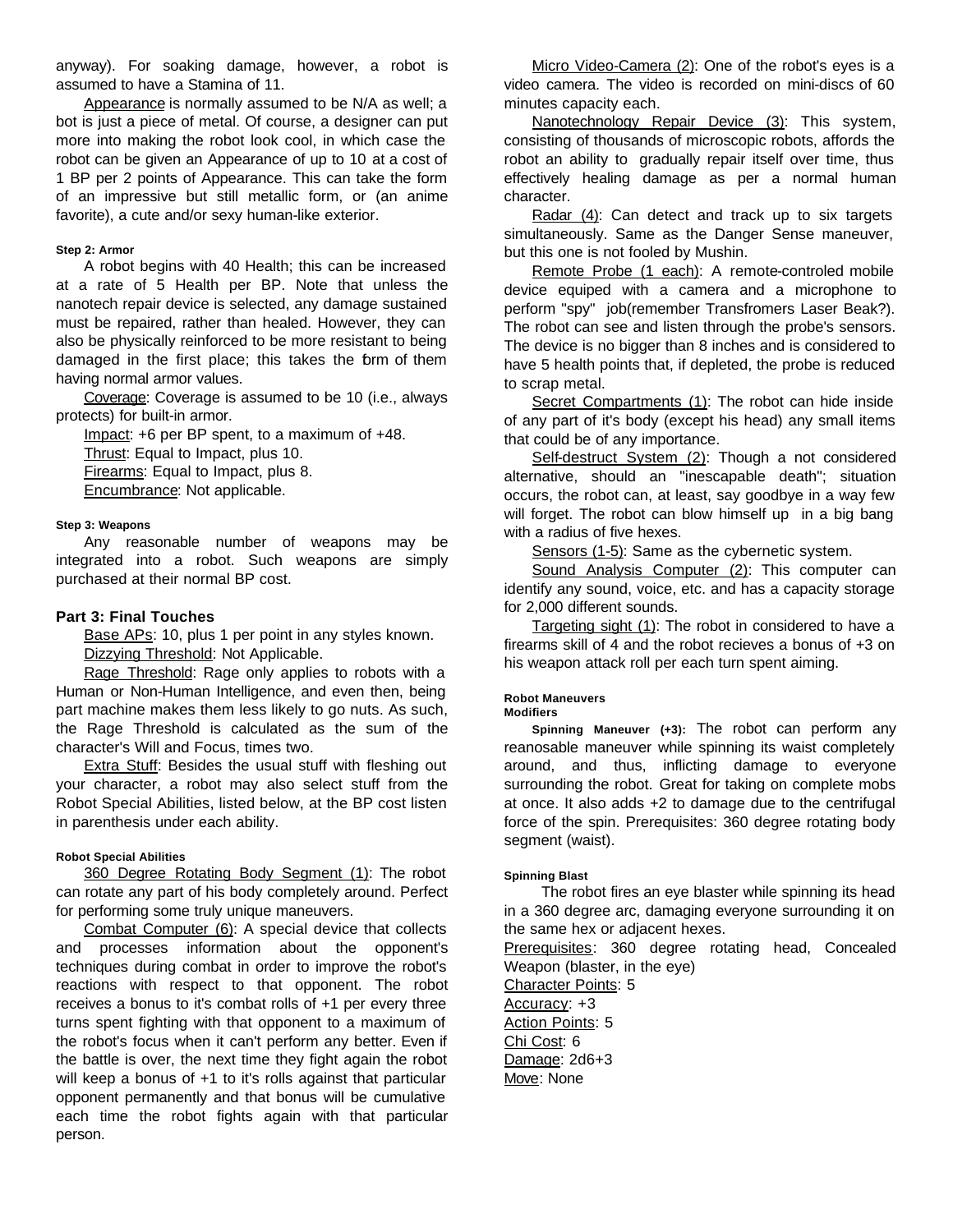anyway). For soaking damage, however, a robot is assumed to have a Stamina of 11.

Appearance is normally assumed to be N/A as well; a bot is just a piece of metal. Of course, a designer can put more into making the robot look cool, in which case the robot can be given an Appearance of up to 10 at a cost of 1 BP per 2 points of Appearance. This can take the form of an impressive but still metallic form, or (an anime favorite), a cute and/or sexy human-like exterior.

# **Step 2: Armor**

A robot begins with 40 Health; this can be increased at a rate of 5 Health per BP. Note that unless the nanotech repair device is selected, any damage sustained must be repaired, rather than healed. However, they can also be physically reinforced to be more resistant to being damaged in the first place; this takes the form of them having normal armor values.

Coverage: Coverage is assumed to be 10 (i.e., always protects) for built-in armor.

Impact: +6 per BP spent, to a maximum of +48.

Thrust: Equal to Impact, plus 10.

Firearms: Equal to Impact, plus 8.

Encumbrance: Not applicable.

#### **Step 3: Weapons**

Any reasonable number of weapons may be integrated into a robot. Such weapons are simply purchased at their normal BP cost.

# **Part 3: Final Touches**

Base APs: 10, plus 1 per point in any styles known. Dizzying Threshold: Not Applicable.

Rage Threshold: Rage only applies to robots with a Human or Non-Human Intelligence, and even then, being part machine makes them less likely to go nuts. As such, the Rage Threshold is calculated as the sum of the character's Will and Focus, times two.

Extra Stuff: Besides the usual stuff with fleshing out your character, a robot may also select stuff from the Robot Special Abilities, listed below, at the BP cost listen in parenthesis under each ability.

# **Robot Special Abilities**

360 Degree Rotating Body Segment (1): The robot can rotate any part of his body completely around. Perfect for performing some truly unique maneuvers.

Combat Computer (6): A special device that collects and processes information about the opponent's techniques during combat in order to improve the robot's reactions with respect to that opponent. The robot receives a bonus to it's combat rolls of +1 per every three turns spent fighting with that opponent to a maximum of the robot's focus when it can't perform any better. Even if the battle is over, the next time they fight again the robot will keep a bonus of +1 to it's rolls against that particular opponent permanently and that bonus will be cumulative each time the robot fights again with that particular person.

Micro Video-Camera (2): One of the robot's eyes is a video camera. The video is recorded on mini-discs of 60 minutes capacity each.

Nanotechnology Repair Device (3): This system, consisting of thousands of microscopic robots, affords the robot an ability to gradually repair itself over time, thus effectively healing damage as per a normal human character.

Radar (4): Can detect and track up to six targets simultaneously. Same as the Danger Sense maneuver, but this one is not fooled by Mushin.

Remote Probe (1 each): A remote-controled mobile device equiped with a camera and a microphone to perform "spy" job(remember Transfromers Laser Beak?). The robot can see and listen through the probe's sensors. The device is no bigger than 8 inches and is considered to have 5 health points that, if depleted, the probe is reduced to scrap metal.

Secret Compartments (1): The robot can hide inside of any part of it's body (except his head) any small items that could be of any importance.

Self-destruct System (2): Though a not considered alternative, should an "inescapable death"; situation occurs, the robot can, at least, say goodbye in a way few will forget. The robot can blow himself up in a big bang with a radius of five hexes.

Sensors (1-5): Same as the cybernetic system.

Sound Analysis Computer (2): This computer can identify any sound, voice, etc. and has a capacity storage for 2,000 different sounds.

Targeting sight (1): The robot in considered to have a firearms skill of 4 and the robot recieves a bonus of +3 on his weapon attack roll per each turn spent aiming.

# **Robot Maneuvers**

**Modifiers**

**Spinning Maneuver (+3):** The robot can perform any reanosable maneuver while spinning its waist completely around, and thus, inflicting damage to everyone surrounding the robot. Great for taking on complete mobs at once. It also adds +2 to damage due to the centrifugal force of the spin. Prerequisites: 360 degree rotating body segment (waist).

# **Spinning Blast**

 The robot fires an eye blaster while spinning its head in a 360 degree arc, damaging everyone surrounding it on the same hex or adjacent hexes.

Prerequisites: 360 degree rotating head, Concealed Weapon (blaster, in the eye)

Character Points: 5 Accuracy: +3

Action Points: 5 Chi Cost: 6 Damage: 2d6+3 Move: None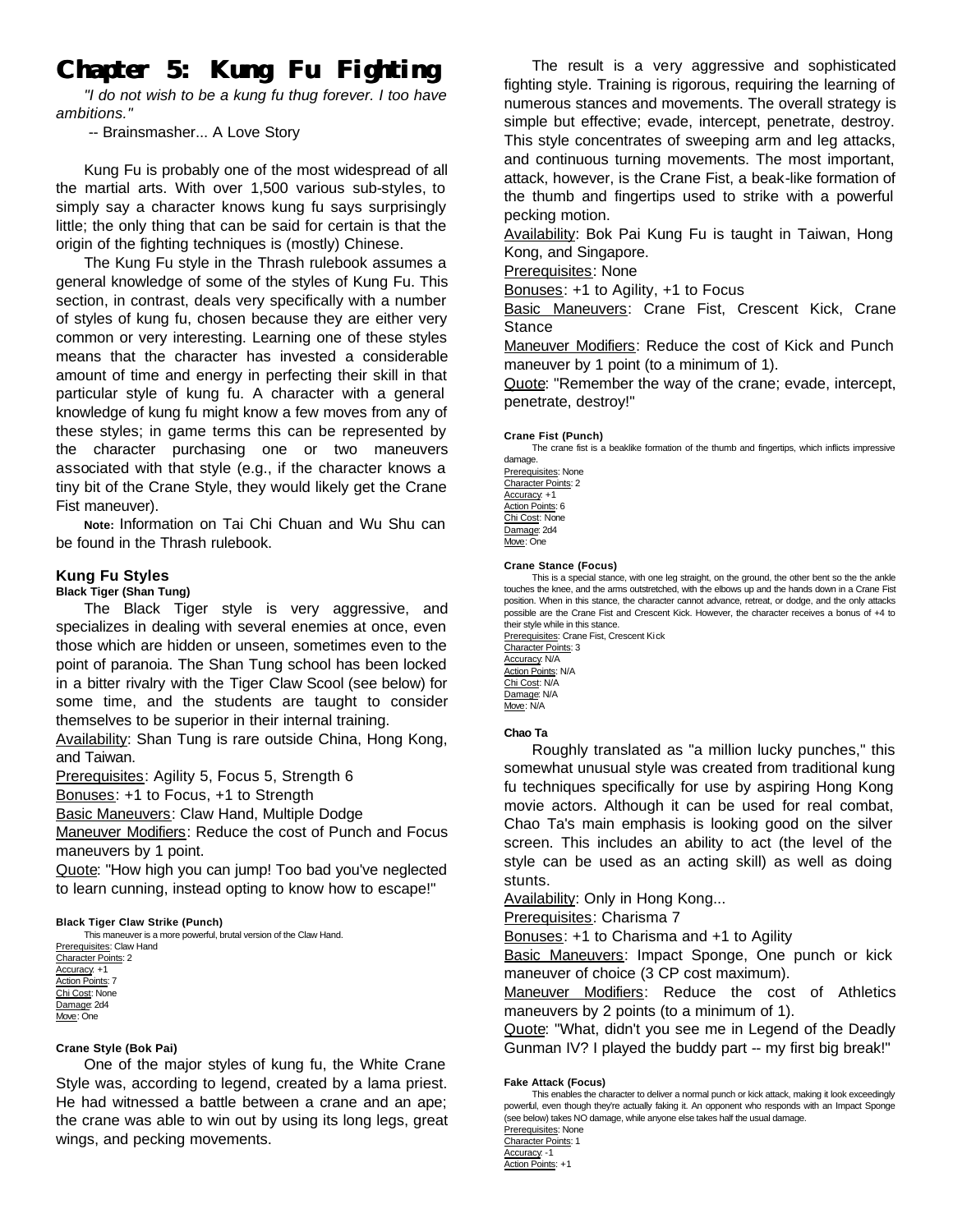# **Chapter 5: Kung Fu Fighting**

*"I do not wish to be a kung fu thug forever. I too have ambitions."*

-- Brainsmasher... A Love Story

Kung Fu is probably one of the most widespread of all the martial arts. With over 1,500 various sub-styles, to simply say a character knows kung fu says surprisingly little; the only thing that can be said for certain is that the origin of the fighting techniques is (mostly) Chinese.

The Kung Fu style in the Thrash rulebook assumes a general knowledge of some of the styles of Kung Fu. This section, in contrast, deals very specifically with a number of styles of kung fu, chosen because they are either very common or very interesting. Learning one of these styles means that the character has invested a considerable amount of time and energy in perfecting their skill in that particular style of kung fu. A character with a general knowledge of kung fu might know a few moves from any of these styles; in game terms this can be represented by the character purchasing one or two maneuvers associated with that style (e.g., if the character knows a tiny bit of the Crane Style, they would likely get the Crane Fist maneuver).

**Note:** Information on Tai Chi Chuan and Wu Shu can be found in the Thrash rulebook.

# **Kung Fu Styles**

**Black Tiger (Shan Tung)**

The Black Tiger style is very aggressive, and specializes in dealing with several enemies at once, even those which are hidden or unseen, sometimes even to the point of paranoia. The Shan Tung school has been locked in a bitter rivalry with the Tiger Claw Scool (see below) for some time, and the students are taught to consider themselves to be superior in their internal training.

Availability: Shan Tung is rare outside China, Hong Kong, and Taiwan.

Prerequisites: Agility 5, Focus 5, Strength 6

Bonuses: +1 to Focus, +1 to Strength

Basic Maneuvers: Claw Hand, Multiple Dodge

Maneuver Modifiers: Reduce the cost of Punch and Focus maneuvers by 1 point.

Quote: "How high you can jump! Too bad you've neglected to learn cunning, instead opting to know how to escape!"

**Black Tiger Claw Strike (Punch)**

This maneuver is a more powerful, brutal version of the Claw Hand. Prerequisites: Claw Hand Character Points: 2 Accuracy: +1 Action Points: 7 Chi Cost: None Damage: 2d4

#### **Crane Style (Bok Pai)**

Move: One

One of the major styles of kung fu, the White Crane Style was, according to legend, created by a lama priest. He had witnessed a battle between a crane and an ape; the crane was able to win out by using its long legs, great wings, and pecking movements.

The result is a very aggressive and sophisticated fighting style. Training is rigorous, requiring the learning of numerous stances and movements. The overall strategy is simple but effective; evade, intercept, penetrate, destroy. This style concentrates of sweeping arm and leg attacks, and continuous turning movements. The most important, attack, however, is the Crane Fist, a beak-like formation of the thumb and fingertips used to strike with a powerful pecking motion.

Availability: Bok Pai Kung Fu is taught in Taiwan, Hong Kong, and Singapore.

Prerequisites: None

Bonuses: +1 to Agility, +1 to Focus

Basic Maneuvers: Crane Fist, Crescent Kick, Crane Stance

Maneuver Modifiers: Reduce the cost of Kick and Punch maneuver by 1 point (to a minimum of 1).

Quote: "Remember the way of the crane; evade, intercept, penetrate, destroy!"

#### **Crane Fist (Punch)**

The crane fist is a beaklike formation of the thumb and fingertips, which inflicts impressive damage.

Prerequisites: None Character Points: 2 Accuracy: +1 Action Points: 6 Chi Cost: None Damage: 2d4 Move: One

#### **Crane Stance (Focus)**

This is a special stance, with one leg straight, on the ground, the other bent so the the ankle touches the knee, and the arms outstretched, with the elbows up and the hands down in a Crane Fist position. When in this stance, the character cannot advance, retreat, or dodge, and the only attacks possible are the Crane Fist and Crescent Kick. However, the character receives a bonus of +4 to their style while in this stance. Prerequisites: Crane Fist, Crescent Kick

Character Points: 3 Accuracy: N/A Action Points: N/A Chi Cost: N/A Damage: N/A Move: N/A

#### **Chao Ta**

Roughly translated as "a million lucky punches," this somewhat unusual style was created from traditional kung fu techniques specifically for use by aspiring Hong Kong movie actors. Although it can be used for real combat, Chao Ta's main emphasis is looking good on the silver screen. This includes an ability to act (the level of the style can be used as an acting skill) as well as doing stunts.

Availability: Only in Hong Kong...

Prerequisites: Charisma 7

Bonuses: +1 to Charisma and +1 to Agility

**Basic Maneuvers: Impact Sponge, One punch or kick** maneuver of choice (3 CP cost maximum).

Maneuver Modifiers: Reduce the cost of Athletics maneuvers by 2 points (to a minimum of 1).

Quote: "What, didn't you see me in Legend of the Deadly Gunman IV? I played the buddy part -- my first big break!"

#### **Fake Attack (Focus)**

This enables the character to deliver a normal punch or kick attack, making it look exceedingly powerful, even though they're actually faking it. An opponent who responds with an Impact Sponge (see below) takes NO damage, while anyone else takes half the usual damage.

| Prerequisites: None        |
|----------------------------|
| <b>Character Points: 1</b> |
| Accuracy: -1               |
| <b>Action Points: +1</b>   |
|                            |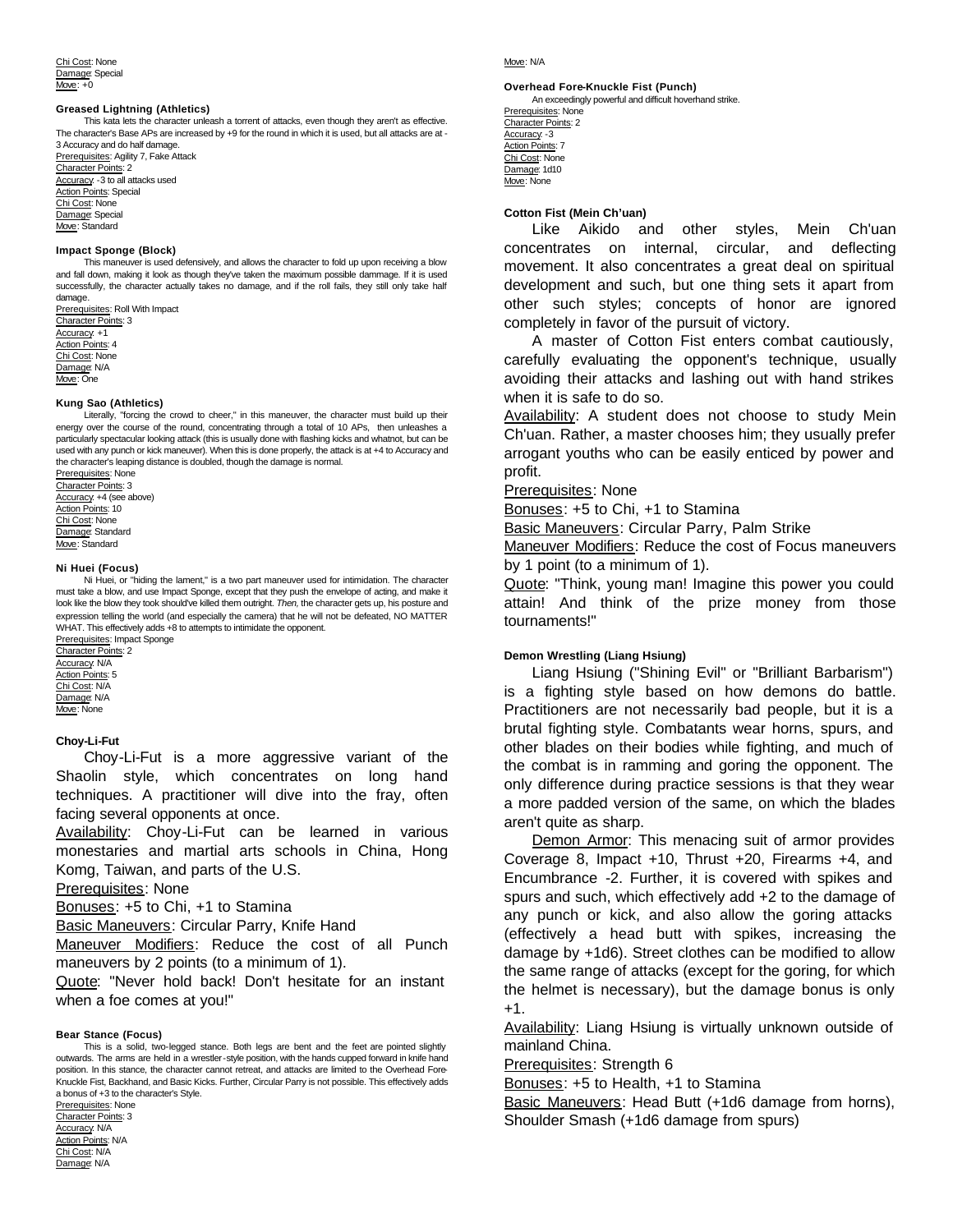Chi Cost: None Damage: Special Move: +0

#### **Greased Lightning (Athletics)**

This kata lets the character unleash a torrent of attacks, even though they aren't as effective. The character's Base APs are increased by +9 for the round in which it is used, but all attacks are at - 3 Accuracy and do half damage.

Prerequisites: Agility 7, Fake Attack Character Points: 2 Accuracy: -3 to all attacks used **Action Points: Special** Chi Cost: None Damage: Special Move: Standard

#### **Impact Sponge (Block)**

This maneuver is used defensively, and allows the character to fold up upon receiving a blow and fall down, making it look as though they've taken the maximum possible dammage. If it is used successfully, the character actually takes no damage, and if the roll fails, they still only take half damage.

Prerequisites: Roll With Impact Character Points: 3 Accuracy: +1 Action Points: 4 Chi Cost: None Damage: N/A Move: One

#### **Kung Sao (Athletics)**

Literally, "forcing the crowd to cheer," in this maneuver, the character must build up their energy over the course of the round, concentrating through a total of 10 APs, then unleashes a particularly spectacular looking attack (this is usually done with flashing kicks and whatnot, but can be used with any punch or kick maneuver). When this is done properly, the attack is at +4 to Accuracy and the character's leaping distance is doubled, though the damage is normal.

Prerequisites: None Character Points: 3 Accuracy: +4 (see above) Action Points: 10 Chi Cost: None Damage: Standard Move: Standard

#### **Ni Huei (Focus)**

Ni Huei, or "hiding the lament," is a two part maneuver used for intimidation. The character must take a blow, and use Impact Sponge, except that they push the envelope of acting, and make it look like the blow they took should've killed them outright. *Then,* the character gets up, his posture and expression telling the world (and especially the camera) that he will not be defeated, NO MATTER WHAT. This effectively adds +8 to attempts to intimidate the opponent.

Prerequisites: Impact Sponge Character Points: 2 Accuracy: N/A Action Points: 5 Chi Cost: N/A Damage: N/A Move: None

#### **Choy-Li-Fut**

Choy-Li-Fut is a more aggressive variant of the Shaolin style, which concentrates on long hand techniques. A practitioner will dive into the fray, often facing several opponents at once.

Availability: Choy-Li-Fut can be learned in various monestaries and martial arts schools in China, Hong Komg, Taiwan, and parts of the U.S.

Prerequisites: None

Bonuses: +5 to Chi, +1 to Stamina

Basic Maneuvers: Circular Parry, Knife Hand

Maneuver Modifiers: Reduce the cost of all Punch maneuvers by 2 points (to a minimum of 1).

Quote: "Never hold back! Don't hesitate for an instant when a foe comes at you!"

#### **Bear Stance (Focus)**

This is a solid, two-legged stance. Both legs are bent and the feet are pointed slightly outwards. The arms are held in a wrestler-style position, with the hands cupped forward in knife hand position. In this stance, the character cannot retreat, and attacks are limited to the Overhead Fore-Knuckle Fist, Backhand, and Basic Kicks. Further, Circular Parry is not possible. This effectively adds a bonus of +3 to the character's Style.

Prerequisites: None Character Points: 3 Accuracy: N/A Action Points: N/A Chi Cost: N/A Damage: N/A

#### Move: N/A

#### **Overhead Fore-Knuckle Fist (Punch)**

An exceedingly powerful and difficult hoverhand strike. Prerequisites: None Character Points: 2 Accuracy: -3 Action Points: 7 Chi Cost: None Damage: 1d10 Move: None

#### **Cotton Fist (Mein Ch'uan)**

Like Aikido and other styles, Mein Ch'uan concentrates on internal, circular, and deflecting movement. It also concentrates a great deal on spiritual development and such, but one thing sets it apart from other such styles; concepts of honor are ignored completely in favor of the pursuit of victory.

A master of Cotton Fist enters combat cautiously, carefully evaluating the opponent's technique, usually avoiding their attacks and lashing out with hand strikes when it is safe to do so.

Availability: A student does not choose to study Mein Ch'uan. Rather, a master chooses him; they usually prefer arrogant youths who can be easily enticed by power and profit.

#### Prerequisites: None

Bonuses: +5 to Chi, +1 to Stamina

Basic Maneuvers: Circular Parry, Palm Strike

Maneuver Modifiers: Reduce the cost of Focus maneuvers by 1 point (to a minimum of 1).

Quote: "Think, young man! Imagine this power you could attain! And think of the prize money from those tournaments!"

#### **Demon Wrestling (Liang Hsiung)**

Liang Hsiung ("Shining Evil" or "Brilliant Barbarism") is a fighting style based on how demons do battle. Practitioners are not necessarily bad people, but it is a brutal fighting style. Combatants wear horns, spurs, and other blades on their bodies while fighting, and much of the combat is in ramming and goring the opponent. The only difference during practice sessions is that they wear a more padded version of the same, on which the blades aren't quite as sharp.

Demon Armor: This menacing suit of armor provides Coverage 8, Impact +10, Thrust +20, Firearms +4, and Encumbrance -2. Further, it is covered with spikes and spurs and such, which effectively add +2 to the damage of any punch or kick, and also allow the goring attacks (effectively a head butt with spikes, increasing the damage by +1d6). Street clothes can be modified to allow the same range of attacks (except for the goring, for which the helmet is necessary), but the damage bonus is only +1.

Availability: Liang Hsiung is virtually unknown outside of mainland China.

Prerequisites: Strength 6

Bonuses: +5 to Health, +1 to Stamina

Basic Maneuvers: Head Butt (+1d6 damage from horns), Shoulder Smash (+1d6 damage from spurs)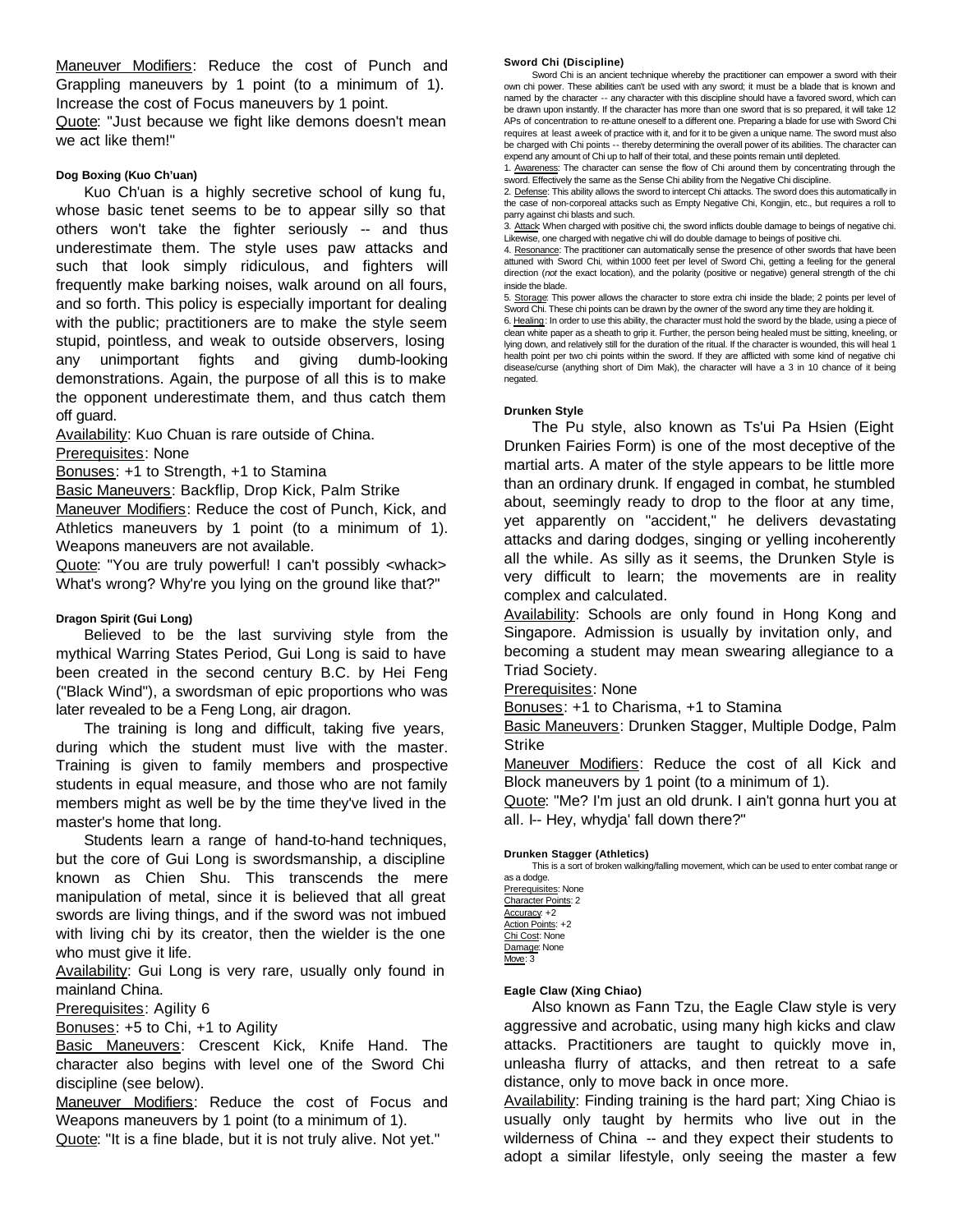Maneuver Modifiers: Reduce the cost of Punch and Grappling maneuvers by 1 point (to a minimum of 1). Increase the cost of Focus maneuvers by 1 point. Quote: "Just because we fight like demons doesn't mean we act like them!"

## **Dog Boxing (Kuo Ch'uan)**

Kuo Ch'uan is a highly secretive school of kung fu, whose basic tenet seems to be to appear silly so that others won't take the fighter seriously -- and thus underestimate them. The style uses paw attacks and such that look simply ridiculous, and fighters will frequently make barking noises, walk around on all fours, and so forth. This policy is especially important for dealing with the public; practitioners are to make the style seem stupid, pointless, and weak to outside observers, losing any unimportant fights and giving dumb-looking demonstrations. Again, the purpose of all this is to make the opponent underestimate them, and thus catch them off guard.

Availability: Kuo Chuan is rare outside of China.

Prerequisites: None

Bonuses: +1 to Strength, +1 to Stamina

Basic Maneuvers: Backflip, Drop Kick, Palm Strike

Maneuver Modifiers: Reduce the cost of Punch, Kick, and Athletics maneuvers by 1 point (to a minimum of 1). Weapons maneuvers are not available.

Quote: "You are truly powerful! I can't possibly <whack> What's wrong? Why're you lying on the ground like that?"

# **Dragon Spirit (Gui Long)**

Believed to be the last surviving style from the mythical Warring States Period, Gui Long is said to have been created in the second century B.C. by Hei Feng ("Black Wind"), a swordsman of epic proportions who was later revealed to be a Feng Long, air dragon.

The training is long and difficult, taking five years, during which the student must live with the master. Training is given to family members and prospective students in equal measure, and those who are not family members might as well be by the time they've lived in the master's home that long.

Students learn a range of hand-to-hand techniques, but the core of Gui Long is swordsmanship, a discipline known as Chien Shu. This transcends the mere manipulation of metal, since it is believed that all great swords are living things, and if the sword was not imbued with living chi by its creator, then the wielder is the one who must give it life.

Availability: Gui Long is very rare, usually only found in mainland China.

Prerequisites: Agility 6

Bonuses: +5 to Chi, +1 to Agility

Basic Maneuvers: Crescent Kick, Knife Hand. The character also begins with level one of the Sword Chi discipline (see below).

Maneuver Modifiers: Reduce the cost of Focus and Weapons maneuvers by 1 point (to a minimum of 1).

Quote: "It is a fine blade, but it is not truly alive. Not yet."

# **Sword Chi (Discipline)**

Sword Chi is an ancient technique whereby the practitioner can empower a sword with their own chi power. These abilities can't be used with any sword; it must be a blade that is known and named by the character -- any character with this discipline should have a favored sword, which can be drawn upon instantly. If the character has more than one sword that is so prepared, it will take 12 APs of concentration to re-attune oneself to a different one. Preparing a blade for use with Sword Chi requires at least a week of practice with it, and for it to be given a unique name. The sword must also be charged with Chi points -- thereby determining the overall power of its abilities. The character can expend any amount of Chi up to half of their total, and these points remain until depleted.

1. Awareness: The character can sense the flow of Chi around them by concentrating through the sword. Effectively the same as the Sense Chi ability from the Negative Chi discipline.

2. Defense: This ability allows the sword to intercept Chi attacks. The sword does this automatically in the case of non-corporeal attacks such as Empty Negative Chi, Kongjin, etc., but requires a roll to parry against chi blasts and such.

3. Attack: When charged with positive chi, the sword inflicts double damage to beings of negative chi. Likewise, one charged with negative chi will do double damage to beings of positive chi.

4. Resonance: The practitioner can automatically sense the presence of other swords that have been attuned with Sword Chi, within 1000 feet per level of Sword Chi, getting a feeling for the general direction (*not* the exact location), and the polarity (positive or negative) general strength of the chi inside the blade.

5. Storage: This power allows the character to store extra chi inside the blade; 2 points per level of Sword Chi. These chi points can be drawn by the owner of the sword any time they are holding it.

6. Healing: In order to use this ability, the character must hold the sword by the blade, using a piece of clean white paper as a sheath to grip it. Further, the person being healed must be sitting, kneeling, or lying down, and relatively still for the duration of the ritual. If the character is wounded, this will heal 1 health point per two chi points within the sword. If they are afflicted with some kind of negative chi disease/curse (anything short of Dim Mak), the character will have a 3 in 10 chance of it being negated.

# **Drunken Style**

The Pu style, also known as Ts'ui Pa Hsien (Eight Drunken Fairies Form) is one of the most deceptive of the martial arts. A mater of the style appears to be little more than an ordinary drunk. If engaged in combat, he stumbled about, seemingly ready to drop to the floor at any time, yet apparently on "accident," he delivers devastating attacks and daring dodges, singing or yelling incoherently all the while. As silly as it seems, the Drunken Style is very difficult to learn; the movements are in reality complex and calculated.

Availability: Schools are only found in Hong Kong and Singapore. Admission is usually by invitation only, and becoming a student may mean swearing allegiance to a Triad Society.

Prerequisites: None

Bonuses: +1 to Charisma, +1 to Stamina

Basic Maneuvers: Drunken Stagger, Multiple Dodge, Palm Strike

Maneuver Modifiers: Reduce the cost of all Kick and Block maneuvers by 1 point (to a minimum of 1).

Quote: "Me? I'm just an old drunk. I ain't gonna hurt you at all. I-- Hey, whydja' fall down there?"

# **Drunken Stagger (Athletics)**

This is a sort of broken walking/falling movement, which can be used to enter combat range or as a dodge.

Prerequisites: None Character Points: 2 Accuracy: +2 Action Points: +2 Chi Cost: None Damage: None Move: 3

# **Eagle Claw (Xing Chiao)**

Also known as Fann Tzu, the Eagle Claw style is very aggressive and acrobatic, using many high kicks and claw attacks. Practitioners are taught to quickly move in, unleasha flurry of attacks, and then retreat to a safe distance, only to move back in once more.

Availability: Finding training is the hard part; Xing Chiao is usually only taught by hermits who live out in the wilderness of China -- and they expect their students to adopt a similar lifestyle, only seeing the master a few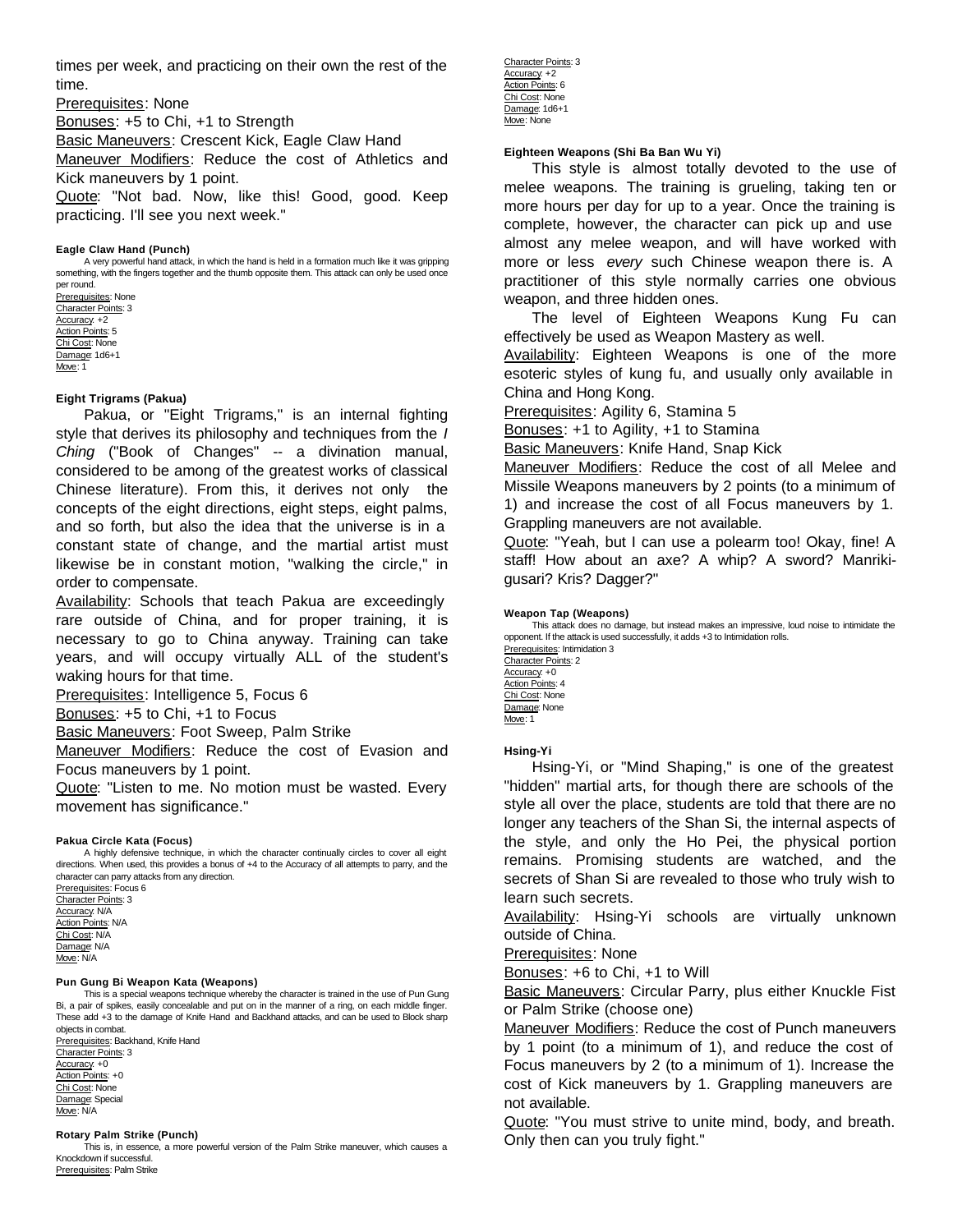times per week, and practicing on their own the rest of the time.

Prerequisites: None

Bonuses: +5 to Chi, +1 to Strength

Basic Maneuvers: Crescent Kick, Eagle Claw Hand

Maneuver Modifiers: Reduce the cost of Athletics and Kick maneuvers by 1 point.

Quote: "Not bad. Now, like this! Good, good. Keep practicing. I'll see you next week."

#### **Eagle Claw Hand (Punch)**

A very powerful hand attack, in which the hand is held in a formation much like it was gripping something, with the fingers together and the thumb opposite them. This attack can only be used once per round. Prerequisites: None Character Points: 3

Accuracy: +2 Action Points: 5 Chi Cost: None Damage: 1d6+1 Move: 1

# **Eight Trigrams (Pakua)**

Pakua, or "Eight Trigrams," is an internal fighting style that derives its philosophy and techniques from the *I Ching* ("Book of Changes" -- a divination manual, considered to be among of the greatest works of classical Chinese literature). From this, it derives not only the concepts of the eight directions, eight steps, eight palms, and so forth, but also the idea that the universe is in a constant state of change, and the martial artist must likewise be in constant motion, "walking the circle," in order to compensate.

Availability: Schools that teach Pakua are exceedingly rare outside of China, and for proper training, it is necessary to go to China anyway. Training can take years, and will occupy virtually ALL of the student's waking hours for that time.

Prerequisites: Intelligence 5, Focus 6

Bonuses: +5 to Chi, +1 to Focus

Basic Maneuvers: Foot Sweep, Palm Strike

Maneuver Modifiers: Reduce the cost of Evasion and Focus maneuvers by 1 point.

Quote: "Listen to me. No motion must be wasted. Every movement has significance."

#### **Pakua Circle Kata (Focus)**

A highly defensive technique, in which the character continually circles to cover all eight directions. When used, this provides a bonus of +4 to the Accuracy of all attempts to parry, and the character can parry attacks from any direction. Prerequisites: Focus 6

Character Points: 3 Accuracy: N/A Action Points: N/A Chi Cost: N/A Damage: N/A Move: N/A

#### **Pun Gung Bi Weapon Kata (Weapons)**

This is a special weapons technique whereby the character is trained in the use of Pun Gung Bi, a pair of spikes, easily concealable and put on in the manner of a ring, on each middle finger. These add +3 to the damage of Knife Hand and Backhand attacks, and can be used to Block sharp objects in combat. Prerequisites: Backhand, Knife Hand Character Points: 3 Accuracy: +0

Action Points: +0 Chi Cost: None Damage: Special Move: N/A

#### **Rotary Palm Strike (Punch)**

This is, in essence, a more powerful version of the Palm Strike maneuver, which causes a Knockdown if successful. Prerequisites: Palm Strike

Character Points: 3 Accuracy: +2 Action Points: 6 Chi Cost: None Damage: 1d6+1 Move: None

# **Eighteen Weapons (Shi Ba Ban Wu Yi)**

This style is almost totally devoted to the use of melee weapons. The training is grueling, taking ten or more hours per day for up to a year. Once the training is complete, however, the character can pick up and use almost any melee weapon, and will have worked with more or less *every* such Chinese weapon there is. A practitioner of this style normally carries one obvious weapon, and three hidden ones.

The level of Eighteen Weapons Kung Fu can effectively be used as Weapon Mastery as well.

Availability: Eighteen Weapons is one of the more esoteric styles of kung fu, and usually only available in China and Hong Kong.

Prerequisites: Agility 6, Stamina 5

Bonuses: +1 to Agility, +1 to Stamina

Basic Maneuvers: Knife Hand, Snap Kick

Maneuver Modifiers: Reduce the cost of all Melee and Missile Weapons maneuvers by 2 points (to a minimum of 1) and increase the cost of all Focus maneuvers by 1. Grappling maneuvers are not available.

Quote: "Yeah, but I can use a polearm too! Okay, fine! A staff! How about an axe? A whip? A sword? Manrikigusari? Kris? Dagger?"

# **Weapon Tap (Weapons)**

This attack does no damage, but instead makes an impressive, loud noise to intimidate the opponent. If the attack is used successfully, it adds +3 to Intimidation rolls.

Prerequisites: Intimidation 3 Character Points: 2 Accuracy: +0 Action Points: 4 Chi Cost: None Damage: None Move: 1

#### **Hsing-Yi**

Hsing-Yi, or "Mind Shaping," is one of the greatest "hidden" martial arts, for though there are schools of the style all over the place, students are told that there are no longer any teachers of the Shan Si, the internal aspects of the style, and only the Ho Pei, the physical portion remains. Promising students are watched, and the secrets of Shan Si are revealed to those who truly wish to learn such secrets.

Availability: Hsing-Yi schools are virtually unknown outside of China.

Prerequisites: None

Bonuses: +6 to Chi, +1 to Will

Basic Maneuvers: Circular Parry, plus either Knuckle Fist or Palm Strike (choose one)

Maneuver Modifiers: Reduce the cost of Punch maneuvers by 1 point (to a minimum of 1), and reduce the cost of Focus maneuvers by 2 (to a minimum of 1). Increase the cost of Kick maneuvers by 1. Grappling maneuvers are not available.

Quote: "You must strive to unite mind, body, and breath. Only then can you truly fight."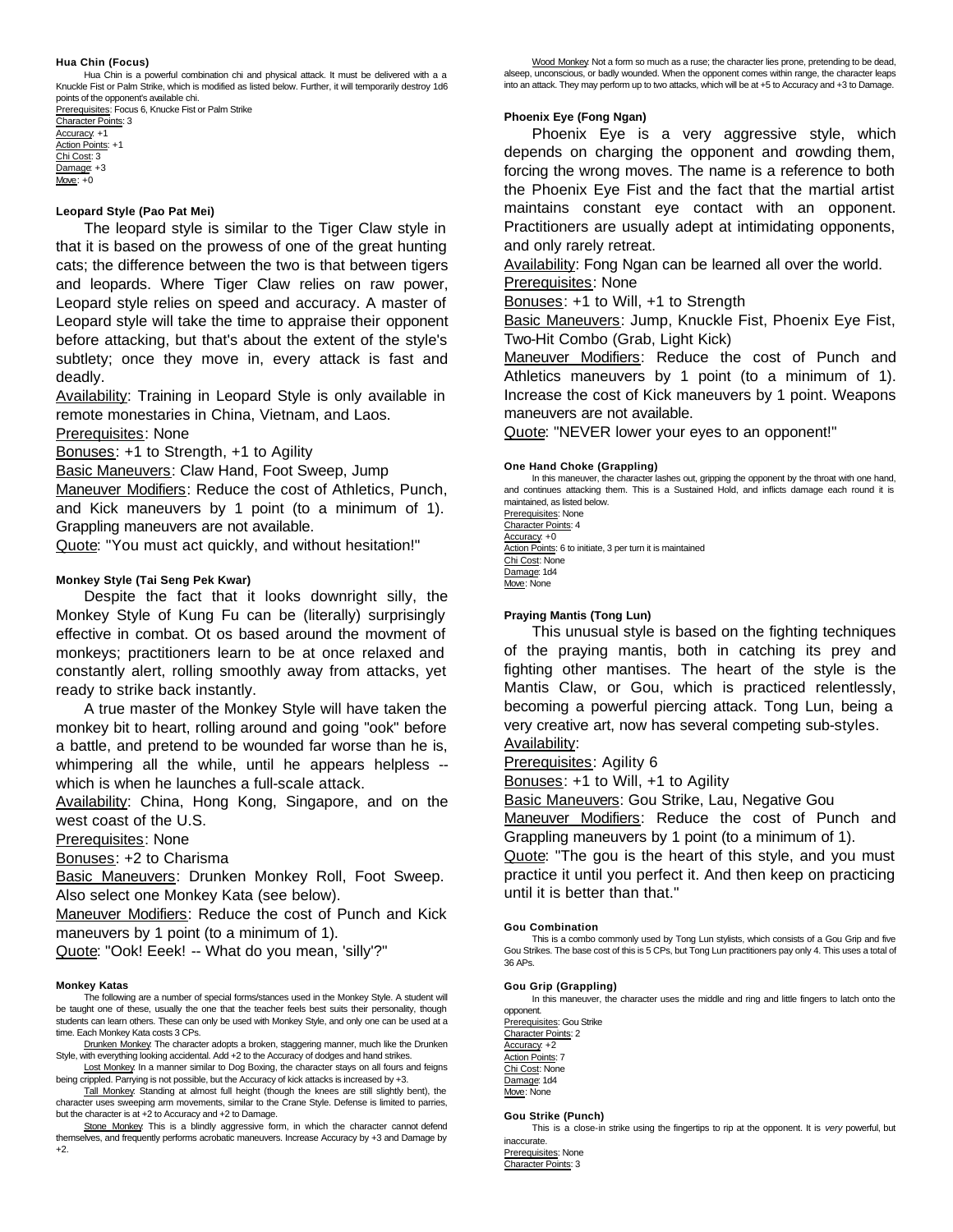#### **Hua Chin (Focus)**

Hua Chin is a powerful combination chi and physical attack. It must be delivered with a a Knuckle Fist or Palm Strike, which is modified as listed below. Further, it will temporarily destroy 1d6 points of the opponent's available chi. Prerequisites: Focus 6, Knucke Fist or Palm Strike

Character Points: 3 Accuracy: +1 Action Points: +1 Chi Cost: 3 Damage: +3 Move: +0

#### **Leopard Style (Pao Pat Mei)**

The leopard style is similar to the Tiger Claw style in that it is based on the prowess of one of the great hunting cats; the difference between the two is that between tigers and leopards. Where Tiger Claw relies on raw power, Leopard style relies on speed and accuracy. A master of Leopard style will take the time to appraise their opponent before attacking, but that's about the extent of the style's subtlety; once they move in, every attack is fast and deadly.

Availability: Training in Leopard Style is only available in remote monestaries in China, Vietnam, and Laos. Prerequisites: None

Bonuses: +1 to Strength, +1 to Agility

Basic Maneuvers: Claw Hand, Foot Sweep, Jump

Maneuver Modifiers: Reduce the cost of Athletics, Punch, and Kick maneuvers by 1 point (to a minimum of 1). Grappling maneuvers are not available.

Quote: "You must act quickly, and without hesitation!"

## **Monkey Style (Tai Seng Pek Kwar)**

Despite the fact that it looks downright silly, the Monkey Style of Kung Fu can be (literally) surprisingly effective in combat. Ot os based around the movment of monkeys; practitioners learn to be at once relaxed and constantly alert, rolling smoothly away from attacks, yet ready to strike back instantly.

A true master of the Monkey Style will have taken the monkey bit to heart, rolling around and going "ook" before a battle, and pretend to be wounded far worse than he is, whimpering all the while, until he appears helpless -which is when he launches a full-scale attack.

Availability: China, Hong Kong, Singapore, and on the west coast of the U.S.

Prerequisites: None

Bonuses: +2 to Charisma

Basic Maneuvers: Drunken Monkey Roll, Foot Sweep. Also select one Monkey Kata (see below).

Maneuver Modifiers: Reduce the cost of Punch and Kick maneuvers by 1 point (to a minimum of 1).

Quote: "Ook! Eeek! -- What do you mean, 'silly'?"

#### **Monkey Katas**

The following are a number of special forms/stances used in the Monkey Style. A student will be taught one of these, usually the one that the teacher feels best suits their personality, though students can learn others. These can only be used with Monkey Style, and only one can be used at a time. Each Monkey Kata costs 3 CPs.

Drunken Monkey: The character adopts a broken, staggering manner, much like the Drunken Style, with everything looking accidental. Add +2 to the Accuracy of dodges and hand strikes.

Lost Monkey. In a manner similar to Dog Boxing, the character stays on all fours and feigns being crippled. Parrying is not possible, but the Accuracy of kick attacks is increased by +3.

Tall Monkey: Standing at almost full height (though the knees are still slightly bent), the character uses sweeping arm movements, similar to the Crane Style. Defense is limited to parries, but the character is at +2 to Accuracy and +2 to Damage.

Stone Monkey. This is a blindly aggressive form, in which the character cannot defend themselves, and frequently performs acrobatic maneuvers. Increase Accuracy by +3 and Damage by +2.

Wood Monkey: Not a form so much as a ruse; the character lies prone, pretending to be dead, alseep, unconscious, or badly wounded. When the opponent comes within range, the character leaps into an attack. They may perform up to two attacks, which will be at +5 to Accuracy and +3 to Damage.

#### **Phoenix Eye (Fong Ngan)**

Phoenix Eye is a very aggressive style, which depends on charging the opponent and crowding them, forcing the wrong moves. The name is a reference to both the Phoenix Eye Fist and the fact that the martial artist maintains constant eye contact with an opponent. Practitioners are usually adept at intimidating opponents, and only rarely retreat.

Availability: Fong Ngan can be learned all over the world. Prerequisites: None

Bonuses: +1 to Will, +1 to Strength

Basic Maneuvers: Jump, Knuckle Fist, Phoenix Eye Fist, Two-Hit Combo (Grab, Light Kick)

Maneuver Modifiers: Reduce the cost of Punch and Athletics maneuvers by 1 point (to a minimum of 1). Increase the cost of Kick maneuvers by 1 point. Weapons maneuvers are not available.

Quote: "NEVER lower your eyes to an opponent!"

#### **One Hand Choke (Grappling)**

In this maneuver, the character lashes out, gripping the opponent by the throat with one hand, and continues attacking them. This is a Sustained Hold, and inflicts damage each round it is maintained, as listed below.

Prerequisites: None Character Points: 4 Accuracy: +0 Action Points: 6 to initiate, 3 per turn it is maintained Chi Cost: None Damage: 1d4 Move: None

#### **Praying Mantis (Tong Lun)**

This unusual style is based on the fighting techniques of the praying mantis, both in catching its prey and fighting other mantises. The heart of the style is the Mantis Claw, or Gou, which is practiced relentlessly, becoming a powerful piercing attack. Tong Lun, being a very creative art, now has several competing sub-styles. Availability:

Prerequisites: Agility 6

Bonuses: +1 to Will, +1 to Agility

Basic Maneuvers: Gou Strike, Lau, Negative Gou

Maneuver Modifiers: Reduce the cost of Punch and Grappling maneuvers by 1 point (to a minimum of 1).

Quote: "The gou is the heart of this style, and you must practice it until you perfect it. And then keep on practicing until it is better than that."

#### **Gou Combination**

This is a combo commonly used by Tong Lun stylists, which consists of a Gou Grip and five Gou Strikes. The base cost of this is 5 CPs, but Tong Lun practitioners pay only 4. This uses a total of 36 APs.

#### **Gou Grip (Grappling)**

In this maneuver, the character uses the middle and ring and little fingers to latch onto the opponent.

Prerequisites: Gou Strike Character Points: 2 Accuracy: +2 Action Points: 7 Chi Cost: None Damage: 1d4 Move: None

#### **Gou Strike (Punch)**

This is a close-in strike using the fingertips to rip at the opponent. It is *very* powerful, but inaccurate.

Prerequisites: None Character Points: 3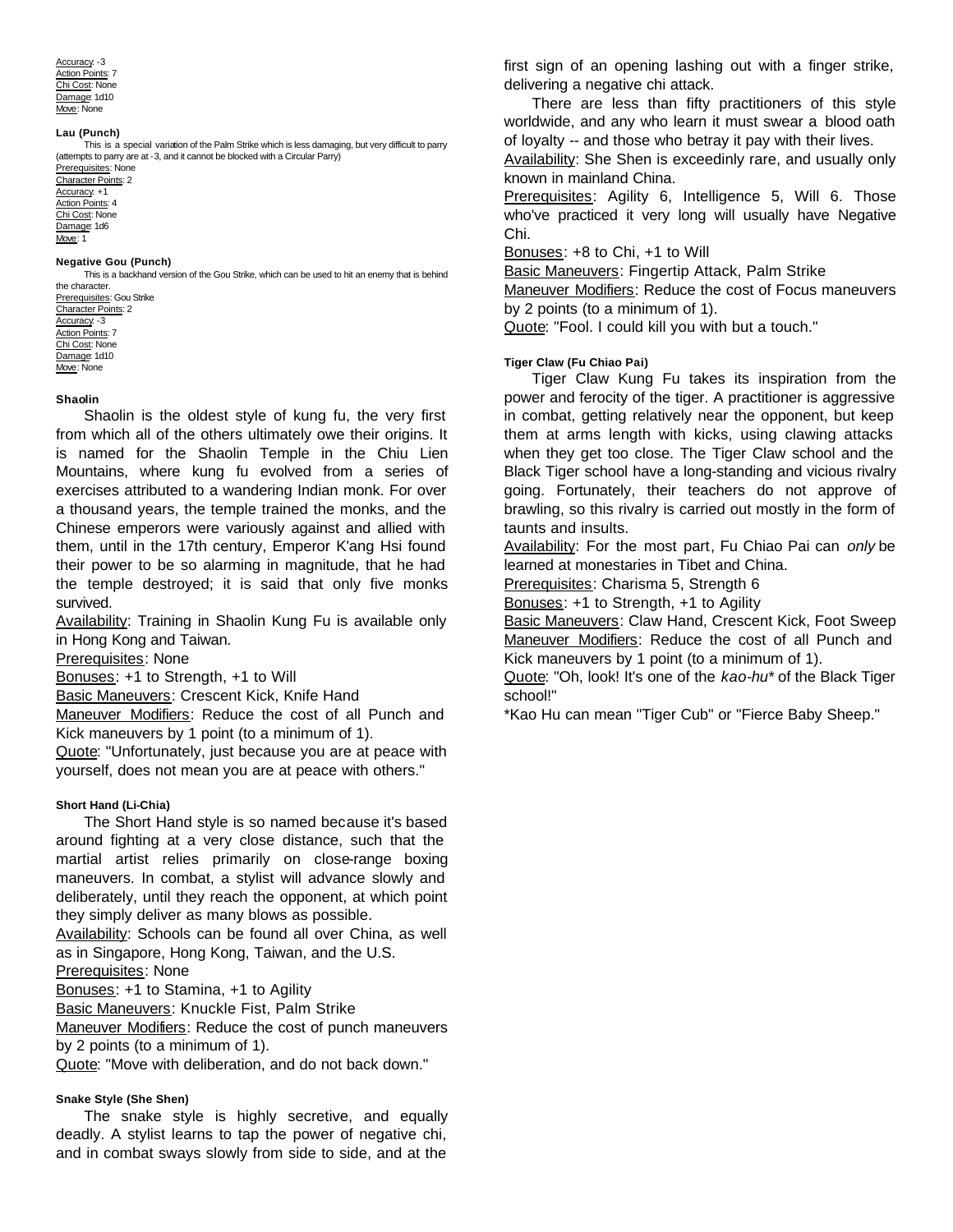Accuracy: -3 Action Points: 7 Chi Cost: None Damage: 1d10 Move: None

#### **Lau (Punch)**

This is a special variation of the Palm Strike which is less damaging, but very difficult to parry (attempts to parry are at -3, and it cannot be blocked with a Circular Parry) Prerequisites: None

Character Points: 2 Accuracy: +1 Action Points: 4 Chi Cost: None Damage: 1d6 Move: 1

#### **Negative Gou (Punch)**

This is a backhand version of the Gou Strike, which can be used to hit an enemy that is behind the character.

Prerequisites: Gou Strike Character Points: 2 Accuracy: -3 Action Points: 7 Chi Cost: None Damage: 1d10 Move: None

#### **Shaolin**

Shaolin is the oldest style of kung fu, the very first from which all of the others ultimately owe their origins. It is named for the Shaolin Temple in the Chiu Lien Mountains, where kung fu evolved from a series of exercises attributed to a wandering Indian monk. For over a thousand years, the temple trained the monks, and the Chinese emperors were variously against and allied with them, until in the 17th century, Emperor K'ang Hsi found their power to be so alarming in magnitude, that he had the temple destroyed; it is said that only five monks survived.

Availability: Training in Shaolin Kung Fu is available only in Hong Kong and Taiwan.

Prerequisites: None

Bonuses: +1 to Strength, +1 to Will

Basic Maneuvers: Crescent Kick, Knife Hand

Maneuver Modifiers: Reduce the cost of all Punch and Kick maneuvers by 1 point (to a minimum of 1).

Quote: "Unfortunately, just because you are at peace with yourself, does not mean you are at peace with others."

#### **Short Hand (Li-Chia)**

The Short Hand style is so named because it's based around fighting at a very close distance, such that the martial artist relies primarily on close-range boxing maneuvers. In combat, a stylist will advance slowly and deliberately, until they reach the opponent, at which point they simply deliver as many blows as possible.

Availability: Schools can be found all over China, as well as in Singapore, Hong Kong, Taiwan, and the U.S.

Prerequisites: None

Bonuses: +1 to Stamina, +1 to Agility

Basic Maneuvers: Knuckle Fist, Palm Strike

Maneuver Modifiers: Reduce the cost of punch maneuvers by 2 points (to a minimum of 1).

Quote: "Move with deliberation, and do not back down."

#### **Snake Style (She Shen)**

The snake style is highly secretive, and equally deadly. A stylist learns to tap the power of negative chi, and in combat sways slowly from side to side, and at the

first sign of an opening lashing out with a finger strike, delivering a negative chi attack.

There are less than fifty practitioners of this style worldwide, and any who learn it must swear a blood oath of loyalty -- and those who betray it pay with their lives.

Availability: She Shen is exceedinly rare, and usually only known in mainland China.

Prerequisites: Agility 6, Intelligence 5, Will 6. Those who've practiced it very long will usually have Negative Chi.

Bonuses: +8 to Chi, +1 to Will

Basic Maneuvers: Fingertip Attack, Palm Strike

Maneuver Modifiers: Reduce the cost of Focus maneuvers by 2 points (to a minimum of 1).

Quote: "Fool. I could kill you with but a touch."

#### **Tiger Claw (Fu Chiao Pai)**

Tiger Claw Kung Fu takes its inspiration from the power and ferocity of the tiger. A practitioner is aggressive in combat, getting relatively near the opponent, but keep them at arms length with kicks, using clawing attacks when they get too close. The Tiger Claw school and the Black Tiger school have a long-standing and vicious rivalry going. Fortunately, their teachers do not approve of brawling, so this rivalry is carried out mostly in the form of taunts and insults.

Availability: For the most part, Fu Chiao Pai can *only* be learned at monestaries in Tibet and China.

Prerequisites: Charisma 5, Strength 6

Bonuses: +1 to Strength, +1 to Agility

**Basic Maneuvers: Claw Hand, Crescent Kick, Foot Sweep** Maneuver Modifiers: Reduce the cost of all Punch and Kick maneuvers by 1 point (to a minimum of 1).

Quote: "Oh, look! It's one of the *kao-hu\** of the Black Tiger school!"

\*Kao Hu can mean "Tiger Cub" or "Fierce Baby Sheep."